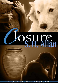# **OSH Alan**

A LOVE HAS NO BOUNDARIES NOVELLA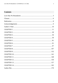# **Contents**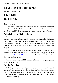# <span id="page-2-0"></span>**Love Has No Boundaries**

*An M/M Romance series*

# **CLOSURE By S. H. Allan**

## **Introduction**

The story you are about to read celebrates love, sex and romance between men. It is a product of the *Love Has No Boundaries* promotion sponsored by the *Goodreads M/M Romance Group* and is published as a free gift to you.

# **What Is Love Has No Boundaries?**

The *Goodreads M/M Romance Group* invited members to choose a photo and pen a letter asking for a short M/M romance story inspired by the image; authors from the group were encouraged to select a letter and write an original tale. The result was an outpouring of creativity that shone a spotlight on the special bond between M/M romance writers and the people who love what they do.

A written description of the image that inspired this story is provided along with the original request letter. If you'd like to view the photo, please feel free to join the [Goodreads M/M Romance Group](http://www.goodreads.com/group/show/20149-m-m-romance) and visit the discussion section: *Love Has No Boundaries*.

Whether you are an avid M/M romance reader or new to the genre, you are in for a delicious treat.

### **Words of Caution**

This story may contain sexually explicit content and is **intended for adult readers.** It may contain content that is disagreeable or distressing to some readers. The *M/M Romance Group* strongly recommends that each reader review the General Information section before each story for story tags as well as for content warnings.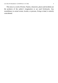This story is a work of fiction. Names, characters, places and incidents are the products of the author's imagination or are used fictitiously. Any resemblance to actual events, locales, or persons, living or dead, is entirely coincidental.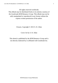All rights reserved worldwide.

This eBook may be distributed freely in its entirety courtesy of the *Goodreads M/M Romance Group*. This eBook may not be sold, manipulated or reproduced in any format without the express written permission of the author.

Closure, Copyright © 2013 S. H. Allan

Cover Art by S. H. Allan

This ebook is published by the *M/M Romance Group* and is not directly endorsed by or affiliated with Goodreads Inc.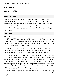# <span id="page-5-0"></span>**CLOSURE By S. H. Allan**

## **Photo Description**

Two nude men sit on the floor. The larger one has his arms and knees around the other, his cheek pressed to the side of the other man's head. The smaller man's face is buried against the first man's chest. He's curled into a ball, shoulders hunched like he's hurting badly. One hand touches the larger man's side, as if he's trying to grasp hold but can't pull away from the pain that fills him.

## **Story Letter**

#### *Dear Author,*

"It's okay." He whispered to me, his words were said from the heart but they did little to ease my racing heart and mind. God I love this man so much and one of the few people who didn't understand is gone now, we'll never get to settle the argument that pushed us apart.

"No, it's not okay. He was one of the most understanding people in my life and yet he couldn't understand… couldn't approve of us, he's no longer here and yet he's still making me second guess everything I feel for you."

If possible he held me closer and the warmth and comfort I received from his embrace was immeasurable and his voice when he spoke held more then just understanding it held love, "that doesn't mean you shouldn't say goodbye to him, I know you don't believe it but he loved you Derrick and I'm certain he wanted you to be happy. Tell him what you couldn't before I know he'll hear you and he'll understand trust me, know right now Derrick that I'll be with you every step of the way I'll always be here for you.

I rested my head against his chest and let the tears flow, what he said rang true but how can I make peace with who almost cost me the one I love the most?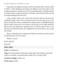*I hope after this difficult moment in Derrick's life that there will be a HEA or HFN, a little flashback describing the difficult event that leads to this comforting moment would be nice if it's not too problematic to handle and also I wouldn't mind a couple of steamy yet romantic scenes between Derrick and his understanding and sweet lover.*

*I also wouldn't mind a few scenes here and there that go into how this wonderful couple came to be as strong and close as they seem to be in this photo. Oh and a few notes, contemporary romance please, no BDSM the photo doesn't really convey this to me anyway, and the guy on the right should be Derrick the one dealing the upsetting issue oh and he doesn't have to be Derrick I just liked the name and it popped into my head while I was writing the prompt.*

*There's a beautifulstory waiting to be told here and I know someone in this wonderful group can do it justice.*

*Thanks so much!*

*Warm regards,*

*Gabrielle*

# **Story Info**

**Genre:** contemporary

**Tags:** law enforcement (corrections), dogs, grief, hurt/comfort, interracial, switch or versatile, occasional humor amid a lot of crying, PTSD

**Content warnings**: explicit sex

**Word count:** 56,856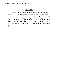#### *Dedication*

<span id="page-7-0"></span>To S. H., who was so much greater than he ever believed. I wish he could see the beautiful mark he left on me and the world. And to C. C. whose dedication and contributions toward improving the lives of children in foster care in Washington state touched so many lives. Both of you were incredible people your legacies will live on—and I am privileged to have known you.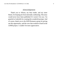#### *Acknowledgements*

<span id="page-8-0"></span>Thank you to Allison, my beta reader, and my sister Renee, for keeping me from internally combusting. This story would never have been published if it weren't for you. I'm grateful to Gabrielle for creating this wonderful prompt. And of course, thank you to the M/M Romance group for giving me this opportunity, and the crew that worked so hard on the LHNB project. I couldn't be more appreciative.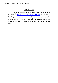#### *Author's Note*

<span id="page-9-0"></span>The huge flag described in this story really existed. It hung on the side of [Prince of Peace Lutheran Church](http://www.princeofpeaceshoreline.com/) in Shoreline, Washington for at least a year. Although I apparently grossly exaggerated it in my mind, it was still impressive at around ten feet high, and driving down that very busy road, impossible to miss.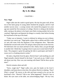# **CLOSURE By S. H. Allan**

#### CHAPTER 1

#### <span id="page-10-0"></span>**Now: Nigel**

Nigel walks into the condo in good spirits. His day has gone well; all but two of the latest group of young adults finished the program, and he's had another success story—a young woman who started the program two years ago just started her first semester of college. Derrick is sitting at the kitchen table, staring at the phone in his hand, most likely texting another kid on his caseload. Nigel grins and deposits his things in a nearby chair before kissing his boyfriend on the top of his head.

"Today was so fantastic, I want to celebrate by taking you out to dinner, anywhere you want to go." Nigel grabs a glass from a cabinet and fills it with ice and cold water from the dispenser in the refrigerator door. "Mercedes finished her second week at the UW and got a three point nine on her first test. We both knew she was smart and had it in her. Damn, Dare, you got through to another kid. I think they're going to have to put you in some kind of hall of fame. The program is great but getting the kids to participate and finish? I swear you're a freaking miracle worker."

He takes a big drink from his glass. Derrick hasn't said anything yet, and Nigel mentally whacks himself in the head. "I am such an ass, I didn't even ask about your day. How was your meeting with Dante? Did he show up this time?"

Derrick remains silent and still.

"Sorry, rough day?" Nigel walks over, puts his hands on his lover's shoulders, and leans down to kiss him. He realizes Derrick is shaking. "Dare? What's wrong?" He moves to the side and leans around so he can see his boyfriend's face. "Derrick? Talk to me. What happened?" Derrick's face is blank. His eyes stare at the table, not acknowledging Nigel. "Oh my God,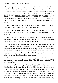what's going on?" Worried, Nigel tries to pull his boyfriend into a hug but is met with resistance. Derrick hands him the phone, otherwise not moving.

Nigel takes the device, and after another glance at Derrick's face, looks at the screen where there is a text from Derrick's foster sister, Marisol. "*DAD'S DEAD!!! STOP BEING A DICK AND GET YOUR ASS HOME NOW!!!!*" Nigel looks back at his boyfriend in horror. Not again, oh fuck, not again. "Oh, God, I'm so sorry!" He reaches for Derrick but his lover evades him and stands.

Derrick heads for the living room and Nigel quickly follows. "He's dead, Nigh. He's dead. I killed him." Derrick's voice is flat.

Nigel's chest constricts. How could Derrick think that? He reaches for his lover again. "No Dare, no. It's been over a year. However he died, it's not your fault."

Derrick's face is still stony. He moves stiffly but still eludes Nigel's grasp and walks toward the fireplace where he stares at a picture of his family that sits on the mantel. He repeats, "He's dead. I killed him."

At the words, Nigel's heart stutters. It's painful to see his love hurting. He moves closer and this time is able to grab Derrick's arms. He's still trembling. Nigel envelops him with his arms and holds tightly. "No. No you didn't. You did nothing wrong." He wants to take away the pain and sorrow but is helpless. "I'm so sorry. How can I help?" Derrick continues to shiver, otherwise not moving. The shaking is worsening.

Nigel is worried that Derrick isn't showing any emotion. He rocks his boyfriend as he rubs his back and shoulders. "Dare? It isn't your fault. We'll get through this."

Derrick's teeth are starting to chatter and his breathing is fast and shallow. Nigel realizes his boyfriend is in shock, and his first aid training kicks in. Thank Congress for the laws that require just about anyone working with kids in Washington state to have a valid First Aid and CPR card. "Dare, I need you to lie down." Derrick doesn't resist as he is lowered to the couch. Nigel swings his lover's legs up and puts a thick cushion underneath his feet. He covers Derrick with a warm lap blanket he retrieves from a chest near the window,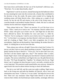then leans down and brushes the hair out of his boyfriend's oblivious eyes. "Wait here. Try to take deep breaths, okay?"

Nigel doesn't wait for an answer, instead hurrying into the bathroom where he runs steaming hot water into the oversize tub, a feature that contributed to his decision to buy the condo. He pours some scented oil in, hoping the soothing aroma will help Derrick relax. After setting out a couple of soft towels, he lets the tub fill and returns to the sofa in the living room. He crouches beside it and tenderly brushes Derrick's cheek. His face is cold and clammy but his teeth have stopped chattering.

"Dare, please look at me." There's no reaction. It's as if his lover is in a trance. "Dare, I need you to look at me." No response. Derrick suffers from PTSD—many who grow up in foster care do—and Nigel has no idea how that's affected by shock. He hardens his voice and raises it a little bit. "Derrick. You're scaring me. I need to you to look at me or I'm going to call 911." At first there's no response, but then Derrick's dull eyes slowly move until he's looking at Nigel. There's very little recognition, but it's there nevertheless. Nigel lets out the breath he's been holding. He strokes Derrick's cheek. It's killing him to see his lover like this.

"Dare, please stay with me, all right? I know this is hard, but I'm here. It's just us; you don't have to worry about anything or anyone." Nigel leansin and gently touches his lips to Derrick's. "I love you. You're alive and I love you, and that's all that matters right now, okay?" The emotion when it comes, breaks Nigel's heart. Grief and regret pour into Derrick's features and his face crumples. The sorrow etched there cuts Nigel to his core. He pulls Derrick into his arms. "We'll get through this. Together," he whispers into his ear. Nigel doesn't say it's going to be okay because it won't, not really, certainly not for a very long time. The assertion would sound hollow now anyway. Instead, he again kisses this man he adores before leaving to check the bathwater.

The tub is over half full, and the water just under scalding. Nigel moves back to the living area and pulls the blankets off Derrick, who is stoic and emotionless once more. "Come on, I've run a bath." He helps his lover to his feet. There isn't any resistance when Nigel leads Derrick to the tub and removes their clothes; his boyfriend just stands numbly, seemingly oblivious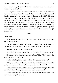to his surroundings. Nigel carefully helps him into the water and lowers himself in behind his lover.

He wraps his arms around Derrick and leans back as the displaced water rises and submerses them. He turns off the tap with his toes. The scent of jasmine and sandalwood fills the steamy air. In his arms, Derrick's shivering slows as he warms up, and he soon stills. Nigel gently rubs his lover's chest, shoulders, arms, belly. Silky black hair tickles his nose as he nuzzles Derrick's neck and leaves a trail of kisses along his jaw. Slowly Derrick's body relaxes in his arms. Internally he is clearly still struggling, so Nigel doesn't try to talk; he just lets calm wash over them both. Derrick will get through this. Nigel will do everything he can to help the love of his life, and together, they will get through this.

\*\*\*\*

#### **Then: Nigel**

Nigel leaned out of his office doorway. "Danica, I can't find any packets. Do we have any left?"

The young woman poked her head out of the cubicle outside his door. "You're just checking now? The kid's supposed to be here any minute."

"I know, I know. Just, are there any left?"

She sighed. "There's a stack of them on the bookshelf right next to you."

He looked over hisshoulder at the stack of blue folders. "Oh. Whoops. Do you have the girl's application?"

Danica sighed again and looked at him. "Have you even read it?"

"Well, I meant to… Kidding!" Her look of horror had him ending the joke earlier than planned. "Yes, I read it yesterday, but I can't find it."

His assistant shook her head and stood up, bumping him purposely as she pushed past him. "Have you looked in the inbox on your desk?"

"That's the first place I tried." He was embarrassed that he'd lost the file and fought the urge to grouch.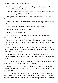The two spent a couple of minutes searching his office again until Danica called, "Aha!" holding the file above her head.

Relief flooded him; he would have been mortified to not have it fresh in his mind at the meeting. "Where was it?"

"Wedged between the couch arm and the cushion." She looked annoyed. He winced.

"Sorry. I read it over there and must have forgotten to put it back on my desk."

His assistant just shook her head and headed for the door.

"What am I going to do without you?"

"I haven't gotten the job yet."

Nigel laughed. "You think my sister won't jump at the chance to steal you from me? She's not stupid."

Worry lines creased Danica's face when she turned. "Program Manager is quite a step up from Program Assistant. I'm skipping the Program Specialist level entirely."

Nigel smiled affectionately. "I brag about you practically every time we have a 'power lunch'. She already knows you're amazing. Besides, sibling rivalry and all." He grinned.

"You two adore each other. You're all one big happy annoying family and it makes me sick. You all irritate the hell out of me." She was trying to hide a smile.

He smirked. "You wanted to work here. 'Family foundation' means a family runs it. I can't help it if we're all irresistible."

Danica rolled her eyes. "You're something all right." The intercom on Nigel's phone buzzed. "They're here. I'll go get them." He thanked her retreating back.

A few minutes later, there was a knock on the door jamb. He looked up from the desk, which he'd been leaning on while updating himself on the girl's file, and almost gasped. Standing there was the most gorgeous man he'd ever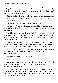seen. Bright blue-green hazel eyes and a cocky smile lit up a face of mixed heritage. The man was fairly short and small framed, well proportioned, and he looked to be toned and fit. A stylish but businesslike jacket paired with fitted jeans gave him a rakish look.

Nigel forced himself to stop staring and tried to regain his composure. "Come in, come in!" He finally noticed the teenager by the guy's side. "You must be Mercedes."

The girl looked unimpressed. "Uh huh. Who are you?"

Fair question. Usually he offered his name first. The hot guy was seriously affecting his cool. Cool was critical when working with teens. "I'm Gelly. Gelly Rutherford."

The girl's eyebrows rose and she blinked. Then she pursed her lips and looked skeptical. "Jelly? Seriously?" He nodded. She moved her head to one side and looked him up and down. "Damn white people and their stupid names." Nigel laughed.

The handsome man laughed, too. "I'm Derrick Cole, Mercedes's probation officer.Jelly? Really?" When Nigel nodded again, he said, "I'm so not calling you that." Nigel felt his brows lift in surprise. "That's mashed up fruit."

Nigel considered it to be rather appropriate, actually, even if the spelling was wrong. Some days he did feel "mashed up," and he certainly was a fruit. He smiled inwardly.

"What's it short for?" Derrick continued.

"Nigel."

"I'm not calling you that, either." Derrick's grin was infectious, and Nigel found it impossible to be offended, especially when he continued, "You are way too cool for that name."

*He thinks I'm cool?* Nigel felt his heart skip a beat. Something sparked in him that he hadn't felt in a long time. It was like he was in middle school and having his first big crush. Despite his embarrassment, he found himself smiling. "Well, what do you propose?"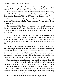Derrick narrowed his beautiful eyes and examined Nigel appraisingly, tapping his finger against his lips—his full, soft, incredibly kissable lips.

Mercedes impatiently stepped in. "Call him by his last name. Rutherford, you said, right? Old guys use last names like first names so he's Rutherford. Hey, isn't that the name of this place? What are you, like, the owner?"

Very observant of her, although he wasn't old yet and wanted to protest that point. "Rutherford is right, but I'm not the owner. The foundation belongs to my parents."

"So you're rich." Her disgust was apparent on her face. Damn, he was losing her already. She, for one, didn't think he was cool. He had to get his head back on straight and stop drooling over the very hot guy standing only a few feet away.

"Well, my parents are." He had to steer this conversation away from their differences. "Here, let's sit down." He gestured toward the sitting area. He sank into one of the armchairs and the other two sat on the sofa. Nigel had placed the packet folders on the coffee table and handed one to each of them now.

Mercedes took it carelessly and tossed it back on the table. Nigel studied her. According to her application, she was sixteen and had been in and out of juvenile detention several times now, with a string of convictions in her file. She was usually arrested for solicitation or petty theft, but so far, she had never tested positive for drugs at booking. With the lifestyle she led, though, it was almost inevitable that drug abuse would eventually become an issue.

Nigel felt a familiar roiling in his gut picturing this fresh faced, sharp girl ruined by a life on the streets. Kids like her were why he created this program, and why he wanted it to work. The foundation was established to fight poverty, homelessness, and hunger as much through prevention and education as possible. His focus was on stopping youth from continuing on a downward spiral and help them set and achieve their own goals. So far he wasn't helping this one at all. Time to change that.

"So, Mercedes, how much do you know about the program?"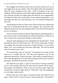She shrugged and rolled her pretty brown eyes then stuck her jaw out as she sagged back into the cushions. Then she sighed loudly and pretended to study her long, enameled acrylic nails, a look of boredom on her face. Suddenly, Derrick emitted an even louder sigh and flopped back on the couch, arms and legs sprawled. He sighed again and rolled his eyes exaggeratedly. The behavior looked silly on the skinny, brown skinned teenage girl. It was downright ridiculous on a built white guy who was probably nearing thirty years old.

The girl glanced at him out of the corner of her eye then took a deep breath like she was fortifying herself and sat up straighter. She crossed her legs, folded her hands in her lap, and managed a rather sweet smile. Derrick then sat up, too. He grinned.

Unsure of what he had just witnessed, Nigel ignored it and forged ahead. "I don't want to waste your time going overstuff you already know. Help me out here?" He gave her a goofy grin, hoping to look harmless.

The girl's body language may have changed but her attitude hadn't. "I read that lame brochure Mr. Derrick gave me." Mr. Derrick. Interesting. "It didn't say nothing. Just some lame-ass pictures of dogs and freaks. So you're like, gonna 'save' me by making me train some stupid dog?" She used air quotes when she said the word "save."

"If it sounds lame, why are you here?" The question was sincere, and he made sure it sounded that way. The kids were supposed to fill out the application themselves, without assistance. Their doing so helped him get to know them through their own words while making sure they really wanted to participate. Had Derrick forced her into this?

She rolled her eyes again. "I gotta do some kind of fucking community service. This sounded easier than the other shit Mr. Derrick told me about." She grunted and bobbed her head to the side and back again. Nigel half expected her to snap her fingers and say, "Mm-hmm," like some gangbanger in a late night comedy sketch.

Derrick leapt into action again. He groaned loudly and rolled his eyes again. "Oh my GOD, I'm such a hard-ass!" He pursed hislips. "I *forced* her to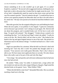choose something to do so she wouldn't go to jail again. It's so unfair! Expletive, expletive!" He moved with exaggerated motions, bobbing his own head side to side to the point that it looked like he might strain his neck. "It's all my fault. I telepathically *made* her stand on that street corner and ask that cop if he wanted a quickie." Derrick looked at the girl. "I would tell her how to answer your question properly but Mercedes does *not* like to be told what to do, mmm-hm." Hislips were pursed as he shook his head then bobbed itsome more.

Mercedes growled, but she stopped rolling her eyes and bobbing her head. When she next spoke, it was politely if a bit clipped. "I gotta do community service because I got arrested. I ain't sitting in no jail again. Mr. Derrick told me about this program, and it sounded kinda cool. It'd be fun to work with dogs. I'm good with animals." She shrugged. "I kinda always wanted to do something like that." As if she had read Nigel's mind, she added, "I really do want to do this. Mr. Derrick didn't tell me what to write." She looked at her hands in her lap and again feigned interest in one of her nails. She picked at a rhinestone stuck to the abstract design. "I worked real hard on it. I don't write so good."

Nigel was speechless for a moment. What the hell was Derrick's deal with mocking her? And why did it work? He pushed that thought aside for a moment. "Your answers were really good, Mercedes. That's why I chose to talk to you. We have many more applicants than we can take. We only choose those who really want to be part of this and who like dogs."

"I love dogs," she said quickly and with more enthusiasm than he had seen since she had arrived.

He smiled. "Tibbs, come," he called. A moment later, a large yellow lab mix trotted over and sat at hisside, tongue lolling in a big grin. Nigel noted the shocked looks on his guests' faces. "Meet Delbert Tibbs."

"Where the hell did he come from?" demanded Mercedes. She was already reaching a hand out to the dog.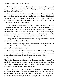"He's well trained. He was waiting quietly on his bed behind the desk until we were ready for him. If you work hard, the dog you train may one day be as well behaved as Tibbs here."

Mercedes beckoned the mixed breed. Tibbs looked at Nigel, and when he gave the release gesture, the animal trotted over to sit by the girl. Nigel noted that Mercedes held the back of her hand out loosely for the dog to sniff before scratching his neck. Excellent. Nigel knew she was the right choice. "You get to have your dog at work?" she asked.

"That's one of the advantages of working for Mom and Dad." He smiled. "He's essential to the program. He helps me decide who would be a good fit, and he's a great judge of character. He likes you." Mercedes's fingers rubbed and scratched Tibbs's chest when he rolled over on his back. "He also gets spoiled rotten by everyone who works here. He's usually sniffing around the employee lounge hoping for a treat. I'm making him work today."

"Tough job." Her tone was sarcastic but she had only adoration in her eyes and hands as she played with the dog.

Derrick had been watching Mercedes. Now he turned to Nigel, a twinkle in his eye. "She's really a softie at heart. Doesn't want anyone to know she's a good kid," he said in a stage whisper.

Mercedes glared at him before looking at Nigel. "Yeah, well, he's a fag, and he doesn't want anyone to know that he's really a hard-ass." Her tone was meant to irritate, not judge. It was clear she respected the officer.

Nigel couldn't suppress his grin. Derrick definitely had a fine hard ass. "That's okay, I'm one, too, although I don't know about the hard-ass part." He watched Derrick's face for a reaction and he got one. His easy smile turned sly and his eyes narrowed the tiniest bit. Oh God, could this beautiful stud of a man be attracted to him, too? How likely was that?

"Oh yeah? Bet on it." He wasn't sure if Derrick was referring to Nigel's ass literally being hard or if he were trying to let Nigel know he was interested. Either was fine with Nigel. Or maybe he was just being sarcastic. "Tibbs? Like the song?" Derrick's words pulled Nigel's thoughts back out of the gutter.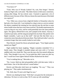"You know it?"

"Yeah. Who was it? Woody Guthrie? No, wait, Pete Seeger." Derrick looked at Nigel with a soft smile. "My father listens to folk music sometimes, among other things. He has eclectic taste. I learned to appreciate a lot of different music because of him. Did you choose the name because of the death row reprieve?"

"Yes. Tibbs was a rescue from a high-kill shelter in Wenatchee where he had only a few hours left. I was looking for a dog to train as a service animal. He almost completed the training but was rejected near the end due to some minor health issues that have since been resolved. The health requirements for a service dog are very strict, and he could potentially have the same problem again. The agency offered him to me, and I jumped at the chance. Anyway, I wanted an apt name, and the song just jumped into my head. My parents were hippie wannabes. I grew up on that stuff." And just like that there was a connection more than physical between them. They held each other's eyesfor a moment longer than men usually looked at each other.

Then Derrick cleared his throat and grinned again. "Your hippie parents named you Nigel?"

Nigel nodded his head, laughing. "Hippie wannabes remember? It's a family name. They thought it sounded unique and went with it. I've been saddled with it my whole life. They were the ones who first started calling me Gelly. They thought it was cute. I'm just glad they didn't name me after my dad. I would have been Egbert Buford Norbert Rutherford the third."

"You're making that up," Mercedes cut in.

"No, I swear. Both my dad and granddad suffer with that name. Gelly is much better. One of the kids told me I sound badass."

Derrick and Mercedes both burst out laughing. "No way." "They was playing you." They spoke simultaneously.

"Oh. Well, then I'll stick with Nigel for now."

Derrick was shaking his head. "Well that's not great but the nickname is ridiculous. We have to work on that. We'll come up with something."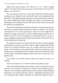Nigel felt his throat constrict. *We? There was a "we"?* Time to change subjects. "So, Mercedes, tell me more about yourself. What do you want to be doing a year from now?"

The conversation moved on to safer topics. Mercedes told them about wanting to go to college. No one in her family had ever even graduated from high school. She talked about growing up in a seedy suburb south of Seattle, the crappy neighborhood filled with drugs and violence. Sexual abuse and maltreatment were alluded to but she didn't go into detail. Instead, she praised her mother for sticking by her.

Mercedes also talked about her dream to become a veterinarian butsaid she knew she was stupid and that kids like her "didn't go nowhere"; all that she could hope for was to find a good man to take care of her. Nigel had to suppress his anger and despair at what this bright teenager had been led to believe was her lot. From everything he saw and heard from her, she was a strong, intelligent young woman who didn't need anyone to take care of her, as if any healthy grown woman did.

He and Derrick tried to reassure her that she was smart, and that anything was possible for someone who really wanted it. Nigel explained that Delbert Tibbs was an African American who was wrongly convicted of rape and murder. The all-white jury had sentenced him, and he sat on death row until finally he was exonerated after the key witnessin the trial recanted and it came out that Tibbs's alibi had been ignored. Tibbs went on to be a poet and a civil rights activist.

"See, people can be in the lowest of places and come out on top," he finished.

"But he was innocent. It's not like he really did anything wrong."

"Sure, but sometimes being in jail changes a person. Sometimes it messes with his or her self-esteem. Sometimes it makes a person think that jail is where he, *or she*, belongs, whether the person was innocent, doing something really bad, or just making *really poor choices.*" Nigel glanced at Derrick who was watching the girl, a finger rubbing his lip. Nigel had to fight the urge to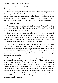jump over the table and suck that lip between his own. He turned back to **Mercedes** 

"I think you are a perfect fit for this program. The rest of the youth come from very similar situations. They have all been in juvie, none have any support in the community, and all have either dropped out of school or are failing. All of them want something better for themselves and are willing to work hard to get it. So what do you think?" The "work hard" part was key.

"What would I have to do?"

"You need to show up at French Lake Dog Park in Federal Way before three PM, Monday through Thursday, rain or shine. We'll go by the Federal Way School District schedule if it snows."

"I ain't going out in no snow." Mercedes raised one eyebrow at him as if she thought he was deficient. Both men laughed at that. Schools usually closed down if there was even a hint of white in the air, so it was unlikely that she would have to go out in it. The area was too hilly and too unused to snow for the cities to handle freezing temperatures and make it safe.

"On days it doesn't snow, we'll keep you busy until six, but you'll have a short break in the middle during which we provide snacks and water." Sometimes it was the only meal the kids got in a day, so the snacks were more like full meals. "You'll be assigned a dog who will be counting on you to show up every day. As long as you arrive on time and participate, you'll get community service credit.

"You are committing to complete the program, even if it goes longer than the community service hours you owe. If you do, you'll get a gift card for a grocery store, and you will be eligible for one of our teaching assistant scholarships." The goal was for the kids to use the cards for something they needed. In reality, most of them sold the cards for cash. "That means you would come back for the next session and work with the dogs whose trainers don't show up or drop out. You would be paid for this, with half the money put into a fund to go toward educational costs. For instance, we would help pay for GED classes or materials for school, or you could save the money for college or a trade program."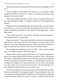Mercedes affected a noncommittal look but her eyes were flashing. "Every day?"

"Every weekday except Fridays. The specifics are in the packet." Nigel pointed to the folder in front of her. "I think you would be a great asset to the program. Are you interested?"

"What do you think, Mercedes?" Derrick asked. "It sounds kind of fun to me." He turned back to Nigel. "Looking for instructors?" He pretended to be hopeful.

Nigel shook his head, feigning regret. Secretly he really was sorry because he would love to see this man every day. He usually only went once a week, but he could make an adjustment to his schedule for the right reason… or the right person.

"How would I get there? I live in Kent." Mercedes looked worried now, like transportation was a major issue.

Nigel reassured her. "We provide bustickets, and we have a shuttle leaving Kent Station at two thirty each day of the program. All you've got to do is show up." He waited while she pretended to make up her mind. Looking too eager would make her vulnerable, but he knew he had her hooked.

She shrugged and continued to focus on Tibbs. "Yeah, I guess. Sounds okay." She finally looked up. "When do I start?"

Nigel resisted an urge to jump up and shout, "Yes!" Instead, he pointed the girl to the schedule glued inside the folder and the bus ticket in the pocket. "You get two additional bus tickets at the end of each session, one to go home and one to come back. If you take the shuttle, you still get them in case you are coming from someplace else, but you only have two at a time. You only get new ones when you've used up the ones you have." He went through a few more things she needed to know, such as what to wear.

When he was finished, she said she needed to use the bathroom. He called Danica in and asked her to accompany the girl. Trust was always an issue, and it went both ways. Mercedes hadn't earned his yet. He had faith she would, but it would take time. When she was out of earshot, he turned to find Derrick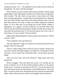staring at his chest. "Uh…" He stumbled over his words as he felt a thrill run through him. "So what's with the mocking?"

Derrick looked up and he looked embarrassed, probably at being caught ogling Nigel's body. Nigel hadn't minded at all, and his pants were getting a little crowded. "Oh, that. Well, for some kids it works really well. When they're being inappropriate, I remind them by showing them how ridiculous they look. Well, and then some. Most of the kids get attitude when I just tell them their behavior isn't okay. It makes me another antagonistic authority figure. If I let it slide, then I'm just being one of their friends. Neither is appropriate. I'm a support, I'm here to help, but I am not their friend. They need to learn that sometimes the people in charge are really there to help. For some kids, the mocking works. It's not the most mature way to do it, but it's damn funny, if I say so myself." Derrick smirked.

Nigel couldn't help smiling back. Derrick's grins were infectious. "What if it doesn't work?"

"Well, hopefully I don't get beaten up."

"Has that happened?" Nigel was shocked and somewhat distressed at the thought. What was that about?

"Not yet. I keep waiting. Some would say I have it coming." His grin was somewhat crooked, and Nigel thought it wastotally hot. "Assuming I'm still in one piece, I resort to guilt trips, blackmail, bribes—all the mature grownup things."

"Does your boss know about this behavior?" Nigel asked with mock disapproval.

Derrick shrugged. "She cares about my success. I've currently got the lowest recidivism rate of all the juvenile probation officers in the greater Seattle area. I've got the second lowest of all P.O.s." He put his hand on his hip, stuck his jaw up and out, and turned to a semi-profile position. "I am Juvie Man," he said in a deep voice. He held the pose for a good ten seconds before Nigel couldn't help it anymore and burst out laughing. Derrick joined in.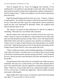Then he dropped the act. "Sorry for bragging. But seriously, I'll do anything that's not unethical to get through to these kids. Most of them just need someone to believe in them and an opportunity to believe in themselves." Derrick stepped closer. "I think your program is just the kind of opportunity these kids need."

Nigel felt himself being sucked into those sexy eyes. "I hope so. I believe in opportunities." He said the last sentence softly but his heart beat loudly in his ears. They held each other's gaze for a long moment. Derrick opened his mouth but they were interrupted by Mercedes. *Damn.* He wondered what Derrick had been about to say.

"Mr. Derrick! You gotta see their bathrooms! It's like the Taj Mahal or something." Mercedes face was flushed with excitement.

Derrick turned to her so his face was in profile. Even his ears were sexy. "Well, I hope not since the Taj Mahal is a crypt and doesn't have toilets. But there are some beautiful restrooms in India. There's one in The Imperial New Delhi Hotel where each stall is a separate room, and there are attendants who will go so far as to squirt scented soap into your hands and give you a heated wash cloth." Nigel had been places in the US that did the same thing, but the foreign location made Derrick's story more grand and exotic.

"There's marble everywhere, and everything is gleaming. As a backpacker, I felt a little out of place. I am pretty sure it was obvious that I was just eating at the historic restaurant and not actually staying at the hotel." As he continued his story, Derrick moved to meet Mercedes at the door and handed her one of the packets.

The girl listened wide-eyed as Derrick recounted histale. Nigel wasjust as enchanted. This man was a world traveler, too? What other surprises did he have? Just outside the door, Derrick stopped for a moment and looked back at Nigel. "Thank you. I have another kid on my caseload who might be a good fit. If it's not too late, I'll submit the application." Derrick looked expectant and maybe a little hopeful.

Nigel nodded. He'd make a space if it meant he could see this electrifying man again. "It's not too late. It's never too late."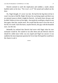Derrick seemed to catch the implication and nodded, a small, almost bashful smile on his face. "No it isn't, is it?" He turned and walked out the door.

*No*, Nigel thought. *It's never too late.* He had hit the big three-oh but it wasn't too late to find Mr. Right. He knew he was being stupid, and there was no rational reason to think it might be Derrick—he barely knew the guy, and he didn't believe in love at first sight—but maybe he would get a chance to see him again, date him, maybe more. He would find the man to love the rest of his life, he would. And who knew, maybe Derrick, this guy with the beautiful eyes, was the one.

Belatedly he realized that Derrick had never told Nigel what his new nickname would be. He wanted to run after them and ask Derrick what he should be called since Gelly was too stupid and Nigel too uncool. It was suddenly the most important question he'd ever had. He hoped he would have the chance to ask it.

\*\*\*\*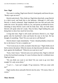#### CHAPTER 2

#### <span id="page-27-0"></span>**Now: Nigel**

The water is cooling. Nigel turns Derrick's head gently and kisses his jaw. "Ready to get out now?"

Derrick nods slowly. They climb out. Nigel dries them both, wraps Derrick in a thick towel, and leads him to the bedroom. Although it's still early, Derrick is clearly exhausted. Nigel shepherds him into bed and tucks him under the covers. He quickly climbs in, too, and spoons up behind his lover, intending to keep Derrick warm with his body heat. They are both silent; Derrick will speak when he's ready. They lie there, Nigel holding him, just being there to show how much he loves him.

A long time later, Nigel is still awake and knows Derrick is, too. Nigel gently rubs his boyfriend's chest and buries his nose in his hair. He has thought of something. "Dare? Do you want me to call Marisol?

Derrick doesn't reply immediately. "Yeah, I should probably at least text her so she knows I'm not a complete ass."

"You're not an ass *or* a dick, no matter what she says." Nigel climbs out of bed to retrieve the phone. When he returns, he slips between the sheets, sitting back against the headboard. "What do you want me to say?"

"Fuck, I don't know." Derrick turns over and faces him. Nigel is relieved to hear his boyfriend swearing. It's more liveliness than he's exhibited since Nigel got home.

"Do you think you want to see them? Do you want to go over there tonight? It's only seven thirty."

"I can't. I… I just can't tonight. I'll go tomorrow. Will you come with me?"

Nigel reaches down and pulls Derrick into his arms. "Of course, Dare, of course."

\*\*\*\*

#### **Then: Derrick**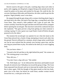Derrick stared at the gate to the park, watching dogs chase each other in packs, tails wagging, earsflung back, tonguesflying asthe animals moved. He wiped his palms on his jeans and reached for the gate. He could do this. He was just checking on Mercedes and Demetrius, the other youth he got into the program. Nigel probably wasn't even there.

He stepped through the gate along with a woman clutching plastic bags in one hand and in the other, the leash of her huge dog, a young black and white Great Dane. They entered a little paddock with a gate on each side. The woman carefully closed the first gate and then took the leash off her youngster before opening the second gate. She must have noticed his confusion because she explained, "The gates prevent a dog from getting out when someone is coming or going. It's also a great way to get Panda's leash off before she gets pounced on by the others."

The moment the second gate was opened, he saw what she meant as the Great Dane plowed into a horde of dogs attempting to knock each other into the ground. Derrick stiffened for a moment, afraid a huge melee would break out, but he soon realized that the animals were having a great time, and the new dog just joined them in play. He smiled at the sheer joy in each wiggling body.

"Do you know where—"

"Around to the left and then to the right behind the pond," the woman cut in. "The training group is over there."

"How did you—"

"You don't have a dog with you." She smiled.

"Ah. Well thank you." As he followed her directions and headed toward the path, he noticed a tiny Chihuahua run toward the group of dogs. The Great Dane separated from the pack and ran to intercept the smaller dog. Fear froze him in place again. With the thought of that giant mouth on that tiny body, panic rose in his chest, but before he could shout, another woman moved toward the two, a wide grin on her face.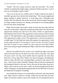"Panda!" The first woman moved to meet the newcomer. "Hi, Sarah! Goliath was getting downright snippy waiting for Panda to get here. I wasn't sure you were going to make it today."

"Sorry we're late, but we wouldn't miss it. Panda would eat my shoes if she didn't get play time with her best friend today." The women laughed and began walking in another direction. A Great Dane and a Chihuahua best friends? That was different. But asthey moved off, Derrick smiled. Seeing the two dogs scamper and play was calming, and already he was feeling slightly less nervous about seeing Nigel.

Nigel. Derrick hadn't been able to think of much else since they had first met a few weeks before. Nigel had sounded interested, hadn't he? Derrick had replayed the meeting over and over in his mind. *I believe in opportunities.* What did that mean exactly? The opportunity to meet someone when you least expect it? The opportunity to take advantage of meeting someone you liked? The opportunity to make it more? The opportunity to switch from plastic to reusable bags? Or had Nigel just meant the program, the opportunity to help at-risk youth succeed? *It's not too late. It's never too late.* For what? To meet The One? To date? To save a child? To a get a stain out of his shirt? What? Was he just being arrogant thinking that Nigel could have been talking about him?

Derrick was pulled from his reverie as he rounded the edge of the pond with its tall reeds and saw the little area in the corner of the park. The roped off space wasn't very big, much smaller than he expected, not more than thirty-five or forty square feet. Within were eleven teenagers, all holding the leash of a dog. The kids were watching Nigel's assistant in the center of the area—what was her name? Danielle? Danique? Back at that first meeting she had introduced herself at the door, but by the time she had taken them up to Nigel's office and he saw the man's smile, all rational thought had left him, and he'd forgotten everything that happened after he met Mercedesin front of the Rutherford Foundation's building.

Just outside the enclosure was a small table at which sat a tall, short-haired man. Nigel. Derrick sucked in a breath. Unlike the last time they had met, Nigel was dressed casually in jeans and a hoodie. He was leaning forward to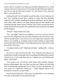stretch, and his sweatshirt was riding up and pants pulling down so a small expanse of his lower back showed. Just seeing that bare flesh gave Derrick a jolt. He was thin but had some muscles, too, just Derrick's type. And that didn't even count his face.

Steeling himself, Derrick headed toward the table. In the enclosure, the kids were jumping up and down, yelling in voices that were probably supposed to be positive, pounding the ground, anything to get the dogs to come when called. Most of the dogs blatantly ignored their handlers and continued playing. Others looked confused, and at least one had lain down, clearly bored. Derrick chuckled. He wondered how that one had even qualified for the program.

"Derrick!" Nigel turned in his chair.

"Uh… Hi, Nigel." Derrick was suddenly at a loss for words for the first time in his life. Nigel had to be one of the handsomest men he had ever seen, with his strong features, warm brown eyes, and a light, open expression. His sleeves were pushed up, revealing strong forearms leading to large hands. Derrick shivered at the thought of what large hands meant, and what he could do with that. *Down boy.*

"Coming to check us out?" Nigel had a friendly—and beautiful—smile on his face.

*Oh God, yes.* Wait, he meant the kids. "Yep. Wanted to see what has my probationers actually acting eager about something and talking about animals instead of sex or how much they hate me. I figured you were dealing them drugs." He grinned.

"You found us out. We fill the water bottles with invisible, tasteless, odorless hallucinogens then seal them up afterward. Makes the kids think they're training dogs and that they love it. Wait, you don't see dogs here, do you? Some of it could have leaked out…" Nigel feigned concern as he pretended to search for an open bottle.

Derrick narrowed his eyes. "There aren't any dogs here? I was wondering why they all had purple fur and pink polka dots."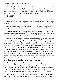Nigel straightened and finally broke into his full smile. Derrick's heart skipped a beat. That mouth did him in the last time, and it hadn't been a fluke. He was again staggered by how Nigel's upturned lips and white teeth lit up his face, taking him from good-looking to drop-dead gorgeous.

"Derrick?"

"Um, what?"

"I asked how you are, but you're kind of staring off into space." Nigel looked uncertain.

Derrick snorted. "My folks always said I was a bit spacey. I'm good, really good. How about you?"

The smile came back. "I'm very well, thank you for asking." Nigel turned toward the youth and their charges. "They're doing a great job, too, although it might not look like it at this particular moment."

Derrick followed his gaze and saw Demetrius stomping his foot. He was a tall gangly kid, with skin pale beneath his dyed black hair; facial piercings and huge gauges in his ears; skinny body adorned in black, vinyl, and chains; and thick eyeliner that said, "I'm a raccoon, and I'm going to destroy your trash cans!" Derrick often wondered if Demetrius was going for punk or emo. The boy looked absurd wringing his hands next to a dog who wasignoring him and licking the kind of parts that straight men didn't touch with their mouths. Well, neither would gay men if said parts belonged to a dog. The thought made him laugh. Fortunately, Nigel appeared to think he was laughing at Demetrius's futile attempts to get the dog's attention, and Derrick was saved from having to explain his perverse and convoluted way of thinking.

"I'm really glad to hear that." Derrick managed to speak at least semiprofessionally. "The program is already working, I think. Both of my kids have more confidence. Mercedes actually asked how she could enroll in a high school completion program at Green River Community College. Now if I could only get her to wear clothes that don't make her look like a hooker…"

"Baby steps, my friend, baby steps." *My friend?* Did Nigel think he was a friend? That would be an excellent baby step. Derrick mentally chided himself.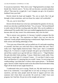It was just an expression. "Here, have a seat." Nigel gestured to an empty chair beside him. Derrick took it. "So how did you become a juvenile probation officer? That must be a tough job. I can't imagine you get a lot of positive feedback from your kids."

Derrick shook his head and laughed. "No, not so much. But I do get through to them sometimes, and even those few make it all worthwhile."

"Oh, yes, you're Juvie Man."

Derrick felt the blood rise in his face and thanked his genetics for his tan, mixed-race skin that would hide the flush. "Yes, of course." He forced himself to smile when he felt like crawling under the table. Why was he suddenly so embarrassed? He usually didn't have any trouble bragging about his successes, because after all, they weren't his achievements, they were his kids'.

"But to answer your question, it's because I needed a program like this when I was their age." The expression on Nigel's face was not what he expected. Usually people looked pitying or embarrassed. Nigel, however, was both curious and smiling admiringly at him.

"You were one of these kids, and you pulled out of it and made something of yourself? And then you came back here to help others like you? That's really cool." Nigel slightly shook his head. "That is just—that's a wonderful thing to do. I've known a couple of people who grew up in that kind of life, and all they wanted was to get the hell out. I think you're—" Nigel blushed. His pale skin didn't hide anything. "I mean, I think that is really noble. Wait, that doesn't sound right. It's virtuous? I mean… It's not that it's bad to come back, and therefore it's amazing that you would. I mean, I'm not trying to be condescending. I just think that's it shows what a great person—" he blushed again. Derrick couldn't help but smirk at his discomfort but he decided to help Nigel off the hook he had caught himself on.

"I understand what you're saying. Thank you. My dad raised me to give back to my community. I was taught that we are only as strong as we make ourselves, and that some people need the kind of support and love only someone who's been there can provide. He saved me. I didn't have your program, but I had him. He put me on the straight and narrow."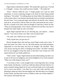Nigel looked confused but nodded. "He sounds like a great man. You had a—I thought—I mean, why would you have needed…" He trailed off.

"Sorry." Derrick rolled his eyes. "I forget people can't read my mind sometimes. It can be confusing enough in my head, let alone being outside looking in." He smiled. "I'm talking about my foster father. He yanked me out of the system when I was fourteen and already had a record that stretched into the next state. I was young and angry and unloved. He and his wife, Celeste, took me in, sat me down, told me what was what, and turned me into a man." He felt a warmth in his chest when he thought of what they'd done for him. "They are amazing people. I love Celeste, and she loves me like a son, but it's Ronald who really made me who I am today."

Again Nigel surprised him by not showing pity, just interest… intense interest. "You were in foster care. May I ask you about that?"

"Uh, yeah, sure. What do you want to know?"

"Well, maybe how you got into it?"

Derrick thought about what and how much Nigel would want to hear. "I went into foster care when I was six. My birth parents were both prostitutes. Apparently it's true that many rent boys are straight." He chuckled. "They were always leaving me alone or bringing tricks home." He didn't mention how he was drugged to keep him quiet or that there were twenty-two CPS reports before he was finally pulled out.

"That's awful." Again, Nigel looked sad and understanding, but there was no pity in his eyes nor judgment, just acknowledgment of an awful situation. "What was it like being in foster care?"

"I was lucky at first. I went straight from a receiving home into a loving foster family, the Bryants. I acted out a little but almost all foster kids do. It's pretty traumatic being ripped out of your world and made to live with people you've never seen before. I was there for a year and a half, and they were planning to adopt me when I became legally free. But then there was a tragedy in their family, and they had to move to Dallas to take care of their nephews." The memory still made him sad.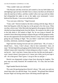"They couldn't take you with them?"

"The Bryants said they loved me and wanted to, but my birth father was still fighting to get me back. He didn't have a chance, but there are all kinds of rules the state has to follow, and they couldn't allow me to go until my father had relinquished his rights to me or the rights were terminated. I never believed the Bryants. I was seven and dumb as fuck."

"You were just a little boy." Nigel frowned.

"Yeah, well." Derrick looked at the kids working with the dogs. Most of them had big grins while the dogs lay on the ground a few feet away. What wasthat, a down-stay? After Mercedes had agreed to the program, Derrick had checked out dog training books from the library. He wanted to be able to talk to the kids about it. He looked at Nigel. No, he was lying to himself. He wanted to learn about dog training to impress the guy with the gorgeous smile, the one who appeared to be fascinated by Derrick's story. He found his mouth going dry just looking at Nigel. "Do you think I could have some of that invisibly, odorlessly, tastelessly drugged water?"

Nigel had been leaning forward and now jerked back. "Oh, of course, I should have… Sorry, I don't always—they're here somewhere—here, oh oops." He had ripped the packaging and the bottles had scattered. "They aren't chilled, I mean cold, I mean they've been sitting outso they're warm… oh, but not hot uh… here's one here, I mean, there are lots, but this one looks good wait, I mean it doesn't have grass on it, I mean, just a little, just let me wipe it off—oh is that gross? That's gross. I can go to the car and get—"

Derrick was desperately trying to keep from showing his laughter. The poor man was really flustered. He wondered why. "It's fine, that one looks perfect."

Nigel handed Derrick the bottle.

The water felt good going down Derrick's throat. "Oh, yeah, you said you reseal them after you add the drugs. Very smooth." He grinned then faltered because Nigel was having some issues with being smooth right now.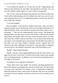"I'm all about the smooth, as I'm sure you can tell." Nigel grinned and Derrick really liked that the man didn't take himself too seriously. "So, you were left without a home, again? I'm sorry if this is too personal."

"No, it's fine. Yeah, not having a home anymore was what was really hard. I had trouble understanding why the children they had to go care for were more important than I was. It's a tough thing to get for a seven-year-old who's never really had a family."

"I can only imagine."

Derrick nodded. "I was moved to another foster home. They were fine, I suppose, but they weren't the Bryants, and I was even angrier than before, so I made life hell for them. I was moved to another foster home where I was… mistreated…" That was the understatement of the century. The things that happened there were the cause of much of his PTSD. "I then went to another foster home, and another, until I ran away for the first time when I was nine. After that, they couldn't keep me anywhere, even in those foster homes that were good. I was eventually put in a group home, but that didn't last, either. In this state, you can't keep children—probably anyone—against their will without a court order, although I'm sure there's a base age range. It's illegal to run away but it's also illegal to physically stop a kid from doing so, too."

"Really?" Nigel looked shocked.

"Really. Anyway, I got caught shoplifting for the first time when I was eight. By the time I was twelve, I'd been in juvie half a dozen times already and was drinking heavily. At thirteen, I was convicted of grand theft auto. I was high on Oxycontin."

"At thirteen? You could drive at thirteen?"

"Nope. That's how I got caught." He smirked, and Nigel grinned back. Derrick felt like he was floating every time he saw that smile. "By then I knew I was gay, and I had done it to impress a boy—a supposedly straight boy. When he found out I had a crush on him, he beat the crap out of me, and then we fucked. I lost my virginity over that car, and I can't say I'm entirely sorry I stole it."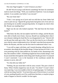This time Nigel laughed. "I wish I'd known you then."

He did? Was he trying to tell Derrick something? He knew he sometimes read too much into things. "Well, you would have hated me. I was an arrogant asshole. It was another year before I was rescued."

"By your foster dad."

"Yeah. I was sprung out of juvie and was told that my foster father had come to pick me up. I figured the group home had gotten sick of me and was just foisting me on another unsuspecting family. So imagine my shock when Mr. Bryant was standing there."

Nigel was the one who looked surprised. "The dad from the first foster family?"

"Mm-hmm. By then, the last nephew had left for college, and the Bryants were able to finally move home. Anyway, Ronald was standing there when I was released, shaking his head like he was disappointed in me." Derrick left out the part that really got to him. That was the first time he saw in Ronald's eyes what he came to understand as love. He hadn't seen that from anyone else before the Bryants, and that was the first time he understood what it was.

"I was still so angry with them, and I started shouting, telling him he was an asshole, describing all the horrible things I'd done because he'd left. I was even posturing with my chest puffed out, my hands in fists, threatening to hit him. But somehow I didn't. Something stopped me from actually doing it. And he just stood there through the whole thing until I finally got tired. I'm amazed I wasn't rearrested. I was in the basement of the courthouse outside the entrance to juvie, after all."

"So what did your father do?"

"Nothing. He just stood there with his arms crossed. This part is kind of funny. When I finally stopped my rant, he said, 'You done?' It wasn't what I was expecting. I was even madder at him for not getting angry. So I lashed out with the last thing I had left." Even back then, part of Derrick knew it was kind of a test, pushing Ronald to see if he would leave him there, or maybe trying to make it happen so Derrick wouldn't be hurt again.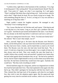"I yelled at him, right there in the basement of the courthouse, 'I'm a fag! A fucking queer! I like sucking dick!' He just looked bored. Bored! Then he said, 'Your point is?' Again, not what I was expecting. So I said again, 'There's nothing I like better than a big fucking cock.' And you know what he said to that?" Nigel shook his head. He was clearly trying not to laugh. "He said something along the lines of, 'So do I, as long as it's my own and has a matching set of big hairy balls.'"

Nigel couldn't contain his laughter anymore. He managed to ask, "Seriously? You're making that up."

"No, Iswear. But that isn't all. He then said, and I quote, 'I like big tits and a real big butt on a hot mama. Long as you don't got a problem with that, we're good.' And then he just turned and headed for the stairs. I was floored. He was already on the third step before I could move and run to catch up."

Nigel was wiping tears from his eyes. "Wow. You had your family back." He sobered. "But it wasn't that simple, was it?"

*Wow, yourself*. Nigel got it. He knew that the Bryants were Derrick's family, not his birth parents. Like any foster kid, he did want his parents back, but they had never been a family, and he hated them as much as he loved them. The Bryants were the ones who had truly loved him back. "No, it wasn't. It took me a long time to trust them again. I ran a couple of times, but they always took me back. They were usually the ones that found me. I couldn't believe they actually went and searched. I pushed every button they had and railed against those boundaries they set up." He had never pushed it too far, but he'd had to fight himself to not try to drive them away before they hurt him. He had been terrified they would leave him again. Anybody else would have. "But they took everything in stride."

Derrick had been angry for a long time, and he was chagrined now to think how hard he had made their lives. They had explained to him again why they had to go. They didn't apologize for leaving but told him how hard it was. They claimed they had kept track of his progress, and when he was legally free, they tried to start the adoption papers again. But the paperwork kept getting lost every time he switched social workers, which was a lot since he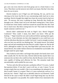got a new one every time he went from group care to a foster home or vice versa. Then there was the turnover rate which was insane. But that's how they knew he was in juvie.

Derrick looked to see if Nigel was still listening. He was, and he was chewing on his lower lip like he was concentrating really hard not to miss anything. Derrick thought that might have been the sexiest look he had ever seen. "So anyway, this story is getting too long. Basically they finally got through to me. I think it had a lot to do with them coming back. I don't know if a brand new foster family could have turned me around like they did. I had lost so much trust. But them coming back for me? That made me think that maybe someone could love me."

Derrick didn't understand the look on Nigel's face. Shock? Disgust? Confusion? "How could—I mean, how didn't you know—Who put the fucking—" Nigel closed his eyes and swallowed before opening them again. "I'm sorry. It just infuriates me that what happened to you could leave you with the ridiculous idea that you couldn't be loved. I want to strangle everyone who ever hurt you and left you thinking that." He looked sincere. He looked angry and sad and something else that Derrick couldn't figure out. But he did know, although he couldn't say why, that Nigel didn't just mean any kid—he meant Derrick. He couldn't believe Derrick ever doubted he wasloveable. The thought made his spine tingle.

They looked at each other a tad longer than people who barely knew each other usually did. For the first time, Derrick believed that maybe there was someone else out there who could love him, that the Bryants weren't the only ones capable of feeling such affection for him. The sensation made him uncomfortable, and he pulled his eyes away.

"So how and why did you become a probation officer? I'm sorry, I asked that question before. If you don't want to tell me, or wait, I mean, I'm not trying to imply that you wouldn't, like it was something to be ashamed of, not that it would, I mean, it's so great. That is, it's just a normal job, well no, it's a hard job, but—Damn." Nigel was so adorable when he was flustered. Could Derrick be the cause of that? He didn't recall Nigel being that way the first time. He supposed it was possible. He couldn't believe how interested in his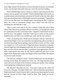story Nigel seemed. No one had ever shown this kind of interest, not even past lovers, not that there had really been any; more like past fuck buddies.

"Well I finished high school, a bit late as could be expected given my time in juvie, and my grades were terrible." That he finished high school at all was an achievement, and he had been very proud of himself at the time. More than forty percent of foster kids in Washington state never graduated. "I figured that was it for me. But there was Ronald again, convincing me that I could do more. So I went to community college, since I didn't have the GPA for anything else, and then the U-dub.

"Then I wasn't sure what to do, but I wanted to help kids who'd been where I had. Most of my probation officers were dicks, so I thought that would be a good place for me to reach those kids. I figured I could maybe not be a dick for once." He laughed. "And then I had to go to school for like another hundred years, and then I was certified, got a job, and the rest is history."

"That's an amazing story. Thank you for sharing it with me." Derrick was relieved that Nigel's voice was respectful, not ingratiating, almost as if they'd just been discussing Derrick getting a special bonus at work, as if that would ever happen in a civil service job. If Nigel had shown obsequious sympathy, Derrick might have felt obligated to deck him. He was not used to sharing like that, not even with his kids (not that it would have been appropriate). He just didn't want anyone that close. So why had he spilled his guts now? It was Nigel's fault. Maybe there really were drugs in those water bottles. He realized he was now quite nervous.

"The kids are coming for snacks." Derrick looked up to see the teenagers hurtling toward them. He jumped out of the way. The dogs had been given water and were off-leash in the enclosure chasing one another, their running and jumping legs sending bowls sloshing.

"Mr. Derrick!" Mercedes ran over. "You came! I told you Mr. Gelly was here every Thursday. You didn't believe me." Derrick blanched and looked at Nigel but he hadn't heard. Derrick didn't want the man knowing that he came that day because he knew Nigel would be there. That would just be too awkward.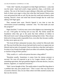"I did, I did." Quickly, he jumped in to help Nigel and Danica—yeah, that was her name—hand each youth a large sandwich, chips, a soft drink, and cookies. The rest of the break he spent talking to Mercedes and Demetrius, both of whom were eager to show him what they had learned. Danica came over and praised the kids as well. By the time the youth had returned to their training, Derrick's heart and mind had slowed enough that he could face talking with Nigel again.

They resumed their seats. Derrick figured it was time to turn the conversation toward something—someone—else. "So what made you start this program?"

Nigel chuckled. "I wish my story were in the slightest way interesting, but it's not. I feel guilty for having such an easy life. My family started the foundation when they got to the point that their millions of dollars in Microsoft stock wasn't doing anything but making them richer. They always believed in living socially responsible lives, even after they became wealthy. So they never spent any of it.

"We lived off their substantial incomes; they worked for Microsoft after all. They just lived like they always had and tried to teach us to appreciate our lifestyle and not take it for granted. I have no idea how what they said sank in. So many of my friends from high school are either rich assholes, drug addicts, or slackers living off their parents."

"Why would a ri—well-to-do person become a drug addict?"

"Boredom usually. Sometimes it comes from the intense pressure to succeed. We were all expected to go to Ivy League schools, or MIT, or something equivalent, then get graduate degrees to become doctors, lawyers, dentists, engineers, or corporate executives."

"Huh. I never thought of that. The media makes it sound like drug abuse is a problem that only poor people have." That it wasn't that way had never occurred to Derrick. Sure, he saw films where rich folks snorted cocaine, but that was the movies.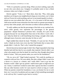"Well, it is primarily a poverty thing. When you have nothing, especially no one who cares about you, I imagine it's probably easier to face a bleak existence when you're high or stoned."

Derrick agreed. "Yeah, it is." Been there, done that. "Plus, when gang members are living in your neighborhood, drugs are everywhere, you've been told you'll never be worth anything, and you're not treated equally in school almost no one even admits that's the case—it's a lot easier to fall into using. Add racism and the issues minorities face that result in a greater percentage in poverty than white people, and it becomes an ethnic/cultural problem, too.

"It really saddens me that the percentage of the kids on my caseload who aren't white grossly over represents the percentages in the general population—despite Demetrius's presence here. Actually, he's part of this program because he was doing better than most of the others I work with. I can't help but think he is still benefitting from being a straight white male, although issues of poverty came into play for him as well."

Nigel nodded then shook his head. "Probably. It's just not fair. Poverty sucks. I thank my lucky stars every day that I had breaks that so many other people didn't. I truly do. That's why I started this program."

Derrick heaved an internal sigh of relief. How Nigel responded to that long diatribe had told him that he was actually date material. Derrick didn't care what color people were that he dated; he cared how they thought about those kinds of issues. "Did your parents make you work for the foundation?"

"Oh, no, not at all." Nigel looked surprised. "We could do anything we wanted to with our lives. We were adults. But after college I didn't want to be a doctor or a lawyer or a dentist, and I really didn't want to go into the business world. I didn't get my parents' math/science gene so high tech was out. I mean, I could have worked in some other capacity but then it would be like any other business world. So I just stayed in school as long as I could. When my parents created the foundation, it was a no-brainer for me to work here, too. I was sick of academia and was eager to find something meaningful to do with my life; I wanted to give back to society."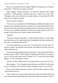That was interesting. Derrick figured Nigel for having been in business somewhere. "What did you study in school?"

Nigel laughed. "Basket-weaving." At Derrick's skeptical look, Nigel continued. "Anthropology, learning about how cultures live and work. Throughout time, most cultures have made baskets of some kind. My PhD thesis was on basket-weaving."

Derrick snorted. "Really?"

"Sort of. It was a comparison of tribal designs in traditional basketry in two cultures, one in Australia and one in Canada, two cultures that could not have been in contact after the division of Pangea into the continents we have today. Yet there are incredible similarities between the designs made by these two groups of tribes that aren't found in other tribal cultures."

"Pangea?"

"The lost continent. Basically, it's what scientists believe was the single continent that was over time broken up by earthquakes into the continents we have now. Continental drift and all."

*You learn something new every day.* "So you became a doctor after all." Derrick couldn't stop himself from teasing. He hoped it was okay; that was really important, too.

Fortunately Nigel both grimaced and chuckled. "Just call me Doctor Who. Or rather, Doctor What?" Since Nigel waslaughing, Derrick felt it was okay to join in. All that and a good sense of humor, too. "It wasn't the most useful degree, so I was working as a waiter."

"Doctor, I'd like a burger and fries. Be quick about it or we won't tip you."

More laughter. "Yep. It happens more often than you'd think. So obviously it was a no-brainer to work for the family foundation when it was created."

That was the perfect opening to lead to what he really wanted to know. "Why did they start it?"

"Well, I told you we were raised to give back. They had all that money and more because they kept getting more options that kept increasing in value as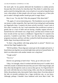the stock split. So my parents dedicated the foundation to combat poverty because they felt so lucky for what they had. They think it's unfair they were paid so much for doing their jobs, even as hard as it was and as long the hours were, when plenty of other people who toil away working two or three jobs just to make it through another month get paid in magic beans."

Here it was. "So why this? Why this program? Why these kids?"

"Oh, again, it's not an interesting story. The foundation was set up to dole out money to other nonprofits. But I got tired of just sitting back and keeping my fingernails clean. I wanted to be more actively involved. I wasn't sure at first what I wanted to do, but I read somewhere that recidivism in prison is greatly due to a lack of skills and not having a healthy support network. I learned that low self-esteem was a huge factor, and that most of those in jail have records all the way back to childhood. I figured that if I wanted to be proactive, I needed to start there. Then I saw this show about dog-training programs in prisons, and how well they worked for both the prisoners and the shelter dogs, lowering recidivism rates."

"Is there a big problem with dogs going back to prison?" Derrick was relieved that Nigel laughed at that.

"HUGE problem. Those dogs just cannot get on the straight and narrow. I heard about one dog that was arrested eight times and never learned better. He died in an altercation with another inmate over a dog bone."

"Tough world."

"Yes it is."

Derrick was grinning so hard it hurt. "Sorry, go on with your story."

"Okay. So I thought, what if I worked with kids from juvie? I couldn't do it with kids actually in detention because they just aren't there long enough, and they often slip through the cracks as soon as they get out. So I figured that if I just work with kids that are at least trying a little, ones that are attempting to follow the probation rules, that maybe I had a chance there. Even that subset of the kids on juvenile probation has a huge recidivism rate, as you know. Although, perhaps I shouldn't have bothered with Juvie Man's kids." He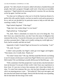grinned. "So I did a bunch of research, talked with about a hundred thousand people, then built a program I thought could work. It has been an incredible experience." Nigel looked to be assessing Derrick's reaction. He was chewing on his lip again. God that was hot.

"So what you're telling me is that you've lived the American dream of a perfect life with a perfect family, you have no need to work and no pressure to do so, and yet you decided for no particular reason to help at-risk kids after watching a reality TV show."

Nigel looked chagrined. "I like dogs?"

"Nigh, that's the coolest thing I've ever heard."

Nigel perked up. "Liking dogs?"

"No, dork. There is absolutely no reason for you to be doing this. You don't have any connection here, you don't have the sense of obligation that someone like me has. You just do it because you want to help. I can't even tell you how awesome that is. Nigh, you're totally rocking my world right now." Fuck, had he actually said that out loud?

Apparently it hadn't freaked Nigel out because he was beaming. "I am?"

"Uh, yeah. You are."

It didn't seem possible, but Nigel's smile got even bigger and brighter. "That means a lot. It really does. Thank you."

"For what? I mean why?" Oh crap. Did that sound like Derrick was fishing to see if it meant a lot because it came from Nigel? Did he even want to know? Did it matter? He was thinking it actually did because he liked this guy—a lot.

"Well, sometimes I feel like people don't want me here, that the kids don't trust me because I'm not part of their world. I don't have any experiences to draw from. It's just nice to know that someone who's been there thinks it's okay. To come from someone like you, who has been through so much and who is an amazing person, is just…" He trailed off. Their eyes met again, and this time the look lasted even longer. Derrick felt like his body was expanding, like he had taken the best drug in the world.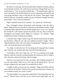*He thinks I'm amazing.* Derrick decided there would be no better moment to put himself out there. He could always just leave if things didn't go as he wanted them to. "Um, so, uh, do you think that—" He needed to get a grip; he never stammered. He prided himself on always appearing self-assured and easy-going and didn't want to look like he was anxious. Then again, Nigel made it look sexy. It probably wouldn't be sexy on Derrick, though. He took a deep breath. "Can I call you sometime?"

Nigel's beautiful smile never wavered. "Yes, please do. I'd like that."

They exchanged contact information, each entering it into the other's phone. Nigel put his away but Derrick kept his out and dialed a number. Nigel cocked his head a little but Derrick held his finger up in a "just a sec" gesture. He clicked the "call" button and put the phone to his ear, then covered the mouthpiece and leaned toward Nigel for a moment. "It's dialing." Nigel nodded and sat back, looking away politely.

A moment later, Nigel's phone rang. He seemed surprised but he pulled out the device. When he saw who was calling he started to laugh. "This is Nigel Rutherford. May I ask with whom I'm speaking?" Talking in a snooty voice, he enunciated each word carefully.

"Yo, Nigh, I is Derrick Cole. We be talking at the dog park like a minute ago?" Derrick was using his best boy-from-the-hood impression.

"I remember. How may I help you, sir?" He was straining not to laugh. Derrick could see muscles working beneath the translucent skin of Nigel's neck. Derrick wanted to feel them with his tongue.

"Hey bro, you wanna kick it? Like, you know, this weekend sometime. If you ain't got nuthin' better to do. I ain't got no shit going down." He was trying to suppress his own laugh. He sounded like an idiot.

"I might be able to fit you into my schedule," Nigel said stiffly with his nose in the air. He sniffed. "I believe I have some time tomorrow evening. Are you available around, say, seven o'clock?"

"Yo, that be tight. You wanna meet somewheres? Like where there ain't no po-po?" Derrick wasn't sure how up on current street slang Nigel was. He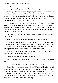knew the kids would be making fun of Derrick if they could hear. He had been out of the game too long to sound right, which was a good thing.

"Certainly not where there will be police, good man. I have no desire to have the constabulary involved in our little *tête-à-tête*. Shall I have my car retrieve you at your place of residence?" He wasn't as square as Derrick thought. Nigel not only knew what "po-po" meant, he was willing to play along with one of Derrick's silly games. Excellent.

"Stay on the down low. I don't want my homies—" Homies? He knew that wasn't current but he was blanking on what was. "—be thinking I be hangin' with the man." Geezus. He could never face his kids again. He'd turned into a nerd. The thought helped him keep his composure, unlike Nigel who was about to fall out of his chair.

"Very well," *snicker*, "I shall see you at seven o'clock tomorrow evening. Good day, sir."

"Later." They both hung up and collapsed into gales of laughter.

"Would you two keep it down over there? We're trying to learn," Mercedes yelled. Derrick looked over, sheepish. "Fuckin' fags." She turned but he didn't miss her wink and leer as she looked away. She was a great kid, although he needed to speak with her about her word choices.

When he caught his breath, Nigel turned to Derrick and asked, "Did you learn to speak like that on the streets?"

"Yeah, but that was terrible. I'm out of practice."

Nigel shook his head. "It sounded fine to me, annoying white man that I am."

"Well your impression of a rich snotty prick was right on."

"Thank God I have no experience with that." Nigel chuckled. They lapsed into a comfortable silence for a few minutes, just watching the kids who were now working on something involving cones. Mercedes told him they worked on a lot of different things each day to keep both the teens and the dogs from getting bored. They practiced each item until they got it right, but it could take days or even weeks for some of the training.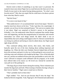Derrick tried to think of something to say that wasn't so personal. He wanted to learn more about Nigel, but in a read-between-the-lines sort of way. Finally he just stuck to the typical boring dating questions. "So what's your favorite movie?" Shit, that was stupid. But he could learn a lot about a person from what they liked to watch.

"*Spirited Away*."

"I've never even heard of that."

"Most adults haven't. It's an animated kids' movie from Japan." Derrick's surprise must have shown on his face. "Yeah, I get that a lot, surprisingly. It actually won an Oscar for best animated feature." He went on to explain what it was about. Nigel was surprised at Derrick's answer to the question: *Schindler's List*, but understood when Derrick explained that similar things were still happening, and that the marginalization of minorities and extreme nationalism was where such things started. He didn't think it was an impossibility that such a thing could happen in the US. Derrick worried that he was being too political and boring in what he talked about, but Nigel stayed right along with him.

They continued talking about movies, then music, then books, and basically spent the rest of the time chatting about nothing important and laughing a lot. When the kids were finished, Derrick helped them all break down the enclosure and pack it in the van. In the parking lot were several cars with dog crates and volunteers who loaded up the dogs. A few of the kids piled into cars, and the rest ambled off down the road, presumable to catch a bus. He wasn't allowed to transport youth affiliated with his program, or he would have offered rides in his classic car. He loved cars. Instead he watched the vans pull out of the parking lot.

"The dogs all go to foster homes during the training. Those volunteers just transfer the dogs back and forth. When training is finished, the dogs will go to their forever families." Nigel came to stand next to Derrick.

"That's probably hard on these kids."

Nigel nodded. "Yes. And not just because they'll miss the dogs." He looked at Derrick resignedly. Yeah, Nigel got it. He'd listened and understood.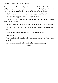Loss was very hard for a lot of people from these situations. Derrick was one of the lucky ones. He had the Bryants, his true parents. He had Ronald, a great man who took a messed up kid and made him into a human being.

"So I'll see you tomorrow at seven. You've got my address?"

"You put it in my phone yourself." Nigel chuckled.

"Yeah, well, you can never be too sure. See you then, Nigh." Derrick turned toward his truck.

"Is that what you're going to call me?" Nigel looked at him expectantly.

"What?" Derrick turned back. He hadn't even realized what he'd been saying.

"Nigh. Is that what you're going to call me instead of Gelly?"

"Do you mind?"

That beautiful smile took Derrick's breath away again. "No, Dare, I don't mind at all."

And in that moment, Derrick realized he was already falling.

\*\*\*\*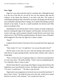#### CHAPTER 3

## **Now: Nigel**

Nigel isn't sure what woke him, but he's instantly alert. Although his back is to the rest of the bed, he can tell by the way the mattress dips and the coldness of the sheets that Derrick is not there with him. The sound of something breaking has him in the hall in an instant. He plunges into the living room, belatedly realizing if there is danger, he is naked with nothing to protect himself or his family. It may be a small household, but Derrick and Tibbs mean everything to him.

Immediately he sees that he doesn't need a weapon, he needs compassion. Derrick is hitting the edge of the fireplace with the poker. He hears his lover scream with rage, and he prepares himself to help Derrick come back from wherever he is. The PTSD has manifested before. He doesn't know if Ronald's death triggered it this time, but right now it doesn't matter.

"Dare?"

It appears Derrick doesn't hear him at first; he pounds the bricks again and howls.

"Dare, honey? It's me. I'm right here. Can you put the poker down?"

Derrick spins to face him, his eyes wild and shining with emotion. His chest heaves in giant panting breaths, and the poker remains aloft, ready to swing again.

"Dare, I'm here for you; I'm going to help you. I need you to put that down so I can come closer." He smiles ruefully. "I don't want to accidentally get hit. I'm a big baby when it comes to pain."

Derrick looks like he's processing what Nigel is saying, then he throws the implement away from himself in horror. He blinks and looks back at Nigel. "I'm sorry, I would never…" He takes a step forward.

Nigel nods in encouragement as he slowly moves toward his boyfriend. "I know, Dare, I know." He holds his arms out to the side, careful not to spook Derrick in case he's still confused. "You would never hurt me."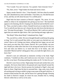"Yes I would. You can't trust me. I'm a pariah. I hurt everyone I love."

"No, Dare, never." Nigel shakes his head and moves closer.

Agony streaks Derrick's face. "I hurt Ronald. I left him when he needed me, and I abandoned my sister and brother. I hurt them, too. He died because of me, and they are left alone because I'm a selfish prick."

Nigel feels his heart constrict at Derrick's anguish. "No, never. It's not selfish to refuse to be manipulated into giving up true love." His boyfriend appears to be listening, like he's hoping to be absolved and terrified he won't be. "Dare, you had to make a choice. Ronald forced you to make that choice. You've said all year that you can't choose the one who forces the decision on you." He steps forward again. "You still see Marisol. She's said over and over again that you made the right choice. She's just hurting and angry right now."

"But Benji? What about Benji? I abandoned him, Nigh."

"No, you left for a while. We never thought Ronald would keep this going so long. You've said yourself that while we were apart you checked out, you weren't there at all. Getting your letters, telling him how happy you are and how much you miss him, that's better, Derrick. He's your brother, not your son. Would you rather show him how to be strong and stand up for who you love and what you believe in, or teach him how to be lonely, sad, and miserable? Marisol said he's doing great. Dare, you made the right choice, you know that"

Derrick's eyes are unfocused as memories overlap in his head. Nigel continues, "I needed you then, and I need you now even more. I want you in my life, in my heart. Picturing anything else makes me ill. I'm here for you."

Derrick's eyes focus on him. Nigel jumps forward and catches him as he crumples. He lowers them both to the ground and wraps himself around the tight ball that is his lover. Derrick presses his forehead to Nigel's chest and leans in closer. Nigel does his best to surround him—legs, arms, torso, head, all reaching and curving to enfold, trying to ease some of the grief with love. A tentative hand touches his side, and he knows he's getting through. Pressing his cheek to Derrick's temple, he closes his eyes, breathes him in, feeling Derrick within him as well as in his arms.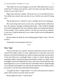"Why didn't he love me enough to set me free? Why did he have to try to control me? I'm thirty years old now, and it was only a year ago. Why wasn't it okay for me to fall in love?"

Nigel kisses Derrick's temple. "He loved you. It was all about his love. Your father just wanted what was best for you. And he was scared of losing you."

"But he did lose me." Derrick's voice is muffled, but he isn't letting go.

The words bring fresh sorrow to his voice, and Nigel finds it difficult to bear. He somehow manages to hold himself steady. "I don't think he thought you would challenge him. He wasn't himself, and he was hurting from the loss of your mother. You've always said he's a lot like you, and you are stubborn to your core. I think he believed it was a contest, and he was too bullheaded to give in first."

Derrick shakes his head, his nose rubbing against Nigel's chest. "He was an idiot"

"Sometimes even the greatest men are."

\*\*\*\*

# **Then: Nigel**

"Oh my God that was so good!" Derrick scarfed down the last of his ice cream like he hadn't eaten in a week. Nigel knew for a fact that wasn't true because so far Derrick had eaten two orders of salmon and chips, several slices of hot-out-of-the-oven sourdough bread, a plate of oysters during which seemingly endless awkward teasing and innuendos ensued, two large Cokes, the biggest iced mocha Nigel had everseen, and a sack of fresh saltwater taffy made right there. It was a wonder Derrick'steeth didn't fall out. Nigel thought it was adorable and longed to see what else the small man was willing to put in his mouth. So far the oyster talk had left him hopeful.

"I'm glad you like it." Nigel smiled. "I've never seen anyone love food so much. Did you know you hum when you eat?"

Derrick glanced at him. "I still do that?"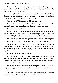"Yes, you still do that." Nigel laughed. "It's charming." He laughed again at Derrick's scowl. Those beautiful eyes were bright, revealing that the expression was all in good fun.

"Are you going to finish that?" Derrick indicated the cone in Nigel's hand. The late November air on the Seattle waterfront was cold, but Derrick didn't seem to notice as he looked eagerly at the icy glob.

"Oh. No, want it?" He handed the dripping mess over.

"You didn't like it?" Derrick looked a little worried, as if he were afraid he had made a bad suggestion when he declared he wanted ice cream.

"I loved it. I'm just stuffed!"

Derrick seemed to accept that answer along with the ice cream, which he proceeded to stuff down as well. "Guess I'm getting there, too." He looked sideways at Nigel, and they both burst out laughing. "I guess I eat a lot."

"Well your body needs it because you don't have an ounce of fat on you."

Derrick ducked his head. "You haven't seen beneath my clothes."

"Not yet anyway." Their eyes met, and Nigel's heart fluttered. Derrick was striking. Every time Nigel looked at him, he found himself momentarily mute. When Derrick spoke, he often had to replay the words in his head before they registered.

"Have you ridden the Great Wheel yet?"

God that sounded romantic. "Not yet." Nigel felt stupid. He wasn't sure if Derrick wanted to ride the Ferris wheel or if he was just making conversation. The ride was pretty pricey. He had no idea how much Derrick made, probably not much working for the government.

Derrick turned and looked up at the giant ring above them. "You know, they're just copying London. They could have come up with something more original."

Nigel didn't look up, just gazed at those eyes. "I suppose, but I haven't ridden that one, either, despite having been to the city twice."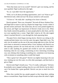"Does that mean you're too scared?" Derrick's grin was teasing, and his eyes sparkled. Nigel swallowed at the sight.

"Er, no. I just didn't have the opportunity."

"Well, we're all about providing opportunities, aren't we? Want to go?" Did Derrick look a little nervous? He always seemed so self-assured.

"I'd love to." He really did—anything to be closer to Derrick.

Derrick grinned. "Race you, slowpoke!" He took off down Alaskan Way, and Nigel had to strain to catch up, despite his longer legs. It took a while to get their tickets and board. The whole time, the two were pushed together by the crowd, and Nigel was hyperaware of Derrick's body next to his. When they finally entered the gondola, six more people piled in after them, and the two were squished into a corner. Nigel didn't mind at all. His side tingled where it touched Derrick's, even through the cloth separating them.

The giant Ferris wheel began moving slowly. Derrick was sitting on the outside and had a better view over the water, but again, Nigel didn't care. The only view he needed was the one of the man sitting right next to him. He had never been so attracted to someone before. Every moment with Derrick was like opening a present. He was fresh and vital, so full of life. Derrick didn't seem to take anything for granted and reveled in each new sensation humming when he was eating, commenting on how interesting everything was, eyes shining when looking at anything new, sometimes even bouncing with excitement at something others would find stupid.

"This is great! Isn't this great?" Derrick was lightly bouncing in his seat now, looking out over the water, in at the other passengers, and then back to grin at Nigel.

Derrick took Nigel's breath away. "Yes. It's really, really great." He knew he probably never stopped smiling when he was with Derrick, but he didn't care if he looked like a giant goofball. Derrick was just so much fun to be with.

When they reached the top, people gasped as they hung there, nothing above or around them. Puget Sound was dark except where the wheel's lights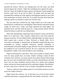speckled the surface. Derrick was looking back over the water, one hand pressed against the window. Nigel felt something press against his palm— Derrick's hand. He fought the urge to grab it and squeeze it hard enough that Derrick could never let go but he didn't. He gently took the hand and pretended like nothing out of the ordinary had happened instead of one of the most momentous occasions of his life. It was their first date, their third time meeting, and he was already in major lust with this man.

The next time they reached the top, Nigel looked out at the water and found Derrick's reflected eyes watching him. When Derrick noticed he'd been caught, he broke into a smile, and Nigel squeezed his hand lightly. He squeezed back, and they held the gaze for a long moment before Derrick turned his head to watch the view behind them.

When they disembarked, Nigel kept hold of Derrick's hand, and Derrick didn't try to pull away. They casually walked back to the street amid the throngs of tourists. No one bothered them, although Nigel was pretty sure an older couple took a picture of them. *Welcome to Seattle, folks. We're everywhere*, he thought. A moment later, he belatedly realized that they were surrounded by tourists, complete unknowns, possibly unfamiliar or uncomfortable with public displays of gay affection. He never minded before but suddenly he was worried for Derrick. He was a small man, and if some homophobic Luddite with a beef decided to start something…

Nigel forced himself to calm down. They were in public in Seattle. There were too many people here, too many vendors wanting to make all their customers feel welcome, too many tourists from places abroad where being gay was even more accepted than Seattle, too many urban denizens who had seen it all, too many Seattleites proud of their city's quirky and accepting nature, and just too many people period for anything to happen. Nevertheless, he took a step closer to Derrick. Even in Seattle, homophobia still thrived.

"Want to walk up to the sculpture park? It's too bad the streetcar was torn up for the viaduct removal."

Nigel missed the streetcar, too. It had been one of his favorite Seattle waterfront attractions, a repurposed old relic from Seattle's early days. "Sure."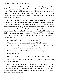They began walking north along Alaskan Way toward the Olympic Sculpture Park, an outdoor extension of the Seattle Art Museum. They held hands as they walked and enjoyed being next to each other. Neither felt the need to speak. The population dwindled as they got further from the main piers, but Nigel didn't feel a resurgence of his nervousness. He inexplicably felt safer with no one else close by.

When they reached the park they discovered it had officially closed just after dusk, but they were still able to see and even access many of the exhibits. They sat on each of the six benches shaped like eyes, and Nigel had a sudden desire to curve Derrick along the arc of an eyelid and make their bodies into one. It was so not the time or the place, and he quickly tamped down his libido. Instead they headed back down to the water and into Myrtle Edwards Park, which extended along the shore north of the piers. After a while, Derrick turned to lean on the railing overlooking the water, letting go of his hand. Nigel joined him.

"I love the smell of the sea," Nigel said after a while.

"What, the smell of rotting fish and seaweed?" Derrick teased.

"Yep. Yummy." Nigel turned sideways to face him. "But I like the company better." God that was cheesy. Was that too cheesy?

Derrick turned toward him and grinned. "That was cheesy."

"I was afraid of that."

"But I like cheese." Derrick moved closer. "It's one of my favorites."

Nigel felt a stirring and a sudden need to adjust his pants. "Is it now? What kind do you like best?"

Derrick took another step closer. Nigel could feel his breath brush the bottom of his face. Derrick placed one finger on Nigel's chin to tilt his head down a bit. He fell into Derrick's eyes. He had never before seen eyes quite that hue. The Caribbean Sea's cerulean had nothing on that color. "All kinds. But I like the hot ones best."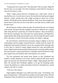"Temperature hot or spicy hot?" Was that lame? That was lame. Nigel felt like his skin was too tight, all of him straining to touch Derrick, leaving no room for his brain to work.

"Both." Nigel noticed Derrick's breathing was a little faster. Good. It matched his own. It was his turn to move. He reached one hand up and cupped Derrick's cheek, smooth skin with a light covering of coarse five o'clock shadow. His thumb traced a tapered cheekbone. They were close enough now that he had to look from one eye to the other to see both, but he couldn't pull his gaze away.

He felt Derrick swallow under his palm. He realized Derrick was looking at his mouth. That gave him the strength to look down. When he saw a tongue slide along Derrick's parted lips, he closed the distance. They met halfway, their lips just touching at first, then that sexy mouth opened, and Nigel felt a tongue gently slide along and around his own. Derrick made the tiniest sound, half a step above a hitch of his breath, and that was Nigel's undoing.

He took Derrick's head between his hands, tilting it slightly so the kiss could deepen and his tongue caressed Derrick's cheeks from the inside. He pulled back and sucked on Derrick's lower lip a moment before opening wide to dive back in. Derrick's hands slipped around his waist and pulled him closer. Nigel turned and pressed Derrick between his own body and the railing. His arms moved to wrap around Derrick's shoulders and he felt Derrick's hips press against him, the hardness there mirroring his own arousal.

The kiss quickened and turned more intense as they plundered one another's mouth, desperate to be closer. Derrick made the half moan sound again and pressed one leg between Nigel's thighs. Nigel gasped and drew back. He touched their foreheads together as he got his breathing under control. He pulled away a little and looked at Derrick's beautiful face, mouth canted to the side in a smirk.

"Told you I like cheese."

Nigel laughed, although it was a little more like a pant. "Good thing. I am great at being cheesy." He leaned in for another kiss but made it short. Derrick whimpered when he pulled away, but Nigel shook his head. "If we keep this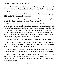up, I won't be able to stop, and we'll be arrested for public indecency. Correct me if I'm wrong, but I don't think it looks good for probation officers to get arrested."

Derrick shoved him away. "We wouldn't want that. I was hoping to get laid tonight!" He grinned mischievously.

"Anyone I know?" Derrick punched him lightly. "Okay then, 'Your place or mine?'" Nigel hoped that was funny. Was that funny?

"Which is closer?" They turned to run to the car and almost bowled over an older couple sporting American flag hats, his and her matching clothes, and shopping bags with Space Needle logos. Both of them were gaping, and he got the impression they'd been watching for more than a mere few seconds. He ducked his head and mumbled an apology as Derrick laughed and dragged him forward. Nigel had time enough to notice that the tourist's pants were tented and he couldn't suppress a chortling snort as he passed.

"We just gave the tourists a peep show. I think they enjoyed it. A lot."

Derrick turned to look at him. "Really? Well next time they have to pay. Your body is worth its weight in platinum, and as the new guardian of its flame, I decree that you don't give out freebies."

"Not even to you?" Nigel was having trouble maintaining the conversation as they raced along what was, in all likelihood, the only level road in Seattle.

Derrick gave him one last look with his eye quirked. "I don't pay for what's already mine." He laughed to indicate it was a joke but deep down, Nigel didn't mind the thought of belonging to Derrick at all. In fact, he quite liked the sound of it.

\*\*\*\*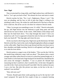#### CHAPTER 4

## **Now: Nigel**

They sit entwined for a long while, until Nigel realizes how cold Derrick's back is. "Let's get you back to bed." He releases his lover and starts to stand.

Derrick reaches for him. "No, I can't. Nightmares. Please, I can't." His eyes are pleading, and his face so full of pain that Nigel is willing to do anything to take it away. He wishes he could absorb all of the hurt so that his lover could rest. But all he can do is be there for whatever Derrick needs.

"Okay. Let me get you something to wear. It's chilly." Derrick reluctantly lets go, and Nigel hurries into the bedroom to grab sleep pants and long sleeved tees for each of them. In the corner, Tibbs blinks at him sleepy-eyed then lays his head back down. "You slept through that noise? I have you trained too well. You're supposed to break the rules for that sort of thing and bark your head off." The dog sighs and closes his eyes.

On his way back to the living room, Nigel turns up the thermostat. He finds Derrick on the floor, back to the couch, leafing through photo albums arranged on the coffee table. Nigel forces him to get dressed and then sits down next to him, shoulders and thighs touching. Derrick is still agitated, and Nigel's goal is to calm his lover down.

Derrick points to a page in one of the binders. "This was the day I left for the month-long wilderness camp I told you about." The photos show a much younger and rather sullen Derrick in front of a school bus painted bright red. A water bottle is in his hand and a huge backpack lies beside him. Ronald has his arm across the teenager's shoulders. "I was so pissed off. Ronald kept reassuring me that I could do it, that I would be fine. At the time I thought he was full of shit. I had convinced myself I just didn't like the outdoors because I was a city boy. But after this picture was taken, on the bus to the site, I realized I was terrified."

"How old were you?"

"Sixteen. Ronald spent three weeks gearing me up for the trip but I still wasn't prepared. We spent the first couple of days at a campsite learning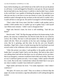basics before heading out, and I bribed one of the staff to let me use the phone to call home. I cried and begged for Ronald to come get me. He just repeated that he had faith in me, that he knew I could do it, that he didn't have a doubt in the world that I was capable of finishing the program. He reminded me to take just one day or one hour or even one minute at a time. He said that I just needed to make it through one day out there on the trail and if I couldn't do it, I could call him to come get me. He said he'd arranged it with the head guide.

"That's what I did. Every time I felt like I couldn't walk another yard or couldn't climb another tree or couldn't go out to gather food, I told myself 'just fifteen more minutes.' I didn't want to disappoint him."

Nigel rubs Derrick's knee; his lover is still trembling. "And did you finish?"

Derrick nods. "I did." He flips the page and shows his homecoming. In the photos, the same bus is behind him, but Derrick looks like he was raised by wolves: He is filthy. His hair is wild and matted. His clothes are ripped and caked with dirt. There are scratches on his face and a bandage around his wrist. But he is grinning, and this time, he has his arm over Ronald's shoulders. Nigel feels a burst of pride knowing that his boyfriend survived several weeks in the wilderness with no amenities or outside food.

"After this picture was taken, I said goodbye to the guides and told the leader that I was glad I hadn't had to use the phone. She had no idea what I was talking about and told me that there was no cell phone service out there, that in an emergency, someone would have had to hike out for help. There was no way I could have gotten out early. I was so angry, I didn't speak to Ronald for a week. But in the end, I realized that without the belief that it was up to me when it ended, I wouldn't have believed I could do it."

Nigel smiles and kisses his lover. "I'm really impressed. I don't think I could do it."

"Be quiet. Of course you could." They sit in silence as Derrick flips the pages, his erratic movements a sign that adrenaline is still rushing through his system.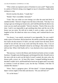"Why is there an expensive piece of furniture in your yard?" Nigel points to a photo of Derrick sitting cross-legged on top of a beautiful wooden desk resting on a tarp.

Derrick touches the photo. "I made that."

"Really? That's incredible. Seriously?"

"Yeah. This was while we were letting it air after the stain had dried. It smelled terrible." Derrick's fingers trace the lines of the desk. "One day I was trying to get out of doing my homework, and I told Ronald that the desk in my room was too small and unstable." Derrick chuckles. "Kind of like me at the time. I said it was impossible to get anything done there and the rest of the house was too noisy. He told me to make it work or make a new desk. I laughed at him. He asked me what was so funny, and I realized that he was serious.

"As always, I was utterly convinced it was impossible. No way could I make a piece of furniture. But he dared me. He said he would buy the supplies, but I had to do the research. If I did it, not only would I have the desk, but he would let me sell the one in my room and keep the money. See, it was an antique and I'd royally offended Celeste by not liking it. But neither of them told me that. When I did finally sell it, I was shocked at how much money I got.

"But anyway, I went to the library and checked out books on how to make furniture. I bought some drafting paper and designed the desk. Ronald went to the store with me to pick out the kind of wood I wanted, the stain color, the drawer pulls, screws, etc. At least fifty times, I stopped building because I decided I couldn't do it, and Ronald had to boost me up again until I was ready to continue. It took me almost a year, but the day I finished, I felt like I'd climbed Mt. Rainier."

"Wow. That's a gorgeous piece. All that detail." A dozen photographs depict various angles of the desk and drawers. "Do you still have it?"

"It's at the house."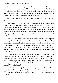Nigel looks around the living room. "I think it would look really nice over there where that boring sideboard is." He points to an alcove that they've never found any real use for. "When things are less emotional, do you think we could bring it here?" The piece is lovely, and he genuinely means it, but he's also trying to calm Derrick and nothing is working.

Derrick smiles for the first time since Nigel came home. "Yeah. That'd be great."

They pore through the albums, Derrick occasionally explaining a photo or telling a story of how his foster father helped him build his self-esteem and belief in his own abilities. Until now, Nigel didn't know a lot about how Ronald helped Derrick turn around, only that he did. Since the rift when his father expelled him from his home, Derrick hasn't talked about his father at all. Nigel is glad to finally get to know a little about this man Derrick still idolizes.

"Thank you for sharing this with me." Derrick just nods, his leg still bouncing. Nigel pulls his lover into his arms, and they hold each other, thinking and remembering. Silence settles around them like a mantle. A long time passes before Derrick chuckles without humor. "It's ironic, isn't it? He made me who I am today through his love and tolerance. He understood me and what I went through and he didn't judge me. And yet, intolerance is what tore us apart."

He turns in Nigel's arms and kisses him deeply. "I almost lost you. I almost lost this." His throat works as he swallows several times. "I'm so angry with him. He didn't trust me in this, the most important thing of all. I had to leave. I had to, right?" He clings to Nigel. "You were the one thing that was missing in my life. I needed you to feel whole." His body shakes. "This is right. We're right. Right?"

Somehow Nigel manages to pull the quivering mess that is Derrick closer. "Don't second guess us, please don't. I'm here and I'm not going anywhere. We were meant to be together, you know that. I love you forever, don't ever doubt it."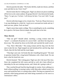Derrick punches the table. "The fucker did this, made me choose, and then went and died on me. Fuck. Fuck!"

Derrick looks like he's falling apart. Nigel can almost see pieces tumbling off hislover as he comes undone. He grasps Derrick'sface between his hands. "Dare, I've got you. I'm here. I will always be here. You won't fall; I've got you."

Derrick stills then lunges in for a frantic kiss. "Fuck me. Please fuck me so I can stop thinking for a little bit. I need you to surround me inside and out. I need you now, please. Fuck me hard."

Nigel is more than ready to oblige. This is something he can do, something he is good at. He kisses Derrick deeply then pulls him to his feet.

\*\*\*\*

## **Then: Derrick**

"That our girl?" Ronald asked, watching a young woman enter the "arena"—a cordoned off portion of a soccer field—and direct her dog into a down-stay. The animal lay down on his belly and watched the small crowd.

"Yep. That's Mercedes." The young woman and her dog were the first ones to take the test. Nigel stepped out and introduced her and the dog, Spot Check, then left the field and the exam began.

"That dog's sure cute. Girl looks like she's handling him good." The mutt in question looked like a long-haired Dalmatian with a black head. No one knew what his breed mix was.

Derrick beamed. "She's doing great. Nigel says she's the top of the class. Since she completed the full course and did so well, she's been offered an internship for the next training session, and I think she's going to take it."

They watched the girl lead the dog through its routine, from walking on a leash without pulling, to staying in place while Mercedes walked twenty feet away and turned her back, to coming when called. The dog was required to sit patiently while being groomed and while being examined as if he were in a veterinarian's office.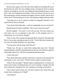Derrick stole a glance off to the side where Nigel was watching, his lower lip between his teeth. He was nodding slowly, moving his head in minute motions as though he were the one leading the dog through his paces. Each time a task was completed successfully, which was always, his face lit up in that amazing grin, and he whooped and clapped. Derrick couldn't take his eyes off his lover. That lip thing was so hot. Just looking at Nigel made him hard.

"That dog was so out of control it couldn't be adopted?" Ronald's voice pulled Derrick back to himself.

"Yep. Kind of like Mercedes—well not unadoptable, but out of control."

Ronald shook his head in disbelief. "How many times she in jail?"

Derrick laughed. "You know I can't tell you that. The only reason you even know she was in detention is that she's in this program and it's a requirement. You can ask her, though."

"Nah, it's fine. She's doing a real good job there, real good. That dog looks like it's never done anything wrong in its life." On the bleachers between the two men, his brother Benjamin was squirming.

"Can I go play with the dogs, Dad? Please?"

"Shush, boy. We got to watch them taking their tests first." Ronald squeezed Benji's shoulder and pulled him into his lap. The child was eight but emotionally about five, with the accompanying attention span.

"I don't like tests."

"Hey, Benji, Mercedes and Spot Check have a surprise at the end after the assessment is over. Just watch." Derrick tried to make it sound exciting.

"What is this test again?" Marisol asked, sounding bored. At sixteen, his foster sister found everything boring. He wasn't buying it, though. She had been bribed into coming but she was watching, not texting on her phone.

"The Canine Good Citizen test. See that woman in the tweed skirt and sturdy shoes standing next to Nigh?"

"The lesbian?"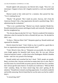Ronald sighed with annoyance, but Derrick hid a laugh. "Now let's not stereotype. I happen to know she's happily married to a rock star named Bad Boy."

Marisol stared at him wide-eyed for a moment, then pursed her lips. "You're making that up."

"Maybe." He grinned. "But I made my point. Anyway, she's from the American Kennel Club, a big organization devoted to purebred dogs. She's administering the evaluations."

"That is *not* a purebred dog." Marisol was clearly repulsed. Beside her, Ronald mimicked her posture and disgust loudly and comically. She glared at him but straightened up.

"No, but any dog can take the CGC test." Derrick wondered if he looked as ridiculous when he mocked his kids as Ronald did just now. He decided he didn't care.

"Is there a 'Merican Mutt Club?" Benjamin piped up. Ronald smiled and squeezed his shoulder.

Derrick shook his head. "I don't think so, but it would be a good idea to have an organization promoting mixed breeds, huh?"

"Yeah. Mixed is best, like us." Benjamin sat up proudly, his white teeth extra bright against his beautiful dark brown skin. He was part African American and part Lummi—a tribe close to the Washington–British Columbia border—and was very proud of his heritage.

Ronald smiled and scratched the boy's head. "Well, people are people, Benji, you know that. Anyone can be best no matter their race or color. But it's true that some of us mixed folks are pretty special, like the four of us, and they don't always get the same chances. So maybe you could start a ''Merican Mutt Club' someday, Benji, for those mixed dogs that aren't getting all the attention." Ronald never missed a teaching opportunity. It was both wonderful and terribly annoying. Derrick hated that he wasthe same way but he couldn't help it.

"A mixed dog club?"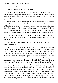His father nodded.

"That would be cool. Will you help me?"

Ronald smiled encouragingly. "I'll help you figure out the best way to go about learning what you need to know about what needs to be done in order to start the program; but you don't need my help. You'll be just fine doing it yourself."

Derrick flinched at the confusing sentence. It took him a moment to work out that Ronald was offering to help Benji determine where to start the process of figuring everything out before he actually began anything rather than Ronald starting the whole process with Benji. As always, Ronald didn't plan to actually help with the project at all, just guide his son in the right direction. Benji didn't look confused, though, so Derrick figured it was safe to move on.

"So anyway, passing the CGC test shows that the dog is well-trained and safe to be around. Being labeled Good Citizens makes the dogs easily adoptable."

"Oh." Marisol rolled her eyes but he could tell she was interested. "So what's the surprise?"

"You'll see. Wait, here's the fun part of the test." On the field in front of the bleachers, several of the other trainers had gathered in a loose group. At a signal from Danica, the teens began to make loud strange noises, flail their arms around, and move about randomly—distracting and unpredictable. Mercedes led her dog through the group. The animal moved out of the way once or twice when he was about to get stepped on, but other than that, paid no attention to the boisterous and bizarre teens. Derrick didn't think he could have done that himself; those kids were nuts. Mercedes had done a great job.

After the girl led Spot Check through the group three times, she had the dog sit. The audience applauded; Derrick and his family all shouted and cheered. Nigel was bouncing on his toes as he clapped, then he turned and looked up into the seats where his eyes met Derrick's. His grin turned into the huge open smile that always set Derrick's heart skipping, and Derrick smiled back. Danica was standing next to Nigel, and when she caught Derrick's eye, she pantomimed a giant wink so he could see it from where he sat. He rolled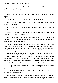his eyes but he felt his face flush. Once again he thanked the universe for giving him naturally tan skin.

"That your man?"

"Duh, Dad. He's the only guy over there." Marisol sounded disgusted again.

Ronald ignored her. "It's a good program he put together."

Derrick's smiled never waned, nor did he take his eyes off Nigel. "It sure is. He's a good man."

"And fucking hot, too. Why the best ones always gotta be gay?" Marisol sighed.

"Marisol. No cussing." Their father then leaned over a little. "She's right though. You caught a handsome man."

Derrick thought he might die of embarrassment, until he looked at Nigel again and a warm feeling spread in his chest. Yes, Nigel was definitely a goodlooking guy, and he was Derrick's.

They all turned to watch the last of the test. Mercedes had Spot Check allow himself to be petted by an overeager Demetrius in a wheelchair. The boy was pretending to be out of control of his limbs, flopping around, drooling, and making strange sounds.

"What's he doing?" Benjamin was wiggling in imitation as he watched.

"He's pretending to be a person who is a little different than the average Joe. Spot Check proved a minute ago that he can be calm around unpredictable behavior. Now he needs to show that he can be attentive and relaxed when he is introduced to and greeted by someone with special needs."

"Oh. My. God. That's Demetrius! He used to go to my school. He is such a jerk."

Ronald nodded in agreement. "He's kind of rude. Doesn't seem very tolerant of disabled people."

Derrick sighed. "Sensitivity is not one of Demetrius's strong suits." Below, Spot Check nosed the teen's hand for more petting. Following that, Mercedes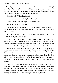took the dog around the ring and then back to the center where she met Nigel and Tibbs. They talked for a moment while the dogs ignored one another, and then she continued on. Nigel returned to his position near Danica, Spot Check having shown that he could be calm around a strange dog.

"Gelly has a dog?" Benji exclaimed.

Ronald looked confused. "Jelly? Who's Jelly?"

"That's what the kids call Nigel," Derrick explained.

"When did you meet Nigel, Benji?"

Benji wasn't paying any attention to his father. Instead he was standing and waving to Nigel with his whole body. Below Nigel was laughing and waving back just as big.

"Last Thursday when his playdate was cancelled, I took Benji and Marisol to watch the dogs and meet Nigh."

"Man's called a lot of weird names. That's probably your doing, Mr. Alias." It was true. Derrick had a nickname for everyone except his parents. They're nicknames were "Mom" and "Dad" but for a long time, he hadn't felt comfortable calling them that, and then it was too awkward to start.

Derrick looked down to where the last part of the test was happening. A jogger ran close by Mercedes and the dog as they walked placidly across the field. Spot Check ignored the woman, calm until two teens carried a ladder nearby and dropped it just as they drew abreast of the dog and handler. Spot Check jumped a little and looked at it but then kept walking. They returned to the center of the arena where Mercedes bowed and the dog kneeled on his forelegs.

"Yes!" Derrick jumped to his feet yelling and clapping. "Way to go, Mercedes!" He whistled. His family and the rest of the audience were on their feet, too. The other trainers were off to the side also whooping and cheering. Mercedes beamed. Nigel ran over and shook her hand hard, his own face bearing his radiant smile. Derrick thought his heart might explode.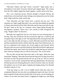"Mercedes Walters and Spot Check, everyone!" Nigel spoke into a microphone in his hand. Everyone cheered and clapped again. The woman from the AKC lightly tapped her hands together, a polite smile on her face.

*Not a very emotional person*, Derrick thought to himself. *Boring.* He looked back at his boyfriend whose feelings were plastered across his whole body. Nigel made his whole world sing.

"Now Mercedes and Spot Check have a special treat for you." The onlookerssat. Nigel caught Mercedes's eye, and when she nodded, he signaled to Danica then hurried off the field. Mercedes and the dog stood side by side, the girl's hand on her hip. In a moment, music began piping through the microphone's speakers. There were a few catcalls as folks recognized the song, "Single Ladies" by Beyoncé.

Mercedes first tapped her foot for a few beats, her eyes meeting those of the dog. Then she twisted her left foot toward the right one a small bit and swung her hips to the right as well. The dog followed by moving his back left paw to the right, his hips moving as a result. Mercedes moved the foot back and then repeated the motion with her other leg. Spot Check followed suit. As the two continued in this manner, the crowd caught on and cheered. When Beyoncé told everyone to put their hands up, Mercedes kicked her right leg out and lifted her hands. Spot Check first kicked his right hind leg out and back, then reared up, batting at the air with his front paws. The crowd roared.

The two then moved their hips from side to side again. When the song mentioned "dipping," Mercedes bowed and the dog move his legs forward so his head was near the ground and his tail was up in the air. The two moved around in a circle as they continued their dancing. Behind them, the teens had all lined up and were imitating Beyoncé's moves from her video, too. By then the audience was on its feet again, clapping and singing along. Even Ronald mouthed a phrase or two.

"God, this song is so old. I was in middle school when this came out," complained Marisol, but even she was nodding her head to the beat. Girl and dog swung their heads and moved their hips to the music, never breaking eye contact. It was clear from Spot Check's wagging tail, bright eyes, and lolling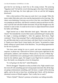grin that he was having as much fun as the young woman. The prancing "Egyptian style" bit had the crowd cheering again when Spot Check hopped along on his hind legs, his front right paw in the air and the left hanging downward.

Only a short portion of the song was used, but it was enough. When the music ended, Mercedes took a bow and the dog kneeled on his front legs. The cheers were deafening. Everyone was on his or her feet, even Marisol. Nigel was jumping up and down, and Derrick wanted to jump up and down on him, only in private and with their bodies horizontal. He put that thought away the moment it came to him. It would not do to have to adjust himself here around his father and siblings.

Nigel hurried out to shake Mercedes hand again. "Mercedes and Spot Check!" He reminded the crowd of their names and held the girl's hand up like he might a winning prizefighter's. After the applause died down, Nigel continued. "Wasn't that amazing? That's called dog dancing. It's very hard to do, and Mercedes had to work extra hours with Spot Check to train him to do it. Thank you to Spot Check's foster family, the Carters," he pointed to a large family taking up a good chunk of the bleachers, "for providing opportunities for the two to practice.

"We have more testing for you to watch, and more entertainment and surprises, so please stay. Afterward we'll have a pizza party right here for the participants, audience, and volunteers. Please join us. Up next is Molly Ng." Derrick watched him wave a plump girl with a small terrier mix over and then head for the sidelines again. He longed to join Nigel but he needed to play host. His family was doing him a favor by being here.

"Is it all going to be that fun?" asked Benjamin.

Derrick shrugged. "Depends on what you think is fun. Nigh wanted to start the event off with something special to keep people interested. But all the dogs are going to demonstrate something, and I do know a couple will be showing agility, and at the end, at least four, including Spot Check, will be playing a shortened version of flyball together. That's really fun to watch."

"What's flyball?" Marisol's pretense at boredom was failing miserably.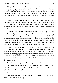"Well, both agility and flyball are kind of like obstacle courses for dogs. The course in agility is varied and difficult, and the trainer leads the dog through it. In flyball, the course is lower and easier, but the dog has to grab a ball at one end and bring it back to his or her handler who remains at the start the whole time. It's also a team sport. Both are really fun to watch. You'll like  $it$ "

They settled back to watch the rest of the show. All of the dogs passed the test, even Demetrius's mutt which took every opportunity to lie down and try to sleep. Derrick had never seen a lazier dog. But he figured it was a good match for the teen who suffered from ADHD and didn't need any more stimuli than he already got.

At the end, each youth was reintroduced with his or her dog. Both the handlers and dogs got a certificate, the handlers for completing the program, and the dogs for passing the tests. The CGC certificate was a fake for the awards ceremony only; the real certificates would come in the mail once the judge had turned in the results. Twelve teenagers had started the program and only eight finished, but that was one up from the first time the program ran and was incredible for such an unreliable and unstable population.

After the awards ceremony, most of the crowd gathered for pizza and soft drinks. Derrick knew that most of the adults were friends, social workers, volunteers, and supporters; very few were family. Nevertheless, Demetrius came up to him dragging an elderly woman who smelled of peanuts and citrus. The teen's demeanor was a little sullen and fit more closely with his whole emo look, but Derrick saw the happiness in his eyes as the young man introduced them.

"Derrick, this is my grandma. Grandma, this is my P.O."

The woman smiled and took one of Derrick's hands in both of hers. "Thank you, young man. You've worked a miracle with my grandson. He talks about you all the time."

"No I don't."

The woman turned and patted her grandson on the arm. "Oh, don't worry, dear. I don't care if you're gay."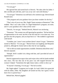"I'm not gay!"

She ignored him and turned back to Derrick. "He takes after his father. I did a terrible job with him, and I was at my wits' end with Demmy."

"I'm not gay!" Demetrius was still back a few sentences ago. Derrick heard Ronald snort.

"This program and your guidance have just done wonders for the boy."

"That's nice of you to say, Mrs. Nagle? Same surname as Demetrius?" She nodded. "But I can't take credit. It's Nigel Rutherford's program, not mine, and it's your grandson who's done all the work."

"Derrick, I'm not gay." Behind Derrick, Marisol was snickering.

"Nonsense." The women was still ignoring her grandson. "He has had lots" of opportunities to do work, but this is the first time he's ever done any. You got him into this program, and you kept him in it." She nodded in agreement with herself.

"Grandma, just 'cause I wear eyeliner doesn't mean I'm gay." Demetrius turned to Marisol. "I'm not gay." Marisol burst out laughing and Benjamin joined in, although he clearly had no idea why he was laughing.

"All we did was make opportunities available. Demetrius did all the work," Derrick repeated.

"Humph. Well I couldn't do a thing with him, and I provided all sorts of opportunities."

Derrick suppressed an urge to hiss and swipe at her with his hands molded into claws. The fact that one of his paws was still trapped between the woman's helped. "Sometimes the right chance takes a while to show up."

"If anyone's listening, I'm not gay." The kid scowled.

Ms. Nagle sighed. "I suppose you're right. As I said, I didn't do a great job with his father, either. My daughters all turned out fine, but I guess I never knew how to parent boys."

Behind him, Marisol giggled.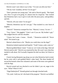Derrick wasn't sure what to say to that. "I'm sure you did your best."

"Oh my God. Grandma, tell her I'm not gay!"

"Don't patronize me young man," she said to Derrick gently. "But thank you. Now I've got to be going. It's almost time for *Jeopardy*." She verified that Demetrius had a way to get to work after the pizza party, said goodbye, and left.

"Derrick, tell your sister I'm not gay!"

"Marisol, Demetrius says he's not gay." That resulted in a new burst of laughter.

"Derrick!" Demetrius stomped his foot. "Marisol, I swear, I'm not—"

"Gay, I know." She giggled. "I don't care if you are. My brother's gay." She nudged Derrick with her shoulder.

"I know, but I want—I mean… Would…" Demetrius trailed off. "Never mind." He turned to go.

Marisol calmed down a bit. "Maybe you could show me the dogs?"

Demetrius looked surprised and hopeful. "Yeah? I mean, yeah, come on."

Marisol grabbed Benji's hand. "Come on. Let's look at the dogs. Dad and Derrick need to talk." Derrick was surprised by that. He wasn't sure what they needed to talk about. He'd actually forgotten his dad was there, he'd been so quiet.

Clearly having Benjamin tag along was not what Demetrius had in mind, but he went with it and grabbed Benji's other hand. The three headed off toward the kennels where the volunteers and some of the teens were gathered with the dogs.

Derrick turned and was shocked to see his father's jaw set, anger in his eyes. "What? What'd I do?"

"Nigel *Rutherford*?" Ronald gritted out through clenched teeth.

"Uh, yeah. I told you, he's the head of the program." Derrick was baffled.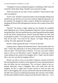"I thought he wasjust running the program orsomething. I didn't know he owned the whole damn thing." Ronald's eyes narrowed in anger.

"Well, his parents do, but why? Is that a problem?" Derrick had no idea what was going on.

"So he's rich." Ronald's expression made it clear he thought nothing more needed to be said. Derrick was even more confused. Nigel having money was the problem? He thought his father would be thrilled his boyfriend wasn't sponging off Derrick like had happened in the past with a couple of those fuck buddies.

"Derrick?" He turned as Nigel walked up, face flushed, his wonderful smile lighting his face. Derrick immediately forgot the current conversation and grinned back. Hislover pulled him into a quick hug and kissed him lightly on the lips before letting him go. Derrick loved that Nigel was okay with touching him in public. "I'm so glad you came!" He then turned to Ronald and held out his hand. "You must be Mr. Bryant. I'm Nigel. Thank you for coming. We really appreciate the support."

Derrick's father ignored the hand. "I'm here for the kids."

Looking unsure, Nigel put his hand back down. Then his polite smile was back. "I know they appreciate it. So many of them don't have anyone here to cheer for them." He turned back to Derrick. "I'm sorry your mom couldn't make it. Did you see Mercedes's mom? I thought she would pop a blood vessel telling me how proud of her daughter she is. I hadn't met her before. She's very nice, just like her daughter told us."

Derrick was still at a loss as to his father's behavior, and part of him felt like mocking Ronald's rudeness, but he ignored it for now and instead tried to draw his father into the conversation. "No, we haven't talked to her yet. Ronald, Mercedes's mom is delightful. She's tried really hard with her daughter, but she's a single mom of three and has to work two jobs, and they're still struggling. She was just a kid herself when she had Mercedes, and she didn't have anyone to model good parenting. She's become a fine mother, but Mercedes rebelled with the wrong crowd and the kids' father was… Let's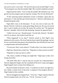just say he wasn't a nice man." He moved to put an arm around Nigel's waist. "Your program was what she needed, Nigh. She's turned completely around."

Nigel kissed his cheek. "You're what she needed. She listened to you. You got her into the program and you kept her coming. The rest she did herself."

"If this annoying mutual admiration society is finished, I gotta take my kids home; it's late and they got school tomorrow." Derrick could almost see Ronald baring his teeth.

Nigel didn't react to the disrespect. "It was very nice to meet you, Mr. Bryant. Derrick's told me so many great things about you. He says you saved him. I want to thank you for that. He means the world to me." He squeezed Derrick's shoulder. Derrick felt like humming. Instead, he squeezed back.

"I didn't do it for you." Ronald turned. "Get the kids, Derrick." He didn't wait for an answer, just strode toward the car.

"What happened? Is he okay?" Derrick turned to find Nigel's face shadowed with concern. His lover had just been treated like garbage, and yet he was worried about the person who insulted him. How did Derrick earn such a compassionate and kind boyfriend?

"I'm not sure. Don't worry about it. I'll talk to him. Can I meet you later?"

Nigel face relaxed into a sultry leer. "Depends on what you have in mind."

"Depends on what you have to offer."

"Oh, I have a number of things you might like." Nigel spun so they were facing each other.

"Oh yeah? Why don't I stop by and you can give me a demonstration." Derrick slipped his fingers into the waistband of his lover's jeans and tugged. Nigel hopped closer to keep from falling over.

He put his hands on Derrick's chest. "I would love to show you right now, but I think a certain level of decorum is required of the program director." Nigel looked at him wistfully.

Derrick shrugged and stepped back. "Your loss." Nigel swiped at him but Derrick jumped easily out of the way. "Uh-uh. You have to wait."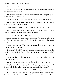Nigel frowned. "I hate decorum."

"Me, too. I'll see you in a couple of hours." He leaned forward for a kiss and then hurried after his dad.

"What was that about?" Derrick asked when he reached the parking lot. "You were really obnoxious!"

Ronald was leaning against the hood of the car. "Where're the kids?"

"I'll call Merry on her cell phone when we're done talking. Tell me why you were so rude to my boyfriend!"

Ronald snarled. "He's not your boyfriend. He isn't worthy of you."

Derrick pulled back. "Uh, yeah he is my boyfriend and has been for several months. I believe I've mentioned him a time or two."

"Well you didn't say he's a Rutherford."

Around them people were returning to their cars. Derrick lowered his voice a little, not wanting an audience for this family argument. "Why is that relevant?"

Ronald shook his head. "I love you, and you can do anything you set your mind to, but you're an idiot."

"Excuse me?" Derrick's jaw fell open and his eyebrows jumped for the sky, he was so shocked. That was the first time his father had ever insulted him.

Ronald turned and headed around the car to the passenger side. "Call your sister. We're leaving."

"Ronald, I'm not going anywhere until you tell me what's going on."

He father put his hands on the car door. "What going on is your 'boyfriend' is just a rich playboy who's using you, and you're a fool to let him."

Derrick took an unintentional step back. "What are you talking about?"

"He's just fucking you. You think he's gonna settle down with some 'boy from the hood'?" Derrick could hear the quotes around the words. "He's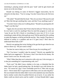slumming it, playing around with the poor 'trash' until he gets bored and moves on to the next thing."

Ronald was hitting on some of Derrick's biggest insecurities, but he refused to let that show. "You're wrong. You don't know him at all. He loves me."

"Oh really?" Ronald tilted his head. "How do you know? Because he said so? Men like him get anything they want, and they'll say anything to get it."

"You don't know what you're talking about." Ronald was pissing him off. "Nigel's not like that."

"Again, how do you know that? From what he told you? Tell me, boy, has he ever had to work for anything? Does he need this program to work out 'cause he put his life's blood or everything he owns into it? Or is it just something to make all that white guilt go away? Did he spend his life working to make this happen, or did he just decide one day, 'Hey, maybe I'll go throw a shitload of money at a problem and see if it goes away'? How does he understand these kids at all?"

Derrick was getting that twisty feeling in his gut that he got when he was about to throw up. "He just wants to help."

"So does he want to help you, too? Does he pay for everything yet?"

"No! You know I wouldn't take his money!" Derrick was appalled his father had even suggested it. "He knows I don't love him for his money. He doesn't lord it over me. He really cares."

"Why? Other than that you're attractive with a nice ass. Is he even gay, or is that just something he's experimenting with, too?"

"Fuck you!" He didn't know whether to be irate, or disturbed that his father knew he had a good-looking butt. He decided to go with furious for now. "Of course he's gay! I have irrefutable proof he is. Men who are gay don't—Never mind. But I've got more to offer than a nice ass and a big dick." He was irritated when his father didn't react to his statement any more than he had to similar words when he pulled Derrick out of juvie. It was unfair his father could use shock tactics and he couldn't. At least Ronald didn't argue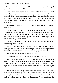with the "big dick" part. That would have been particularly mortifying. "I can't believe you asked 'why'."

Ronald softened his expression and posture a little. "Son, that isn't what I meant. 'Course you're a catch. You're a really wonderful man. That old woman is right—you are rescuing these kids. I'm your biggest fan. But people like us are nothing to people like the Rutherfords. We're just something for them to buy. We only matter if we're useful to them. I just don't want to see you get hurt."

"I know what I'm doing," Derrick lied. He suddenly had no idea what he was doing.

Ronald came back around the car and put his hand on Derrick's shoulder. "Derrick, you're my son, and it doesn't matter what anyone might think orsay. You know I'd do any fool thing for you, and I'm not trying to get you upset. But I know that man is gonna hurt you far more than what I'm saying right now is. I'm telling you the truth."

"You only think that. You don't know." Derrick was disgusted to find his voice barely above a whisper.

"Aw, Son, you've got it bad, don't you? I'm sorry. I've just been around a lot longer than you, and I know what I'm saying is true. Please, do yourself a favor. Stop seeing that boy. I've never done wrong by you, have I?"

Derrick was finding it hard to speak at all. "No."

His father looked at him for a bit then told him to call his sister.

Derrick pulled out his phone and texted Marisol to come to the car right away. He knew it would take her a few minutes, time he really needed to get himself under control. "Ronald, I need to say goodbye to Mercedes. I'll be right back." He couldn't meet his father's eyes and was glad Ronald just grunted in return.

Derrick found the young trainer and her mother, and after a few pleasantries, he said his goodbyes. He caught up with Marisol, who was ignoring her phone in order to kick at the ground and chew on her lip. He noticed her hand clasped tightly with Demetrius's. A few months ago he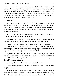wouldn't have wanted his sister anywhere near the boy. Now it was different because Demetrius was different. He started to smile but then remembered his conversation with Ronald, and he felt the sick twist in his gut again. He ordered her back to the car with Benjamin, who had to be dragged away from the dogs. He waited until they were well on their way before heading to intercept Nigel's beeline toward the pizza table.

"Hey, Nigh?"

Nigel turned in surprise and then smiled. As always, Derrick's heart flipped in his chest. He just wanted to bury himself within the other man's heart and stay there until the sun died. Instead, he stopped a few paces short. Nigel reached for him but Derrick remained out of touching distance. His lover's smile faltered.

"Look, I won't be able to make it tonight after all." He needed the time to think, but he didn't plan on telling Nigel that.

"What's wrong? Are you okay? Is your family okay?" His lover's look of concern almost undid him, but Derrick managed to stay determined.

"Yeah, we're fine. I just—" He almost said he forgot that he had stuff to do, but he wouldn't lie to Nigel, not ever. "—I'm just tired and need some time to myself." That was absolutely true. "I'm going to drop everyone off at my dad's house and then go home and turn in early."

Nigel relaxed a little. "Are you sure? Do you need anything?" Nigel wasn't pushing or showing too much worry. He asked in a way that just said he was there if Derrick needed anything. It was the perfect response, as always, and Derrick's gut twisted further.

He managed a smile. "I'm sure. I'll talk to you tomorrow."

"Okay. Have a good rest. You know you wouldn't get any at my house." Nigel grinned.

Oddly, that wasn't exactly what Derrick wanted to hear. Maybe his father was right and Nigel just wanted his body. When Nigel reached to hug him, Derrick cut him off with a handshake and a clap to the shoulder. He tried to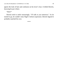ignore the look of hurt and confusion on his lover's face. It killed Derrick, knowing he put it there.

"Dare?"

Derrick tried to smile reassuringly. "I'll talk to you tomorrow." As he turned to go, he couldn't miss Nigel's forlorn expression. Derrick figured it probably matched his own.

\*\*\*\*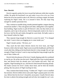### CHAPTER 5

# **Now: Derrick**

Derrick urgently pushes his lover toward the bedroom while their mouths collide. He grabs his boyfriend's tee and yanks it up as far as he can. Even before his lover has started to take it off, Derrick is sucking a nipple, his hands exploring his Nigel's body. He is so aroused it hurts. He only stops long enough for another passionate kiss.

They continue to stumble along, mouths jammed together, tongues dancing around one another's. They rub against each other, sliding their cocks together, heat building. Nigel reaches to pull off Derrick's shirt, but they both are too impatient, and it rips in the process. Derrick desperately needs to be close to his lover, feel his life and vitality through his warm body. He badly wants to bury himself within his Nigel.

They separate long enough for Derrick to assert his need. "I've changed my mind. I want to hear you begging me to come inside you."

Nigel's breath catches. "Oh fuck, yes."

They reach the bed where Derrick shoves his lover back, and Nigel bounces a little when he lands. Nigel scoots toward the headboard, and Derrick crawls after him, falling on his boyfriend when he's close enough. He can't get enough of Nigel; he doesn't want to stop touching him long enough to get the rest of their clothes off.

Derrick feels the pleasure of his lover's hands slipping under his waistband to cup his ass. He arches into the touch. Nigel pulls him close to grind against him, and Derrick feels his already erect cock harden still more. They rub together, Nigel kneading his ass, and Derrick finds himself thrusting already. His hands caresses his lover's neatly shorn head, and he feels the bristles poking, like tiny pieces of Nigel reaching for him.

They continue their heady kissing. "Clothes off." Nigel's voice is muffled but insistent. Derrick slithers down and yanks Nigel's pajama pants out of the way. Before him lies his lover's beautiful, uncut penis. Usually Derrick takes his time to admire the jutting strength and soft skin, but tonight he can't wait.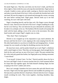He needs Nigel now. That fine cock bobs over his lover's balls, and Derrick dives right in. Hairstickle his nose as he nips the stretched skin. Nigel sucks in a breath. Unable to resist, and not really wanting to, Derrick raises his head and takes in just the head of his lover's dick as he pulls the foreskin back with one hand. He uses his tongue to curl around and massage the corona, savoring the taste before sucking hard. Nigel gasps. Derrick looks up to see him watching, his eyes wide open with need.

Nigel is breathing heavily and his hips rock. His fingers weave through Derrick's hair. Derrick loves the feel of his lover's fingers fondling his scalp, but he is too fired up. The cock between his jaws demands his attention, and he takes it in as deeply as he can. The hardnessfills his mouth as he pumps the shaft with his hand, adding a twist of his wrist to the movement. His other hand tweaks and scrapes Nigel's nipples one at a time.

"Shit, Dare! That's fucking hot."

Derrick is too wrapped up in his enjoyment to pay much attention. He devours and fists his lover's cock, lapping at the come seeping from the slit. His other hand makes its way down to fondle the sack hanging below. A moan escapes his own mouth as he digs his throbbing erection into the bed.

He must have more, and he pushes himself up to suck Nigel's collarbone until a mark begins to form. Then they are kissing again, hard enough that he feels his lip catch and tear on one of his lover's teeth. The pain reminds him he's alive and only goads him further, but Nigel pulls away looking concerned. "I taste blood."

"I cut myself. It doesn't hurt. I'm fine." Derrick quickly shows his lip to his lover and Nigel's look of concern touches him for a brief moment before he clasps their lips together again. He finds himself climbing Nigel, his feet scraping at his lover's ankles and calves.

But it isn't enough. Somehow his lover senses this and rolls Derrick onto his back. Nigel rocks his hips against Derrick and straddles his pulsing cock. He leans down and tilts Derrick's head back. Derrick feels his lover's hungry mouth ravishing his neck. They twine together, clutching shoulders, hips, thighs.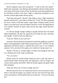Derrick urgently wants more and growls. "I want to fuck your mouth." Nigel nods vigorously, eyes shining with anticipation. Derrick stands and his lover drops to his knees in front of him. He feels hot, moist heat engulf him as his boyfriend swallows him down. Nigel is vigorously pumping his own erection, and the sight makes Derrick groan.

"Fuck that feels good." Derrick's hips begin to move. Nigel repositions himself, and Derrick's cock slides in all the way. "Fuck!" He flexes, grasping his lover's head to hold him steady. Nigel makes choking sounds, but he doesn't try to pull away or put his hands on Derrick's wrists, the signal that he can't breathe. Instead, he opens wider and his lips edge around Derrick's scrotum.

It's still not enough, though; nothing is enough. Derrick has to be inside Nigel immediately. He slips out, grasps his lover under his arms, and hauls him upright. "I need to fuck you right now."

"Fuck yes. Where do you want me?"

In answer, Derrick bends his boyfriend over the bed, grabbing a couple of pillows and slipping them under Nigel to prop him up a bit. The lube is on the nightstand and Derrick grabs it, grateful they don't have to use condoms anymore. He is sure that in his urgency, he would rip it trying to get it on.

"Ready?" He tries to consider Nigel's comfort even though he feels like he's vibrating and on the verge of shattering.

"Yes, yes, hurry."

Derrick sticks his slicked thumb inside his lover's hole and moves it around briefly before drawing back and replacing it with two fingers. He scissors them quickly and firmly. When he brushes against the gland, Nigel jolts and gasps.

"Holy shit. Hurry up, I'm loose enough; take me."

Derrick knows his lover isn't quite there but he is too revved up to worry about it. He pulls his fingers out, quickly coats his cock with more gel, then moves into position. The beautiful white ass awaits him. "You are so fucking hot."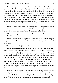"Less talking, more fucking!" A groan of frustration from Nigel is unneeded as Derrick is already rubbing the head of his penis against hislover's hole, slicking the entrance and tantalizing both of them. It's momentary, though, because he just can't wait any longer. He lines himself up and pushes just the tip of his cock in past the muscle. Beneath him Nigel makes a sharp sound and spreads his legs farther. Derrick grasps his lover's hips and sinks agonizingly slowly into the tight hole. Before he is even halfway in, Nigel shoves backward, slamming into him and shoving Derrick's cock in all the way.

Derrick cries out as the moist heat envelops him. A whimper clues him in that this was not painless for his lover. "Nigh? Are you okay?" He can barely speak, all he wants is to move, but he doesn't want to hurt Nigel.

"Wonderful," Nigel insists, but Derrick hears the words through what are clearly gritted teeth.

Derrick gently caresses his boyfriend's back while he works desperately to keep himself still. He listens to his lover's stilted breathing until it is almost even again.

"I'm okay. Move." Nigel sounds less pained.

Derrick puts an arm around his lover's chest and yanks him backward. With his other hand, he tilts Nigel's head so he can kiss him hard and bruising, relishing hislover's lips, just as hungry as his own. Nigel gasps into Derrick's mouth and it spurs him; he wants to feel his lover's heat grabbing his cock as it slides in and out. He rears back and plunges back in. Nigel moans. The sound of his usually quiet boyfriend's feral pleasure is a strong aphrodisiac, and Derrick jerks out so he can ram right in again. Another moan, and he can't stop himself; he pounds into Nigel without pausing, swinging his hips back and forth, eliciting a cry with each thrust. His own grunts provide harmony to his lover's chorus.

"Harder!" The word goads him. He puts one of his legs on the bed and turnsslightly to get into a better position. Now his cock goes deeper with each stroke, and the better angle strikes Nigel's gland each time. "Oh fuck, right there." His lover gasps the words out, his voice straining to hold steady.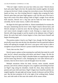"This isn't right. I need to see your face when you come." Derrick draws back and yanks Nigel to his feet. He mashes their mouths together, his hands roving over hislover's body, trying to be everywhere at once. His boyfriend's hands are busy, too, first twisting Derrick's nipples then scraping his back. Derrick spins them and rams Nigel against a wall. He lifts one of his lover's legs in the crook of his elbow taking a little of Nigel's weight. Even with his built muscles, Derrick isn't a big man and he finds his lover heavy and unwieldy, but for some reason, it adds to the intensity.

He aligns his dick again and slides in. Almost immediately he resumes the fast pace, hammering into his lover's hole. Nigel's head is thrown back, and Derrick attempts to mark his neck. But the fucking is too hard and fast; he can't move slowly enough to make it work. Kissing is a major turn on so Derrick stills long enough to seal his mouth on the alabaster skin of Nigel's throat. He sucks hard until a bruise begins to form, then braces himself and begins thrusting again.

The position makes it hard to see Nigel's face, though. He lifts Nigel and practically tosses him onto the bed, the adrenaline from his panicked outburst earlier still spiking his strength. His lover's eyes grow wide, but he is able to straighten out just before Derrick's pounce lands him between Nigel's knees.

"Fuck, that was hot, Dare."

Derrick spares a glance at that stunning face and body that make his world spin, but he's almost unraveling with desire and doesn't linger. He tilts his boyfriend'slegsso far back, Nigel'sshoulder blades are supporting his weight and his knees hug Derrick's neck. Realigning his cock takes Derrick just a moment, then he drives back in and all thoughts leave his mind.

Multiple sensations infuse his body: friction, moist warmth, smooth pressure, and velvety softness along his cock; roughness and tickling from hair on Nigel's legs along his shoulders. Inside his chest, deep emotions like passion and want whirl and churn. Nigel's fingers have found his and they are tangled together, the grip tight and strong. Sounds of pleasure and lust fill his ears. But the best sensation of all is the sight of the writhing body, flushed face, and wide smile of this man who makes all his senses chime.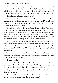Nigel is furiously pumping his own dick. He's not usually vocal in bed, but his groans are louder than Derrick's. His lower lip is caught between his teeth, which has always been one of the sexiest things Derrick has ever seen, and tonight is no exception. He feels his balls drawing up as he approaches climax.

"Dare, I'm close. Can we come together?"

Derrick nods and manages to utter the word, "Ten." Together they clench and unclench their hands together in a silent countdown. It's a code they established long ago, intimate and familiar, the two of them allying toward the promise of simultaneous release.

*Three. Two. One.* Derrick lets himself go, and the upwelling of his orgasm thunders through him. He cries out, a long breathy moan of pleasure. In his arms, Nigel's body contorts. A shout escapes his lover as a powerful climax surges through Nigel's body, and he gasps an emotionally charged, "Dare!" Derrick feels like it's his own seed spilling as Nigel shoots between them. At this moment, he feels like they are one person, seamlessly united.

He collapses atop his lover, still inside him. Nigel moves his legs and wraps them around Derrick's waist. His arms drape around Derrick's back who in turn cups his lover's face. Gently they kiss, lingering, drawing out the sweet contact. Derrick's adrenal high is finally waning, to be replaced by exhaustion.

They hold each other closely. Derrick feels his sadness welling again, and he tries to shake the pain out of his head. Nigel uses the sixth sense he seems to have and tightens his grip.

"I've got you, Dare."

How many times has his boyfriend said this over the two years they've been together? Derrick feels like he's constantly falling, and Nigel is always there to catch him. He wonders if his lover ever gets tired of it.

"Stop thinking. I'm not going anywhere. You don't have to bear this alone. I am here for you, always."

"I'm trying." How he won Nigel's heart he doesn't know, but this man is a gift he's still attempting to earn. "I love you so much."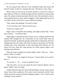His lover graces him with one of his wonderful smiles that always lift Derrick's heart, if only for a moment this time. "My heart is yours, Dare."

Derrick slips out of his lover who then reaches in a drawer for wipes to clean them up. When he's finished, Nigel pulls the comforter out from under them. He nestles in the bed and pulls Derrick close. His boyfriend's chest is warm against Derrick's back, and he snuggles in when Nigel pulls the covers over them. He lies in his lover's arms, emotions churning.

"Dare, please stop thinking. You need to sleep."

"I can't just shut it off." Derrick rubs his eyes.

"Want me to sing to you?"

Nigel's tenor is beautiful and soothing, and might actually help. "Yeah, that would be… I would love that."

Nigel begins a song Derrick doesn't know, but it's calming, and he lets the melody drift through him. He concentrates on the words rather than the turmoil in his head. A particular passage catches him as it floats past, the lyrics talking about how the singer will always be there to pick him up if he falls. Another part of the song makes it clear that Nigel needs Derrick, too. He knows his lover chose this song because the words express Nigel's own feelings toward Derrick.

When the song is finished, he clutches Nigel's hand. "That was… That's intense. What's it called?"

"The Adventure' by Angels & Airwaves. I always think of you when I hear it."

"It was nice. I… It's… I want to sing that to you."

"Oh God, Dare, can you just speak the lyrics instead? Spoken word is good." Nigel's voice is teasing.

It makes Derrick laugh. He's been told that Nigel is always on key, but he doesn't know from experience. He's pretty close to tone-deaf, and he's been told by more than one person that his singing is painful. "You've said I can do anything I set my mind to."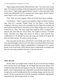Nigel coughs and his breath ruffles Derrick's hair. "Uh, yeah, well, except sing. You're great at talking, really amazing at that, not like I am, but singing? Not so much." Nigel laughs against Derrick's head. It's been said many times before and undoubtedly will be repeated many times again. Derrick doesn't mind. Nigel's voice is what he wants to hear.

"Fine. Then you keep singing. I think we'll both find it more soothing."

"Good choice." There's a pause, presumably so Nigel can think of what to sing. Soon he's crooning "Simple Song" by The Shins, a tune Derrick recognizes. The lyrics seem to be a metaphor for how Nigel felt stranded and alone until he found Derrick. He smiles at how Nigel changes the word "girl" in the lyrics to "Dare." His lover sings other songs he doesn't recognize and Derrick asks what they are. One of these, The Apples in Stereo's "Sunndal Song", describes how Nigel will always be there to show Derrick how wonderful he is. He decides he loves the song, and maybe he'll speak the lyrics to Nigel one day. No need to torture the guy.

One song slips into the next, and Derrick's eyes finally grow heavy. His last coherent thought is that his lover has taken a lot of hard and/or loud music and made it into lullabies. Nigel is singing Muse's "I Belong to You", and the beauty of the French part, which Derrick doesn't understand, is enough to tip him over into sleep, nestled in the arms of his one true love.

\*\*\*\*

# **Then: Derrick**

Derrick didn't go straight home. Instead, he got on the freeway heading north and just drove and thought. He and Nigel had only been dating a few months but they had been the happiest of his life. He had never met a kinder, gentler, more compassionate man. Nigel didn't just talk about things that were wrong in the world, he dedicated his life to making change, and not just with his job. He also was politically involved, frequently writing his congressional representatives, and staying current on issues.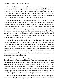Nigel volunteered at a food bank, donated his personal money to a spay and neuter project, tried to protect the environment not just with his car but by recycling everything he could and carrying reusable bags to the grocery store even before the disposable kind became basically illegal in Seattle. He even regularly checked the Human Rights Campaign's Buyer's Guide to make sure he was only patronizing corporations that treated gay people fairly.

His Nigel was fun, too. He was always willing to try something he hadn't done before, which was good because Derrick thrived on new experiences. Nigel was refined but also adventurous if guided, and he was spontaneous. Twice he had collected Derrick from work and whisked him off on an unplanned weekend away. They liked many of the same things and had introduced each other to pleasures the other hadn't yet appreciated. They weren't the same, and they didn't enjoy all of the same things, but that would be boring. Instead, they complemented each other perfectly. Derrick never felt as alive as he did when he was with Nigel.

But Nigel's passion and strength were what really attracted Derrick. He felt Nigel was capable of anything, and he felt safe in his arms. Nigel was the hottest, sexiest man Derrick had ever touched let alone slept with. When they were making love, he sometimes felt like the universe was exploding. Nigel was skilled and attentive in bed. He made Derrick feel like he was the most attractive man on the planet. Every time together was a new adventure. He didn't like remembering how cold life was before Nigel. He felt sick just thinking about living without him.

But did he mean as much to Nigel as Nigel meant to him? What did Derrick have to offer someone like that? Nigel was intelligent and well-read, sophisticated and mannerly, more world-traveled and educated than Derrick was—he had been to India once, but Nigel had lived abroad and traveled the globe and had a doctorate to Derrick's own MA. Why would Nigel want to be with a man who had spent much of his adolescence in jail and on the streets, using drugs, stealing, and sleeping with older men just to have a dry place to spend the night? Was his father right and Nigel was just slumming it for kicks?

Derrick thought back to the time he and Nigel first met. There were sparks there before Nigel knew anything about him, before he knew Derrick's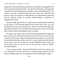background. They both had been attracted to one another. Rerunning their first real conversation through his head—the one they had that day at the dog park when Derrick visited the program ostensibly to check on his probationers—he couldn't remember anything being said that would have indicated that Derrick's past was arousing or exciting for him. No, Nigel had been interested and his emotions fitting, not pitying, condescending, or indicative of inappropriate arousal.

Derrick thought again about sex. Nigel was as excited by their lovemaking as was Derrick. His boyfriend enjoyed what Derrick did to him. He came explosively every time, occasionally twice. There was no doubt that Nigel was attracted to his body. Derrick wouldn't hazard a guess as to why, but he really didn't believe that his past influenced his own allure.

He began to get angry. Why was he second-guessing himself? Nigel told him every day how much Derrick meant to him. The time or two Derrick had let his insecurities show, Nigel acted surprised and was quick to reassure him. His boyfriend had been the first to say the L-word, and the sincerity when he said it wasn't an act. No, his father was wrong. Nigel did really love him, and for the person he was, not his past. He was not just a notch on Nigel's proverbial bedpost.

"You're being an idiot," Derrick told himself out loud. He took the next exit, somewhere in Everett, turned the car around and got right back on the freeway heading south. He was going back where he belonged: to Nigel.

\*\*\*\*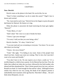#### CHAPTER 6

## **Now: Derrick**

Derrick stares at the phone in his hand. He can do this, he can.

"Dare? Is there something I can do to make this easier?" Nigel's face is drawn and worried.

"No. I just need to suck it up." Derrick forces his fingers to press the quick dial button for Marisol. He listens to it ring.

When the phone is answered, the band restricting his heart gets tighter. "Derrick?"

"Yeah, Merry, it's me."

"Dad's dead." Her voice is so sad; it breaks his heart.

"I know; I got your message."

"I'm sorry I told you that you were being a dick."

Derrick chuckles. "It's okay. I kind of am."

"I was just mad and was screaming at everyone. You know I'm on your side about you leaving."

"I know. Are you at home?"

"Yeah." She sighs. "I'm hiding in my room. Some of the people from church are here. Auntie says more are coming. They're nice, but I just don't want to be sweet and friendly."

"You don't have to be. No one expects you to have a smile on." It's a terrible thing for a child to lose a parent. So far Marisol has lost four: First, the father that walked out when she was born, followed by her birth mother who abused and then abandoned her. Then Celeste passed away last year, and now Ronald was dead. It's hard enough for him and he's thirty. Although he knew similar loss when he was very young, the death of her adoptive parents is undoubtedly more traumatic at her age than his. Then there's Benji… He can't think about Benjamin, not yet.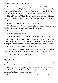"I don't know if I can do this." She begins to cry. Each sob is like ice water injected into his veins. Nigel's hands rub his shoulders, and he leans into the touch. Marisol doesn't have a Nigel. She doesn't have parents. All she has is their aunt who is nice enough, but not exactly the hugging sort.

"Merry, it's okay. We'll get through this together. Is it okay if I come over?" He tenses in case she says no. He realizes he wants to be there, needs to be there.

"Please?" She blows her nose. "Can you come soon?"

"We'll leave in five." The car keys are on a hook by the door. His signal to Nigel is unnecessary; his lover is already grabbing them.

"Is Nigel coming, too?"

"Yes. Is that okay with you?"

"Of course, but Auntie may not like it." She doesn't sound like she cares.

"Fuck Aunt Edwina." It's probably not the best choice of words, but Marisol laughs. "We're a package deal. I need him there. I'll see you soon, Sis. I love you." The occasion calls for more sap than he's used to with his sister.

"Love you, too, Derry. Hurry." They hang up.

After grabbing his coat from the closet, Derrick reaches for the keys. "I need to drive. I need to do something to deal with this nervous energy."

"Whatever you need, Dare, you've got."

\*\*\*\*

# **Then: Derrick**

Derrick was pacing in front of Nigel's fireplace, still fuming about Ronald's behavior.

"It's okay, Dare. He's just trying to protect you." Nigel sat in the chairand-a-half that Derrick had convinced him to buy. It was huge and perfect for snuggling, but Derrick was not in the mood.

"I'm twenty-eight. I don't need my father's protection anymore."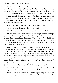Nigel hoped his smile was reflected in his voice. "I'm two and a half years older than you and my father still worries. He'll be worrying about me on his deathbed." He modified his voice to a caricature of that of an elderly man. "Never mind that I'm dying, Son, did you remember to wear your mittens?"

Despite himself, Derrick had to smile. "Still, he's wrong about this, and besides, he had no right to be rude about it." He was upset again and sped up his steps as he wore a path in the Kashmiri carpet he'd brought back from India and later given to Nigel.

"Is that really what you're upset about?" Nigel asked gently.

Derrick stopped and turned. "What do you mean?"

"Well, I'm wondering if maybe you're worried that he's right."

"What?" Derrick asked, perhaps a bit more forcefully than necessary. Nigel just looked at him wearing hissoftsmile and loving gaze. "I mean…" Derrick thought about whether he should admit it. "Okay, yeah, you're right. He did hit some buttons for me." He tilted his head down. He couldn't face Nigel. "It'sstill hard to understand what you see in me. What do I have that you can't get from some rich debutante?"

"Besides a penis?" Derrick didn't respond, just kept looking at his shoes. "I've told you this before, and I will tell you again until you get it. You can ask me as often as you want, and I will never get tired of telling you how smart, strong, brave, loyal, loving, kind, funny, interesting, and gorgeous you are for starters. You have the biggest heart of anyone I've ever known. You're the hottest guy I've ever seen let alone taken to bed. I'm the one who should be wondering what you see in me. I know you don't care about the money."

Derrick lifted his eyes to meet Nigel's gaze. "Are you kidding me? You just listed everything I see in you. You doubt I love you for you?"

"No, I don't. I believe and trust you when you say you love me. How can I make you understand that I love you unconditionally?"

Derrick felt ashamed. "It's not that I don't trust you. It's just… Fuck. It's hard when I've spent most of my life without love. When I wasn't with the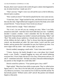Bryants, there wasn't anyone in the world who gave a damn what happened to me, let alone loved me. I made sure of it."

"That's not true." Nigel's voice was soft and his eyes so full of affection, Derrick had to swallow.

"How would you know?" He tried for playful but his voice came out raw.

"Come here, Dare." Nigel reached for him, and Derrick let his lover pull him into the chair. Nigel shifted and wrapped as much of his body as he could around Derrick. "I know because I have loved you always."

Derrick tried for a laugh. "That's ridiculous."

"No it isn't. Let me tell you my coming out story. When I was little, around two and a half—note that's how much older than you I am—Isuddenly decided I wanted a brother. I don't remember this but the family does. Apparently I kept pointing to my mother'sstomach and shouting, 'Baby!' and 'Boy!' My mother always replied no, I already had an older sister, and that's all the children she had a right to. They've always been big into population control, one descendent per adult. My sister insists I never used the word brother, and my parents don't remember for sure, but I believe my sister. You never argue with my sister—she's always right, as you know."

Derrick nodded, managing a small smile. "I don't dare mess with her."

"I know. Anyway, the family thought it was a cute phase, but it lasted nearly a year. Finally, I stopped bugging my mom and started bothering everyone else. I'd see a baby and ask if it was a boy. If the person said yes, I'd ask if—sometimes insist that—the baby was mine. It became embarrassing for my parents so they bought me a male baby doll."

Derrick raised his eyebrows. "Your parents gave a boy a doll?"

Nigel smiled. "Most boys have dolls at some point. They're called action figures and G.I. Joes. But as for the baby doll, my parents have always been very liberal as you know. I was raised on *Free To Be You And Me* and the 70s had already passed. '*William wants a doll*' and all. My parents were belated hippies at that point.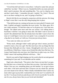"I loved that doll and took it everywhere. I refused to name him and just called him 'my baby'. When I was six, I handed the doll to my mom and said I didn't need it anymore. She said something like, 'Yes, you're a big boy now and don't need a baby.' I remember this part. I replied, 'No, I don't. The real one is out there waiting for me, and I'm going to find him.'"

Derrick felt like he was losing his connection with the universe. He clung to Nigel's torso like it was the only thing keeping him in place.

"That talk became my coming out because my mom asked if I meant a real baby. I replied, and again I remember the exact words, 'No, Mom, geez. He's not a baby anymore. I'll find him when we're all grown up. I love him now, though.' We talked some more until she was certain I was talking about a boyfriend. I told her I was going to marry him. She didn't want to out me to myself. She admitted later that she already knew but didn't want to force the issue so I could figure it out at my own speed. I was a young kid. It was never a big deal in my family as I told you. Everyone just always knew.

"You came out when you were six?"

"Pretty much, although I didn't really quite get what it meant, just that I wanted to marry a boy not a girl. Not like most boys who say things like that because they think girls are icky. I mean, I thought girls were icky, too, but it was different, I liked boys. I mean, not as friends like other boys like boys. No, I mean I had friends who were boys, but I liked boys in other ways, too. Wait, I didn't mean I did anything different with boys… Shit."

Derrick was used to Nigel tripping over his words when he second-guessed something he'd just said. It was adorable and he smiled.

Nigel took a deep breath. "The point is that I knew not just that I was gay, but that there was a certain boy out there that was mine. I just had to find him. When I first saw you, something about you felt familiar. As we got to know each other, it felt more and more like I'd known you my whole life, and that you were meant to be with me. When I finally remembered what I said to my mom when I gave up my doll, I realized that you're the one I've waited for all my life. I've alwaysloved you and always will. Even if you decide I'm not the one for you, always know that you are loved and cherished."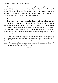Derrick didn't know what to say. Instead, he just snuggled closer and breathed in the scent of his man. Finally he said shakily, "That's kind of creepy." They both laughed. "But it's the sweetest and most romantic thing I've ever heard. Geez, I'm turning into a teenage girl. I don't know if you made that up or if it's true but I don't want to know."

"It's—"

"Shh, I really don't want to know. But thank you. I keep falling, and you keep catching me." He pulled back to look in Nigel's eyes. "I don't know if I'm worthy of that love. But I hope to spend—" He gulped. "—um, the rest of my life showing you how much that means to me, and how much I love you, too." Admitting, let alone expressing, attachment wasstill hard for him, but he found once he voiced his eternal devotion, it was suddenly easy. He would think about that later.

Instead, he stopped any response from Nigel by leaning in and pressing their lips together. He deepened the kiss, and he felt Nigel's body responding. He slid one hand under Nigel's shirt and the other cupped his lover's cheek before Derrick pulled back long enough to whisper, "Let me start right now." Then he leaned into his lover and got to it.

\*\*\*\*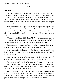#### CHAPTER 7

## **Now: Derrick**

The house looks smaller than Derrick remembers. Smaller and older, dilapidated. It's only been a year but it feels like so much longer. The driveway is filled, and the road lined with cars. He had no idea his father had so many friends. He suddenly feels unsure about his decision to come. He watches the front door, people moving in and out, smokers congregating on the lawn near the curb.

"Dare?" He turns to find Nigel watching him. "Do you want to go in? It's not too late to leave if that's what you want." Derrick turns back to watch the house again, trying to make up his mind. Nigel gives him a minute or two then adds, "We're parked far enough away that no one will know you were ever here."

"What do you think I should do, Nigh?" He's aware his voice quavers, but he isn't worried about being manly at the moment. A shaking voice is a lot less embarrassing than the scream he is desperately trying to hold inside.

Nigel pauses before answering. "Do you think anything that might happen in there could make you hurt more than you already do right now?"

Good question. He thinks about it. "No. I already feel rejected by my family and guilty for leaving. If Benji came at me with an axe, I think I would actually be relieved."

"Now you're just being maudlin. That's the grief talking. I've never heard you feel sorry for yourself before. You know you are wonderful."

That stopped Derrick mid-thought. "I'm not really, you're the one who's awesome, but you're right. This isn't me, nor is it about me. I'm being selfabsorbed. My thoughts are just spinning too fast. God I suck. I'm sorry for being an ass here; you don't deserve that."

"Dare…" Nigel pulls him close and holds him tightly. Derrick feels his lover's breath in his hair when Nigel rests his cheek there. "I hate that you think that about yourself. You're being silly. You don't have to apologize for your emotions. I'm just trying to help you not sink too far under."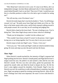"Shit. Benji hasn't seen me in over a year. It's easy to see Merry, she's an independent teenager, but does Benji understand why it's been impossible to sneak behind Ronald's back to see him? That even if I had, I would have put him in a horrible position to either lie to his dad or get in trouble for seeing me?"

"He will one day, even if he doesn't now."

Derrick fervently hopes that's true but he doubts it. "Fuck, I'm still being a coward. Let's go." He pulls away from Nigel and climbs out of the car. The door to the house seems miles away, and he feels exposed walking toward it with people around. He is sure they are all watching and judging him.

Derrick feels a hand on his lower back. "No one is looking at you. You're doing fine." How does Nigel always seem to know what he is thinking?

"Thank you for being here. I couldn't do this without you."

"This wouldn't have been so hard if I weren't in the picture. I don't regret loving you or our being together, but I'm sorry that it cost you so much."

Derrick stops to look into Nigel's eyes. "I know. I love you."

"I love you, too." The words and Nigel's smile are what he needed to keep going. He turns and steps up onto the porch and into the house.

\*\*\*\*

# **Then: Nigel**

When Derrick's mouth touched his, the intensity of Nigel's response had Nigel pushing into hislover. Derrick's mouth parted, and Nigel felt hislover's tongue touch his own. He pulled it in and sucked it, then slid his own into Derrick's mouth. The kiss was slow and sultry, gentle but passionate. He opened his mouth wider and tilted his head to deepen the kiss. He felt his lover's arms tighten around his shoulders. Fuck Ronald. Nigel's love for Derrick was real. He would have to talk to Ronald about it sometime, but right now, Nigel was going to spend his evening convincing Derrick. After all, his lover's feelings were what were important. He wasn't in love with Derrick's father.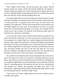Their tongues moved faster, and the kiss grew more urgent. Derrick moaned against his mouth, and he felt himself hardening. He lingered a moment longer then pulled away. Derrick buried his nose against the skin of his neck, and Nigel rubbed a cheek against his head. For a moment they stayed there, the intensity of their emotions holding them still.

Eventually Nigel led his lover into the bedroom where he gently lowered him onto the blankets. He untied and removed his boyfriend's shoes and socks. "Lie down and relax. I'm going to take care of you; you don't have to do anything. I'll be right back." Derrick sank into the pillows and closed his eyes, and Nigel slipped out of the room. In the bathroom, he took a very quick shower but cleaned himself thoroughly as he wasn't sure whether Derrick would want to top or bottom. He returned to the bedroom naked where he found his lover sprawled, sound asleep.

It was too early for bed, and he wanted to finish what they started. He was pretty sure Derrick would want to as well. It was time to wake his lover, and he was going to do it right. Nigel very carefully slipped up the bed between Derrick's legs, careful not to touch him. Using only his fingers, he gently lifted the bottom of the thin tee blocking access to the perfect body he needed to have. When enough flesh was showing, he carefully touched his lips to the taut skin. He kissed another spot close to the first. His made his way across Derrick's abdomen, caressing him with his mouth as he went. He peeked over the fabric to see his lover's eyes still closed, so he changed tactics.

He carefully lowered the shirt, then slowly unfastened the fly on hislover's jeans. The zipper was silent as he lowered it, revealing white jersey boxer shorts. His next kiss was to the cloth halfway between Derrick's full bulge and his waistband. Nigel felt his own dick hardening. At his second kiss, he heard Derrick's breathing quicken. He looked up and saw his lover watching him with hooded eyes. Neither said anything, and Nigel went back to his ministrations. Apparently Derrick didn't remember that Nigel said he would do everything because he reached for Nigel's head.

"Don't move or I'll stop." Nigel grinned at his lover wickedly and was rewarded with a groan.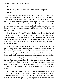"You suck."

"We're getting ahead of ourselves. There's time for everything."

"Bite me."

"Okay." Still smirking, he nipped Derrick's flesh below his navel, then Nigel slowly worked his way back up his lover's body. He was careful to only touch with his mouth, lifting the shirt as he went, kissing and nipping as much flesh as he could. When his lips closed over a nipple, he heard a sharp intake of breath, and he smiled around the hardening flesh. His tongue helped the process along, and above him he heard panting. The other nipple firmed even faster, so he soon continued upward until he had pushed the shirt up to Derrick's neck.

"Nigh, I need this off. Now." Derrick pulled at the cloth, and Nigel helped him remove it. Derrick lifted only long enough for the shirt to be removed then tried again to touch Nigel, who simply batted his arms away. Derrick lay back again. His eyes were bright with lust, his breathing labored, but he didn't move. Nigel loved the feeling of being the one doing everything. He lived to make Derrick happy.

Nigel's mouth worked its way up his lover's neck and down his jaw after pausing to nip and tug at an earlobe in passing. He covered Derrick's face with gentled kisses, avoiding his lips until Nigel had covered every inch of skin. Finally, he dove in, hungrily devouring his lover's mouth. Derrick responded just as passionately, soft moans and gasps the soundtrack to their lovemaking.

After a short while, he pulled away. Derrick whimpered but stayed where he was. Nigel made his way back down the center of his lover's chest with only a quick stop to lick the erect nipples. The kisses were more urgent now, with his mouth open wide, tongue swirling and stroking the skin. Soon he reached Derrick's underwear again, and Nigel pressed his lips to the bulging fabric.

"Fuck!" Derrick's body arched, no longer able to stay still. Nigel finally touched Derrick with his hands, pushing his lover's hips back down. He held him there and opened his mouth to suck the swelling through the fabric. Derrick reached for him yet again, but Nigel pulled away until his lover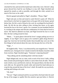clenched his fists and moved his hands back where they were. Derrick's deep groan showed how hard he was finding it to stay still. Nigel chuckled and opened his mouth as wide as possible, and through the cloth, sucked in as much of his lover as he could.

Derrick gasped and pulled at Nigel's shoulders. "Please, Nigh."

Nigel took pity on him and stood to yank Derrick's pants off. When he moved back to the bed, he stopped short as his gaze fell on the beauty spread before him. He felt a rush of blood to his cock; he worshiped his boyfriend's body. He felt the tan skin calling to him, inviting him down, so he again lowered his face to his lover's groin. For a moment, he just breathed Derrick in, reveling in the unique and intricate combination of scents that he loved so much. The shaft he admired was hard, and Nigel lowered his face to it and blew the hair curling around its base.

"Mmm…" A quick glance showed his lover's tongue poking out ever so slightly. It was Nigel's turn to gasp as he watched it glide along Derrick's upper lip. God, how he loved that mouth; those kissable lips were one of the first things he had noticed about this man who became the love of his life.

"Nigh…"

He laughed softly. "Sorry. I was distracted by your magnificence." Derrick rolled his eyes. Seeing his lover's hands twisted in the blanket, knuckles white from exertion, Nigel chuckled again. "Someone's enjoying himself."

"Stop talking and do something better with that mouth."

Nigel obliged and, one at a time, took in each of his lover's balls, rolling them around and puckering his cheeks to caress them from all sides. Then he took in both at once and Derrick cried out. He enjoyed them a bit then let the sack slide out. He opened his mouth wider and turned his head sideways to wrap his lips around the base of his lover's shaft. He made his way up slowly, sucking and licking as he went.

"Oh, fuck."

"Not yet." Nigel continued until he was just below the head where he used his tip of his tongue to rapidly flick the sensitive spot just below it. Derrick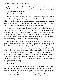gasped and curled up to grab for him. Nigel pushed his lover's hands away, then let his mouth slip over the crown just briefly teasing before repeating his movements down the other side.

"God, Nigh, you're killing me."

"I'm not even close to done," he replied. The answering groan made him smile. "But I'll take pity and give you a present." He moved back to the head where he let his tongue lap at the leaking fluid for a moment before opening wide and taking his lover in as far as he could. Derrick was whimpering now, and when his lover tried to touch him, Nigel let the hands stay.

He worked his mouth up and down, twisting his head as he went to stimulate even further. One hand massaged Derrick's balls, working his fingers around them to increase sensation. Nigel's tongue lapped and he hummed, allowing the vibrationsto add to the effect of what he was doing. He felt his lover harden even more, like a skin-covered baton, just as dangerous but in an entirely different way. He smiled inwardly.

Derrick was sweating now, and Nigel could smell the tang in the air. He pulled off and moved down the delectable expanse of skin stretching from Derrick's sack to his hole below. He spread his lover's legs up and out to give himself more room to maneuver. With one hand holding a leg in place and the other stroking Derrick's belly, he worked his lips along his lover's taint until he got to his opening. Nigel gently blew on it, seeing the muscles contract. Watching Derrick's body respond to his attentions was one of his favorite things ever. A moan from above reminded him that he was there for a purpose, and he lowered his head to brush his lips against the pink skin before circling the opening with his tongue.

"Fuck, Nigh!"

"Soon." He stopped teasing and let his tongue penetrate his lover's hole. Derrick tried to heave upward but Nigel held him in place by pushing down on Derrick's stomach. He continued to probe with his tongue, prodding the muscle to loosen it. Moans proved they were both enjoying Nigel's play, and he poked in further. After a loop around just inside the tight ring, he pulled out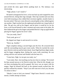and circled the entry again before pushing back in. The intimacy was intoxicating.

"Nigh, please; I can't stand it."

He hated to disappoint his lover, so he rose back up and wrapped his arms around Derrick, letting their legs entangle. Their lips touched and soon they were both moaning as they rubbed their erections together, mouths frantic to become united. Their pre-come allowed a smooth glide asthey rubbed against one another. Nigel reached into the nightstand and pulled out a large bottle of lube. The gel was cold on his fingers, and he knew it would be icy for his lover, so he forced himself to take a moment and warm some in his palm. He then slathered the gel on his fingers and pushed Derrick's legs up again before placing his fingers against his lover's hole.

"Are you ready, Dare?"

"Fuck yeah, get to it."

He slipped one finger in and moved it in circles.

"Hurry up. Another."

Nigel complied, letting a second finger join the first. He scissored them until the surrounding muscle gave more easily. When he reached the sweet spot, Derrick cried out and his body shook. Soon Nigel had three digits inside, and he began wriggling them, feeling the warm walls stretching. He was aching with his own arousal and flushed with the heat of it.

"Come here, Nigh. Let me get you ready, too."

"I am ready, Dare. Just touching you has me close to coming." He twisted his hips around anyway to let Derrick stroke him. What he felt, though, was wet heat enveloping him and he gasped. His lover was an expert with his tongue. Nigel let himself fall back as the talented mouth worked him. He quickly realized his mistake. "Stop if you still want me to fuck you, because I'm about to blow."

"Maybe I want to fuck you instead." Nigel knew Derrick's words were merely a feeble attempt at humor.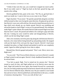"I think if that were the case, you would have stopped me much earlier. But if you really want to." Nigel lay back on the bed, spread his legs, and stared at the ceiling.

Derrick grabbed for him, panic in his voice. "No! No, no, get back here. I need you inside me. I want to feel you as you come in me. Please."

Nigel chuckled. "If you insist." He quickly spread lube along his cock then shifted around so they were facing the same direction. He glanced up and saw that Derrick's eyes were wild with lust. He moved to kneel between hislover's legs which were already up, ass cheeks spread. Derrick was trembling and moved his hands to clutch Nigel's wrists as if to ground himself. His whimpers made Nigel's spine vibrate; the sounds Derrick made aroused Nigel even more than his lover's touch. He paused and stilled so he could get a grip and make this last. Coming too soon would be unfair and disappointing to Derrick, which was the last thing Nigel wanted.

After a few moments, he let his penisslip along the cleft between Derrick's buttocks a few times before lining himself up and pushing inside. He stopped with just the head of his cock past the ring of muscle. Derrick's loud moan morphed into pleas, so Nigel relented and pushed in until he was completely seated. Again he stilled, giving his lover time to adjust.

Beneath him, Derrick gasped and panted. "Don't wait. Move; move now. Right now!"

"As you wish." The *Princess Bride* reference was lost in Derrick's sounds as Nigel rocked in and out again. Derrick's body shuddered beneath him, and he moved faster.

"You feel so good, Nigh. You've ruined me for anyone else." Derrick turned to reach for him, and Nigel pulled out to let Derrick move onto his back. Nigel slid inside his lover again, then leaned forward for a passionate kiss, his own body producing noises he had nevershared with anyone else. His love for Derrick filled his heart, filled his soul. He just wanted to crawl inside him and never leave. Derrick pulled back and looked him in the eyes, a wealth of emotions churning there. "I love you with all that I am."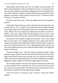Being deeply buried inside his lover was Nigel's favorite position. He didn't mind staying there awhile as he drank in his lover's words and tried to come up with a reply that expressed everything he felt for his wonderful man. The cruelty of Ronald's attempt to separate them had only brought them closer together. Like Derrick, Nigel wanted to express his love. "Cheesiness makes me happy. You make me whole."

Derrick's smile lit the room. "Then stop talking and fuck me through this mattress."

Exhilarated, Nigel pushed up to brace himself on his arms then drew out and bore back in. Just a couple more rounds had Derrick making beautiful sounds again. Nigel increased his speed, each thrust accompanied by a louder moan, until his lover was crying out as Nigel drove into him over and over. Within a short time, Nigel found himself grunting, his face warm, sweat drenching his forehead. He paused to reposition Derrick and plunged in again.

This time his lover howled as Nigel hit his prostate. "Fuck. There, right there. Do that again." He complied, hitting his lover's gland each time he swung his hips and entered. Nigel almost lost his rhythm when he looked up and saw the euphoria on his lover's face. Although improbable, Derrick was even more gorgeous when he was excited and nearing orgasm. The sight took Nigel's breath away.

Derrick met Nigel's eyes. "Oh God, I think I'm going to explode." Nigel pounded in again, and his lover threw his head back and cried out. Every time Nigel buried himself within that sexy body, his lover moaned and hollered. Under him, Derrick writhed and quivered, his head twisting about, his fingers digging into Nigel's thighs. The motions brought Nigel to the brink.

He moved his weight to one arm so he could use the hand on the other side to wrap around his lover's rock hard cock. "Dare, come for me; let me watch you. I want to see you enjoy this." He used the copious amount of pre-come to slick Derrick's shaft then slid his hand along its length.

"Oh God. Oh fuck. I'm going to come." Derrick's words were slurred together.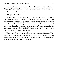He couldn't explain why those words filled his heart with joy, but they did. He pumped his hands a few more times as he resumed pounding into hislover.

"I'm coming, I'm coming."

"I've got you. Come."

"Nigel!" Derrick reared up and silky strands of white spurted out of him and over their torsos, tremors and cries wracking his body as he shot. Nigel watched his lover's agile body buck and thrash. Derrick's muscles tightened around him, and the feeling tipped Nigel over the edge. He was usually quiet but he, too, shouted as he crested, calling out his lover's name again and again. His orgasm went on and on, and he felt another stream spill out, as if he were somehow marking his lover from inside.

Nigel finally finished and pulled out, and Derrick cleaned them up. They kissed for a while until sleep overtook them. Nigel's last thought was how lucky he was to have this man, and how grateful he was that Derrick believed in them. Nigel was in this until the end of time.

\*\*\*\*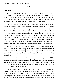#### CHAPTER 8

## **Now: Derrick**

When they walk in, nothing happens. Derrick isn't sure what he expected, but this isn't it. People continue to talk in small groups, or place casseroles and salads on the overflowing dining room table, which he can see through the archway on the right. To his left, a cluster of women in florals and heels hover around the sofa near the fireplace. That's where he needs to be.

The sea of bodies parts before him, and to his surprise, hands touch his shoulders, cheeks, arms. Voices murmur condolences to him. The eyes he meets are full of sympathy and sorrow, not a judgmental glare among them. He is confused, but all thoughts leave his head when he reaches the couch and sees his sister and aunt sitting there. Sitting isn't quite the right word; they are existing, bodies that stop from sinking to the floor only through the support of the furniture. He saw his sister grieving when their mother died, but it was no comparison to this. He realizes she is an orphan at eighteen, no parents to guide her through leaving home and setting out in the world. He will have to stand in for them. He is her brother and he will do whatever he can for her.

For the first time since he received Marisol's text, he feels tears sting his eyes. In seconds he is blinded by them, and sinks beside his family both in body and in spirit. He was wrong when he told Nigel it couldn't hurt more. It does. Seeing his sister in such pain cuts him so deeply he isn't sure he can live through it.

He reaches for her and she finally looks up. "You fucking asshole…" She says the words softly, finding refuge in sibling banter, but her heart isn't in it. Unable to keep up the pretense, she melts into his arms and sobs. Their aunt opens her mouth to admonish Marisol for her language, but Derrick cuts her off with a glare. She remains silent.

The siblings cry together for a long time. Around them, Derrick hears gasps of sympathetic grief, then people moving away. Even in times of deep sadness, emotional displays of sorrow are still difficult to watch. Derrick feels Nigel's presence, a warmth behind him from where his boyfriend perches on the sofa arm. If Nigel is uncomfortable with the intensity of the moment, there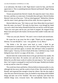is no indication. His body is still. Nigel doesn't reach for him, and Derrick appreciates it. This is something between Marisol and himself. Nigel's being there is enough.

Tissues are pressed into Derrick's hands. He wipes his sister's face, blows his nose, and they cry some more. Eventually they pull apart. Derrick brushes Marisol's hair out of her eyes. "Tell me what happened." Behind her, Edwina rubs his sister's back, glaring at him all the while. He tries to ignore her.

Marisol dabs her nose. "He's been so sad. Since Mom died, he just hasn't been the same, you know?" He nods; he does know, even though her death was such a short time before Ronald kicked him out and his world fell apart. "Then you were gone and he just, just kind of stopped. He stopped living. Benji went and stayed with Auntie a lot because Dad couldn't really take care of him."

"That was your job, Derrick." His aunt's voice is harsh and unwelcome.

He wants her to go away but she is right "Thank you for stepping in, Edwina. I'm sure Ronald is—was—very grateful. Go on, Merry."

"He drinks a lot. He never went back to work. I think he got unemployment or something. I'm not sure what." Her confusing tense, from present to past and back again, is normal. She still hasn't fully accepted her father is gone. "Anyway, he drove drunk all the time. I told him to stop. I tried hiding his keys, but he's so angry all the time... I was afraid."

Derrick feels the words trickle down to his gut and freeze his insides. He should have been there. He reaches over and rubs his sister's upper arm. Before he can offer inane words of comfort, his aunt steps in. "Isn't your fault, dear. Can't expect a young girl to watch out for her papa. Needed your brother to step up and be a man for a change."

The words have been said before. Edwina believes homosexuality is a sin, although she has never said the words in front of him. She loved her brother Ronald, and respected him enough to keep her silence. But she also made it clear that once Derrick became a man, he needed to stop doing sinful childish things and take care of his "kinfolk." She never explicitly said what those childish things were; everyone knew. She undoubtedly blames him for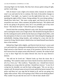choosing Nigel over his family. But they have always gotten along all right, and her words sting.

Still, he doesn't want a fight so he remains silent. Instead, he catches his sister's eye and nods for her to continue. Her look of discomfort changes to gratitude. "Last night—no, I guess it was the night before last, now—I was spending the night at Ellie's house. Doing nothing. We were doing nothing. I should have been here." She starts crying again, and Derrick put his arms around her once more. After a moment, she pushes him back. "He called to tell me he was going to the grocery store, but it was probably just to buy more booze." She shook her head. "I did all the grocery shopping."

Derrick feels like screaming. Marisol is only a kid. She just turned eighteen and is starting her senior year in high school. She should be having the time of her life, looking forward to all the fun the final year of high school offers, with the anticipation of what is to come. Instead, she's been doing the shopping and undoubtedly cleaning, doing laundry, and cooking for a man who lost his reason for living. Derrick doesn't think he has ever hated himself more than he does at that moment.

Behind him Nigel shifts slightly, and Derrick feels his lover's scent wash over and inside him, calming and soothing him just by being there. He knows Nigel moved so that Derrick was aware of his presence, but his lover can't have known how his unique aroma stills Derrick's torment. He wishes he had a way to show Nigel how he makes Derrick feel, how he stays Derrick's demons.

"He told me he loved me." Marisol looks up from the tissue she is shredding. "He wanted to make sure I knew that he loved me, that he loved us, all of us. Even you." She swallows. "Especially you. I should have known something was wrong when he said that. I should have known." A new fit of crying has his shoulder wet and his heart aching again. "His car ran into a cement wall. He missed some exit up in Everett and hit the barrier instead. The police said there isn't any sign that he braked at all, and he was going over eighty miles an hour. Why was he going so fast? What was he doing up there? Why couldn't he just take the next exit? It's like he had a death wish."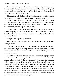Derrick can't say anything she would want to hear. He is grateful her cheek is pressed to his shoulder and he doesn't have to look her in the eye. They will never know for sure, but he is fairly confident he knows what happened, and there is no way it will bring her peace.

"Marisol, dear, only God can help now, and we mustn't question the path that he has set for any of us. We need to trust in Him now, to guide us. We are not worthy to know His plan. May God rest your father's soul." Derrick bristles at his aunt's words and has to force himself to relax. He has no love for Christianity and doesn't want it here in this private place. But if it brings his sister solace, he will keep his feelings at bay.

He doesn't need to, though. "Shut up, Auntie! I'm sick of all this bullshit!" Marisol jumps up. "I don't care about God's plan or whatever. I want my father back!" She pushes through the crowd of well-wishers and runs toward the back of the house.

"Merry!" Derrick jumps up to follow.

"Don't you go filling that girl's head with your atheist rants. She needs God right now."

He whirls to glare at Edwina. "I'm not filling her head with anything. You're the one trying to brush away her pain with useless platitudes. What the hell has gotten into you? You didn't used to be like this, so fucking cold." He runs after his sister.

He catches up with her in the kitchen where he finds her hugging a woman in her late fifties, Reverend Angelica Hernback. Derrick skids to a stop. The minister is from his family's church, not his aunt's. His sister is clearly turning to the woman for help and has stopped crying, so he steps back to give her room. Nigel's hand is now on Derrick's waist, and he leans into the support of his lover's body. When his boyfriend begins to pull away, Derrick stops him. "It's okay, Nigh. She's not homophobic." Nigel is still stiff behind him, but he leaves his hand where it is. Derrick doesn't blame him for being worried about the intimate touch in front of the minister. There are still far more clergy who disapprove of their love than who accept it.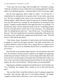"Yeah, I get why you're angry with God right now," the pastor is saying. "What do you think you'd say to Him if He were standing right here?" Derrick thinks it is a ridiculous question—Christians believe God is everywhere, right?

But his sister apparently doesn't think it's dumb. "I'd tell him he's a motherfucker for taking both of my parents when I'm not really a grown-up yet." Her fury is trapped in the creases in her scrunched up face. "He left us fucking orphans. Again! Because I guess having one set of parents disappear from your life forever isn't enough. No one should have to fucking lose four parents." Angelica watches Marisol as she rages but doesn't say anything. "I'd tell him how angry I am for taking my family from me." Something punches Derrick in the gut and he's pretty sure it's his conscience. "For taking them both. For letting Dad hurt that way." Tears fill her eyes. "For letting *me* hurt this way." His sister stands there for a moment, looking like a little girl for the first time in years, and then she crumples into the Reverend's arms. "Why did He do it? Why did He take them?"

"I don't know, honey. Sometimes it's hard to know why God allows things to happen. It's hard not to be angry with Him." The older woman doesn't try to placate Marisol or deny her grief. She is simply there as a support for his sister to lean on. "I just try to remember that He loves us. Sometimes love is all we have."

Derrick backs away and takes Nigel with him. The last sentence stays with him. He still doesn't find his parents' religion in the slightest bit appeasing, mostly because he doesn't find any of it even remotely believable. But he also knows he has to let the people in his family deal with their grief in their own ways. It isn't up to him to make those decisions for them; he can only offer his support. He turns to his boyfriend. "Did that make you uncomfortable?"

Nigel pauses, probably to gauge how he should answer, but he finally says, "Yes. Truthfully, that religion stuff is harder for me to deal with than the grief."

"Me, too. But if that's what Merry believes, then I'm going to support her no matter what, because right now it's not hurting anybody." He laughs. "Angelica said her faith is about love. Love's never wrong, right?"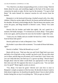"Yes. Real love, not abuse masquerading as love, is never wrong." Derrick thinks about his aunt, and something niggles at the back of his mind, some connection he needs to make. He lets it go for the moment. "I've got to find Benji." He steels himself for whatever reaction he will receive from his brother.

Benjamin is in the backyard throwing a football around with a few other children. When he catches sight of Derrick, he freezes and the ball bounces off his shoulder. He barely acknowledges the hit. Then he bursts into motion, runs across the grass, and flings himself in Derrick's arms. "Derry! You came back!"

Derrick lifts his brother and holds him tightly. He can't speak for a moment. He finally manages, "I've missed you so much, Benji." Tears gather in his eyes again, and he presses his nose into his brother's tight little curls.

"I miss you, too. Daddy said you wouldn't be back for a while. You musta fixed all those kids quick!"

Derrick pulls back to look at Benjamin's face. "What?"

His brother's eyes shine with excitement. "You made all those kids better, right?"

Derrick is baffled. "What did Ronald say to you?"

Benji rolls his eyes. "Dad says that you and Uncle Nigel had to go away and help a lot of big kids so they wouldn't go back to jail. He says that when you're done, and the dogs are all trained, you'll come back. I don't know why you can't help kids here, but Dad says it's a grown-up thing." Derrick hasn't thought about what his father would think was appropriate to tell an eightthen nine-year-old. He supposes that story is as good as any. "Are you back now for good?" Benji eagerly awaits an answer.

"Yes, Benji. I'm back for good." Derrick isn't sure how to react to Benjamin's simple acceptance of the lost time. He decides he doesn't need to think about it right now; he should just be glad he doesn't have to deal with his brother hating him on top of everything else. "Did you get my letters?"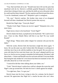"Yep. Dad read them all to me." Ronald must have left out the parts that interfered with the lie. Derrick is selfishly grateful Benjamin is behind in school due to being in foster care, and thus his skills are not at the point where he could read the letters himself. The boy squirms and Derrick puts him down. "I can do a handstand, wanna see?" Benjamin's grin is contagious.

"Uh, sure." Derrick watches. His brother does more of an elongated forward roll than a handstand, but Derrick praises him anyway.

Beside him Nigel claps. "Great job, Benji!"

"Thanks Uncle Nigel. Wanna see me do it again?" Benjamin tries a few more times.

Nigel moves closer to his boyfriend. "Uncle Nigel?"

Derrick shakes his head, as perplexed as his boyfriend. "He's said it twice now. I have no idea. Maybe Merry told him to say that? No way would Ronald."

Nigel shrugs. "Benji seems rather chipper for someone who just lost his father."

With the words, Derrick feels the heaviness weigh him down again. "I know. He was the same way after Celeste died. His therapist is working on it with him, but it has to do with his inability to face his grief. He was only two years old when he first went into foster care. He wasn't adopted until he was four or so, but he was too young to remember his birth parents. He doesn't talk about them—Celeste and Ronald were his real mom and dad. Everyone thinks that losing the only mother he's ever known has been too traumatic to face. He still talks about her as if she were alive."

"I noticed he did that when talking about your father, too."

"Yeah." Derrick doesn't realize how cold he is despite the warm day until Nigel's arms go around him. He feels his lover's cheek against his temple.

"I'm right here, Dare. I've got you."

Derrick leans into his lover, trying to relax for a minute, but he doesn't succeed. He appreciates that Nigel isn't a macho he-man who can't show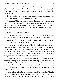affection in public. He needs to be touched. After a while, he pulls away and takes Nigel's hand instead. "I wonder what story he told the church people. That's who are here, by the way. These are almost all family friends from the congregation."

"He may not have told them anything. You never went to church so why did they need to know?" Nigel is always so logical.

"Good point." They watch for a while as Benjamin plays with the other children. "Oh shit! What the fuck is going to happen to Benji and Merry?" He lets go of Nigel's hand and races inside. He finds Edwina where he left her, women from the church having closed in to fill the spots vacated by him and his sister.

"Edwina, can I talk to you for a sec?"

His aunt looks up and narrows her eyes. She then shoos the other women away and indicates he should sit next to her on the couch. "What is it?"

"Has anyone thought about—Do you have any idea what's going to happen to Benji and Merry? Where they're going to go?"

Edwina looks disgusted. "Of course. They'll come live with us. Benjamin basically already does now." She hesitates, and something passes over her face that he doesn't understand. Then her expression hardens. "Ronald's will hadn't been changed in years. It just said that he wanted his children to stay together if possible. At that point, you were still a minor." She doesn't say anything else, just sets her jaw and waits for Derrick to speak.

He has no idea what she is bracing herself for, and he turns to look at his boyfriend for help. Nigel squats beside him. "You figure out what's best for the kids. We'll make it work if that's what you decide. If we have to move, we'll move. We're a family, and I love your sister and brother as if they were my own. I've probably missed them almost as much as you have. Whatever they need, they'll get."

Derrick blinks at him before he realizes what Nigel is saying. Then he blanches. *Holy shit*. He looks back at his aunt. "You're afraid I'm going to take them from you." For the first time he sees weakness in her, but she says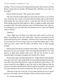nothing. "This is too soon to be making final decisions. But it seems to me that Benji's living with you already. He belongs there. Did Merry stay with you last night?"

Edwina shakes her head. "She stayed with a friend."

"She may need her friends right now more than she needs us. It's sad but true. At her age, she's closer to her peers than her family and can talk to them about things she can't discuss with us. I want the kids with me, but I don't think change is good for them right now. Merry is legally an adult, and I think we need to talk to her about what she wants, but Benji needs to stay with you. Everything else can wait until after the memorial service. Have you figured when it will be?"

"Saturday."

"Okay. Right now, let Merry stay where she wants, and let us bury our father. Everything else can wait a little while." Derrick is surprised to see the tension ebb from his aunt's shoulders. "Edwina, I don't know what's going on in your head, but I'm not trying to hurt you or pull this family apart. I want what you want: what's best for Merry and Benji. They've been through enough."

Edwina purses her lips for a moment, then softens. "How could you choose that man over your own family? After everything Ronald did for you?" She glances at Nigel then quickly looks away. She has the decency to look uncomfortable, seeming to recognize how hurtful she is being.

Derrick feels anger stab him behind the eyes. Nigel takes his hand and their eyes meet. His lover's gaze holds all the love and understanding it always has, and rather than alleviating Derrick's rage, the gentleness only stokes it. He moves toward his aunt slightly to give him room to haul Nigel up from his crouch to sit on the sofa behind him. Derrick pulls his boyfriend's arms around his waist and allows the touch to soothe him. His aunt only recoils a little.

"*That man* is the love of my life. If your father had forced you to choose between your family and your husband, which would you have chosen?"

"It's not the same thing."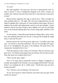# "It's not?"

She looks appalled. "Of course not. Our love is sanctioned by God. It's what is natural. A man is biologically designed to be with a woman, not another man. Almost everyone knows that love is only between a man and a woman."

Derrick barely suppresses the urge to roll his eyes. "That's actually not what multiple polls say." He sighs. She will never understand how he and Nigel fit together like a split piece of wood rendered whole again. He has to suppress his juvenile and inappropriate reaction to the apt metaphor. At that moment, what he has been trying to piece together ever since he and Nigel were in the backyard talking about love always being right, solidifies in his mind.

"In the kitchen, I heard Reverend Hernback telling Merry about God's love, how thinking about His love for her is what got her through the tough times. Is that true for you?"

Edwina narrows her eyes but answers right away. "I wouldn't put it that way—my church is a bit more traditional—but yes. It is through God's grace that we are strengthened. His grace is His kindness, His good favor, His compassion. Essentially that is love."

"Well the majority of the world is not Christian. They do not know your god's love. Two-thirds of the people alive do not know the love that you feel. Does that mean you condemn their lives?"

"That's not the same, either."

"Isn't it? In many places around the world it is illegal or dangerous or socially unacceptable to be Christian. Can you imagine life like that?" His aunt doesn't say anything but she is visibly upset. "Would that stop you from loving your god?"

"No," Edwina's eyes are blazing. "Of course not."

"If you were forced to choose between your home and your god, which would you choose?"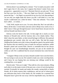Edwina doesn't say anything for a minute. "You've made your point. I still don't agree that it's the same, but I suppose that doesn't matter from your perspective—apparently to you it is." Shocked, Derrick can only nod. "If you feel that your love for this—" She eyes Nigel over Derrick's shoulder, and purses her lips. "—for Nigel is as powerful as my love for God, then perhaps I can see why you might make the choice you did. I still think it's a sin, but maybe I understand you a little bit better." Then she softened. "You could have called… or written…"

"I did. Well, maybe not to you. I'm sorry about that. But I see and talk to Merry all the time. I wrote letters and sent cards to Benji every week or two. I didn't know if they got through because I never heard back, but just now he told me Ronald read them to him."

Edwina cocks her head to the side. At that angle she is nearly an exact likeness of Ronald only with her lustrous skin a few shades darker. They didn't share the same father, so their mixed heritage is different. Her paternal grandparents got custody when she was still a baby. She had the proper childhood her brother never did; it shows through her speech, her perfect teeth, her flawless skin not rutted by years of meth use and poor sanitation, unlike Ronald's pitted and scarred flesh. Derrick is reminded that he has always thought his aunt was breathtakingly beautiful, not just on the outside but within as well. He is saddened that his sexual orientation has come between them.

"I imagine if Benji wrote you back, Ronald wouldn't have sent the letters. He was trying to wait you out. He wanted to make you come crawling home, and I know he was hoping that you missing your siblings would be the crushing blow, so to speak."

Derrick nods. "I bet you're right." They talk for a few more minutes, filling each other in on the major events of the past year, a truce of sorts having been reached. Eventually he stands and makes the rounds, saying hello to family friends, all of whom express their condolences, and not one of whom gives any indication they know of the family rift. He wonders for a moment how Benjamin hasn't given the ruse away with his improbable story, but then he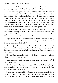remembers how little his brother talks about his personal life with others. For the first and probably only time, Derrick is glad of that fact.

He and Nigel both spend some time with Merry in her room. Nigel offers to leave them alone to talk but Merry asks him to stay. She missed him, too. Afterward they play with Benjamin for a while before the strain of keeping himself in control becomes too much for Derrick. He says his goodbyes and they leave. His knees give out as he is climbing into the car, and Nigel takes his elbow to steady him. They drive away in silence, Derrick lost in his thoughts, processing all that has happened. The afternoon didn't go at all like he expected. It was both better and worse, but he is glad he went.

When Nigel asks him how he's doing, he has to think about it. "I'm not sure," he says honestly. "Take me home and fuck me through the floor, then maybe I'll know." He reaches over and places a hand on his lover's knee. "Or let me do the fucking. Either works for me."

Nigel glances at him, his eyebrow raised. "Not what I thought you'd say, but I can do that." He chuckles. "I am *always* willing to help in that way." He interlaces his fingers with Derrick's.

Derrick sighs and leans his head back against the headrest. "Thank fuck. At least that's one thing I can count on. Everything else is just too fucking weird." He closes his eyes and tries to make his mind go blank. "You were amazing in there. Thank you."

He feels Nigel squeeze his hand. "I will always be there for you, Dare. Always. In any way you need me."

"Are we passing a fondue restaurant or something? I'm getting a whiff of something cheesy."

"Shush." Nigel strokes Derrick's fingers. "Rest awhile. You need to get your energy back in order to fully enjoy my fucking you into next week. That is, if you think you can handle it."

Derrick hears the smirk in his boyfriend's voice. It reassures him. He loves the cheese, but it scares him sometimes, too. It's easier to take snarkiness. "I can't wait, Nigh. It's all I dream about. That and Ellen DeGeneres making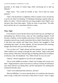pancakes in the shape of wiener dogs while convincing me to take up billiards."

Nigel snorts. "You would be terrible at that. You'd need too much patience."

"That's why the dream is a nightmare. Ellen is usually so nice, but she has it out for me when I'm sleeping. I'm thinking of keeping a spatula under my pillow for safety." Derrick opens his eyes long enough to meet Nigel's eyes and grin, then closes them again. "Wake me when we get home." He sinks down and lets the car's movement lull him to sleep.

\*\*\*\*

### **Then: Nigel**

It was Derrick's turn to decide where to go for their day out, and Nigel was anticipating fun. Derrick always came up with something original. It had become a tradition: on the monthly anniversary of their first date, they chose someplace special to go, usually somewhere the two hadn't been before. Now, it had been nine months and Nigel knew Derrick had struggled to find something they hadn't yet done together. He had announced this morning, though, that he had come up with the perfect idea.

"Are we there yet?" Nigel whined and then grinned. Over his shoulder, Tibbs sniffed at air coming in through the open window. Nigel could smell horses and hay. Who knew what the dog wasinhaling with histens of millions of olfactory cells. He shuddered. "Ick, Tibbs! Drool! So very not cool."

"Almost." Derrick signaled to turn left at the stoplight.

"We're in the middle of nowhere. I think I see Grandpa Jed's tractor over there." Nigel pointed to a pile of rust next to a railway crossing. He still had no clue where Derrick was taking them, and the anticipation was making him uncharacteristically antsy.

"I don't even understand that reference, old man."

"*Beverly Hillbillies*. I've neverseen the show, so I could have the character name wrong. I really don't even know if they drove a tractor. I have a vague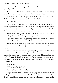impression of a bunch of people piled on some farm machinery in some publicity still."

"It was a 1921 Oldsmobile Roadster." Derrick made the turn and swung around a curve onto a two lane road winding through cornfields.

"Now who's old? How do you know that? You like *The Beverly Hillbillies*?" Nigel was surprised, and a little disturbed.

"I like old cars."

"Oh. I knew that." Derrick was driving Nigel's car, an environmentally sound Toyota Prius. Derrick's 1966 Alfa Romeo 2600 Spider was still a work very much in progress and wouldn't really have been comfortable for the forty-five minutes they had already been on the road.

Derrick turned and grinned at him. "Of course you did. You know everything about me. Everything important, at least."

Nigel raised his eyebrows suggestively and reached over to cup Derrick between his legs. "Oh yes, I know all the important stuff."

Derrick batted his hand away. "Stop that. That's for later. We're here." Tibbs was whining and showing very bad manners by pawing at Derrick's head.

Nigel looked up. They were pulling into a parking lot with a small building decorated to look like an old time general store. The porch was lined with ancient harvesting gear, a crooked straw scarecrow, and barrels of apples, stalks of corn, and piles of pumpkins. Lots of pumpkins. There were pumpkins everywhere, and behind the building stretched a large field full of even more of the things.

"A pumpkin patch?"

"Well it's October, isn't it?"

Nigel nodded. "That it is. Lead on."

The place was packed. A woman in an orange jacket directed Derrick to a parking spot about ten miles from the building, or perhaps only a few hundred feet. It seemed farther. A big sign said "support animals only." Although he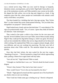was a retired service dog, Tibbs was now used for therapy in hospitals, detention centers, nursing homes, and so forth. Nigel hadn't been able to visit any of the institutions recently, and Tibbs needed to stay current on his skills. He slipped the little yellow vest on the dog and clipped on a leash. A big outdoorsy place like this, where people not comfortable with animals could easily avoid them, was perfect.

The three headed for a building that had a big sign saying, "Buy Tickits Here" in what looked like erratic hand-painted lettering. "Do you think they misspelled it on purpose?" Derrick asked.

Nigel looked more closely and saw that both letter "I"s were identical. The sign was professionally made. "Yes, of course. I guess they think all farmers are illiterate. I hate stereotypes."

They waited in line quite a while to buy tickets for the corn maze and hayride. Several children came over to pet Tibbs, most of them actually asking Nigel if they could pet his dog before doing so, which was great. He always said yes but reminded the children that service dogs should not be distracted while working. He explained that Tibbs was a support animal, though, which was different, and was not working but practicing. The kids were full of questions about what Tibbs could do. The attention helped the time pass quickly.

Once they had their tickets, the men waited for the next hay wagon. "Speaking of tractors…" Derrick pointed to a huge Ford vehicle approaching them, pulling a fifteen-foot wagon lined with hay bales.

"Just call me Jed." Nigel directed Tibbs to stand.

"I thought we clarified that it was a car." Derrick shook his head in mock disgust.

"Weren't they farmers? They had to have had a tractor."

"How would I know? You're the one fascinated by the show."

"Shush." Nigel glanced around and then squeezed one of his boyfriend's ass cheeks when no one was looking.

"Don't look but I think some guy is feeling me up," Derrick whispered.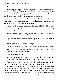"Feeling you down, more likely."

"Either way, you might have some competition." Derrick pretended to look for the culprit as they climbed into the wagon and sat on a bale of hay. Tibbs settled at their feet, leaning against their legs, out of the way of the other people climbing aboard. He put his head on Nigel's knee.

Nigel petted the dog then leaned closer to Derrick. "You wish. Actually, your mom's paying me to date you. She thought you were too perfect and wanted to be able to yell at you about something."

Derrick burst into laughter and bumped shoulders with Nigel. "I love you."

Nigel's heart swelled. Those three words were the elixir of life to him. "I love you more."

Derrick rolled his eyes. "Good grief, not that again. I love you infinity. There, I win."

Nigel smirked. "I win, actually, because I get to have you loving me that much."

Derrick groaned. "You are such a little girl."

"On our first date you told me you love cheese. I'm just aiming to please."

Derrick grimaced. "You have enough cheese to feed sandwiches to all the nine-year-olds in Washington state for a year."

"Only the nine-year-olds?"

"Give it time. You're still young." Nigel felt Derrick's hand squeeze his thigh. The simple touch sent shivers up his spine. "We're here."

They hopped out of the wagon and walked the two dozen yards orso to the entrance of the corn maze. The fake hand-lettered sign hanging nearby read, "Corn Maize." They both groaned and looked at each other. Nigel loved that he knew exactly what Derrick was complaining about. He had never known anyone as well as he knew Derrick, not even his own family, and Derrick knew him that well, too. That closeness was something he had never had before and didn't ever want to give up. The look in Derrick's eyes seemed to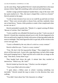say the same thing. Nigel grabbed Derrick's hand and pulled him to the maze entrance before Nigel did something really awkward and embarrassing.

Another orange jacketed employee handed them a map of the maze with key spots marked on it. "Hey, the maze is shaped like a witch on a broom!" Derrick pointed at the paper.

"I wish we had a broom of our own so we could fly up and look at it from above." There were several paths to choose from, and they randomly chose one to head down. "Seems a little pointless to make it that complicated when no one can see it."

Derrick pretended to ponder this. "Maybe it's a signal warning off aliens: 'Beware of witches. Don't land here.'"

"Curtis would be very offended if he heard you say that." Curtis was one of Derrick's friends they sometimes played soccer with. He also happened to be Wiccan and loved to regale his friends with stories of dancing naked under the moon at midnight. They both figured he did it to get laid; all the witches in his coven were gay men.

"Curtis is offended by the very idea of a witch as a scary creature."

Derrick rolled his eyes. "Curtis *is* a scary creature."

"True. Oh, here's the first tag puncher thingy." They stepped into a little alcove off the main track. A post with a sign depicting a cat had a little orange hole punch hanging from it. Nigel used the tool to mark the cat image on the map. "One down, twenty-three to go."

They headed back down the path. A minute later they reached an intersection. "Which way, Mr. Sulu?"

Derrick looked up from the map. "Checkov was the navigator."

"You're just filled with trivia today."

"I spent about a billion years in school. Learning something was inevitable." Derrick turned the map to orient it in the direction they were walking.

"You didn't learn about Star Trek characters in college."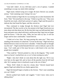"Like hell I didn't. At two AM there aren't a lot of options. I needed something to occupy my mind while studying."

Nigel nearly choked trying not to laugh. He knew Derrick was actually serious. "And cramming wasn't doing it for you."

Derrick looked at Nigel like he was turning into an alien biomimetic life form. "Duh." He turned back to the map. "I think we go this way." They soon found the next mark, which had a picture of a ghost. Nigel used the punch to indicate they had found the figure, and they moved on.

They continued to trudge through the thickest mud Nigel had ever encountered. The day was dry so far, but autumn in the Puget Sound area was more about rain than about sun. By the time their map was half punched, their boots and pants were caked with muck, and the poor dog'slegs were no longer gold but brown. "I like the color, Tibbs, but next time try dye. It will last longer and be more comfortable," teased Derrick.

"I think we're lost, Dare. We keep passing this same area." They were standing at the terminus of a dead end. "Let me see the map." Nigel moved up behind Derrick to look over his lover's shoulder. "I think the path we thought was this one"—Nigel reached beneath Derrick's arm to indicate a spot on the map—"isn't really part of the maze but just a wide break in the corn that people have trampled.

"That could be." Derrick pointed to a line on the diagram. "That would mean we haven't reached here yet, so we've been turning too early."

"Right. I also don't think we went about this the right way. We're way over here on the upper left, and we have all the punches from the left hand side. We're going to have to backtrack to get to the rest of them."

"Hmm. Well I think it's time for a break, then." Derrick leaned back against Nigel and rubbed his ass cheeks against him.

Nigel felt himself begin to harden at the friction. "Don't start something you can't finish."

Derrick pushed back harder and wiggled. "I don't know what you're talking about."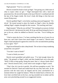Nigel groaned. "You're a cock tease."

Derrick twisted his head to look up Nigel. "Just giving you a little taste of what to expect when we get—" Nigel interrupted him with a hard and passionate kiss. He moved his hands to the top of Derrick's waistband and slid the tips of his fingers inside. His lover's body did things to him that sent reason flying away.

Derrick grabbed Nigel's wrist before anything untoward happened. "Uhuh-uh." He turned around to place his hands on Nigel's chest, his thumbs rubbing Nigel's nipples through his thin sweater. "No touching until later."

Nigel moaned. "What do you call that?" Not waiting for an answer, he bent to suck Derrick's lip between his teeth. He let go and kissed along his lover's jaw to his ear, where he nibbled on Derrick's ear lobe. "You're killing me here."

"Glad to return the favor. I've been watching that hot ass of yours for an hour now, and I don't know how much longer I can stand it." Derrick took Nigel's hand and placed it against his crotch for a few seconds before pushing it away again. "See?"

Nigel forced himself to take a deep breath. "Do we have to keep wandering around this corn patch?"

"You don't want to finish?"

"I want to finish you more."

Derrick mock grumbled and pulled away. "I've had enough cheese for today." He grinned, to Nigel's relief, and they headed back out to the path. "Well I'd like to keep going. Doing the maze, that is. I always finish what I start." Derrick leered at him, a look which went straight to Nigel's crotch.

"That's fine, let's just do it quickly. We still have pumpkins to pick." He reached for Derrick's hand and rushed back the way they had come. At the junction with the main track, he slipped and his arms cartwheeled for a moment before he caught his balance. When he looked back at Derrick, his lover had a terrified look on his face, one leg extended out in midair and his arms were pinwheeling around in an exaggerated motion.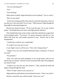"Are you mocking me?"

"Yes"

"Just checking."

When Derrick stilled, Nigel kissed him on his forehead. "You're a dork."

"But I'm your dork."

"At the risk of being sued by Wisconsin for unlawful cheesiness, I have to say that you're the only dork I'll ever want." Tibbs sneezed. Nigel thought the dog might be showing disapproval.

Derrick just shook his head. "I'll let it go this time. Try to stay vertical please." He headed down the track, and Nigel quickly followed.

They finished the maze as fast as they could, then rode the hay wagon back to the pumpkin patch. "You know, I've always pictured a hayride as a cart filled with loose hay with people sprawled on top," Derrick said as they disembarked.

"I doubt that would be very comfortable."

"It would if you were next to me."

It was Nigel's turn to roll his eyes. "Now who's being cheesy?"

"I figure I owe you a few hundred thousand cheesy comments. I'll stop if you stop."

"No promises."

"Fine. Let's pick out some pumpkins so we can get home, and you can finish what you started." Derrick set off toward the field where the pumpkins lay mired in mud.

"I believe you were the one who started it." They reached the field and began rooting through the muck.

"Well, I'll take it back if you want me to."

Nigel jerked up and looked at his boyfriend in horror. "Don't you, Dare!"

Derrick covered his face with his hands. "Puns now, too?"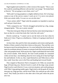Nigel laughed and reached for a white version of the squash. "This is cool. We could do something different with one that's not orange." He looked back at Derrick. "We are going to carve them, aren't we?"

"Hell yeah! Carving pumpkinsis a highly skilled art form. We're having a contest at one of the service centers I work out of. I've never even placed. With your artistic skills, I'm sure we can win this time."

"I have artistic skills?" Nigel ruled the pumpkin too lopsided to stand up well and put it back down.

"Well, compared to me." Derrick shrugged and picked up a big, orange, elongated globe. "This one is pretty smooth."

"That does look good. Help me find one that has some interesting lumps. I have an idea for a witch that looks like Curtis but with warts."

Derrick cracked up. "I cannot wait to see the look on his face when he finds out it's him. I'll get us a wheelbarrow. I think we're going to need lots of practice."

An hour later, they paid for their nine pumpkins and sixteen small gourds. Neither of them wanted to limit their choices at that point. That and they were having too much fun picking them out. At a store behind the ticket booth, they spent an exorbitant amount of money on autumn foods like fresh pressed apple cider and pumpkin bread. With anyone else, Nigel would think the food would last several months. With Derrick, the food would probably be consumed within several days. Just thinking about his lover eating all of that had Nigel hot and bothered. At the car, they wiped themselves and Tibbs down as best they could. Soon they were in the Prius and heading back toward Seattle.

They stopped at Marymoor Park in Issaquah to let Tibbs run around the huge off-leash dog area. Derrick loved to watch all the dogs romp around. Nigel loved to watch Derrick. It was a win/win situation, and worth putting up with Tibbs's legs getting muddy again. Nigel tried to rub the gunk off, but this time gave up. Dogs got dirty, and he loved Tibbs. He could put up with a little muck. They finally just drove to the other side of the park where the picnic area was.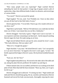"How many people were you expecting?" Nigel watched Derrick unloading the lunch he had packed. A large bag of grapes joined a pile of sandwiches, chips, three different kinds of salad, two desserts, and several jugs of various drinks.

"Too much?" Derrick surveyed the spread.

Nigel laughed. "For me, yeah. You? Probably not. I have no idea where you put all that food in that little body of yours."

Derrick glared at him. "I'm not little. Want to go a few rounds with me so I can show you?"

Nigel threw up his hands. "Hell no! We both know you could take me three times out of three. I just meant that you eat like a linebacker."

Derrick shrugged. "Just lucky I guess." Nigel wasn't sure it was luck—it was expensive and time consuming to eat that much—but he enjoyed watching Derrick ingest his food. He made eating an art form.

Nigel moved behind Derrick and put his arms around his lover's waist. "This looks delicious. Did you make it all?"

"Most of it. I bought the grapes."

Nigel chuckled. "Lazy man." He licked Derrick's neck. "Let's eat quickly so I can move from here," he lapped at his lover's neck again, "to here." He briefly squeezed the bulge in Derrick's jeans. His boyfriend trembled beneath him.

"Fuck yes. Sit! Sit! Now!"

Nigel laughed and pulled away. He moved to the other side of the table and sat, taking the plate Derrick proffered. He loaded it up and dug in.

Fifteen minutes later, he was stuffed, and Derrick was working on his third plate of food. More than half the feast remained. "Hurry up, Dare, you've got a lot left to go."

Derrick shrugged and swallowed. "I'm doing my best." Nigel smiled and indicated Derrick should keep going. He sat, watched, and listened as Derrick hummed and moved his body unconsciously, thoroughly enjoying his meal.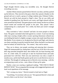Nigel thought Derrick eating was incredibly sexy. He thought Derrick everything was sexy.

Another fifteen minutes passed before Derrick was done, and they packed up the leftovers. They moved to the grass where they spread a blanket on the ground and sat to watch a group of college students play Ultimate Frisbee. Derrick sat with his back pressed to Nigel's chest. The air was chilly and smelled of pending frost, but Derrick was warm, and Nigel relaxed with his arms around his boyfriend. The game players took a break, but the two of them stayed seated and watched the people in the park. They played "who's compensating for a small penis" for a while, but there just weren't enough candidates.

They switched to "who's closeted" and had a lot more people to choose from. The game concluded when both agreed on a winner: A nervous looking older man wearing a bright yellow sweater sporting rhinestone-collared cats was holding the hand of a slightly younger woman who made Janet Reno look like Barbie. Every minute or so, he glanced at Derrick and Nigel, and when he saw them watching, he quickly turned his head. What clinched it was that each time he looked, he licked his lips. "No contest," they said in unison.

They sat in silence, just people watching and enjoying their closeness. Nigel felt immeasurable joy sitting there with the love of his life in his arms, their dog stretched alongside them, their bellies full, his heart bursting with love. In a little while, he would get to take his boyfriend home and make passionate love with him. Their one year anniversary was only a couple of months away, and he had finally gotten up the nerve to ask Derrick to move in with him. The thought of waking up next to Derrick every morning—with the accompanying wood, no less—sent a blaze of heat up his spine.

Nearby a man was wearing a signboard reading, "THE END IS NIGH! REPENT NOW!" He accompanied the message with exaggerated gestures and loud vocal repetitions of his message.

"He's wrong you, know." Derrick turned to look back at Nigel.

"Good thing. I'm not done with you yet." He squeezed Derrick's chest and moved a little to see his lover's face better.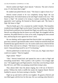Derrick smiled and Nigel's heart danced. "Likewise. The end is forever away. It's the future that is nigh."

He nodded and pulled Derrick closer. "The future is right in front of us."

Derrick turned around so he was completely facing Nigel. He was breathing faster. He looked intense as he took Nigel's hands in his own. "The future is *Nigh*." He seemed to be trying to explain something that Nigel apparently wasn't getting. He listened as Derrick again said, "My future is *Nigh*. *My* future is *Nigh.*"

Then he finally got it. For a moment he couldn't breathe. This beautiful, wonderful man thought Nigel was his future? Some days Nigel was scared that his boyfriend would know how beneath him Nigel was and fly away. But now Derrick was telling him that his future was with Nigel. He struggled with his emotions. He pulled Derrick as close as he could, wrapping his arms around him, and burying his nose against his lover's neck.

He was shaking, and he appreciated that Derrick didn't say anything, just gave him a minute to get himself under control. Finally he turned his head and brushed hislips against Derrick's ear. No words could convey what he felt but he tried. They came out in a whisper. "The future is us, together. I love you so much. I keep pinching myself to see if I'm dreaming."

Derrick pulled back to meet his eyes. "I love you, too, Nigel, more than I could ever explain." Then he laughed.

Nigel smiled. "What?"

"This." Derrick leaned back and opened his arms to take in Nigel and everything around them. "This is perfect. Life is perfect. I'm so happy right now." He laughed again and Nigel joined in. Soon they were howling so hard they fell over, and Tibbs was jumping around them trying to play.

They almost didn't hear the phone ringing, but it fell out of Derrick's pocket. Without the cloth to muffle the sound, the ringtone blared. Derrick fumbled to answer, his hoots turning to chuckles. "Hello?"

Nigel sat up and tried to still his own laughter. He gazed at Derrick and was filled again with his love for this man. He was watching when Derrick's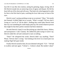face fell. It was like slow motion, seeing his grinning, happy, loving, full of life Derrick morph into an unmoving rictus of agony and despair. He felt his heart fall out of his chest and roll away. That had to be what happened in order for him to feel this kind of pain, watching his lover fade away in front of his eyes.

Derrick wasn't saying anything except an occasional, "Okay." He mostly just listened. It killed Nigel not to scream, "What's wrong?! Tell me what's wrong so I can fix it!" but he didn't. Nothing that could make Derrick look that way was something he could simply patch up. He cursed whatever powers that might be that their perfect moment had been shattered.

He took Derrick's hand. It was like picking up a dead fish: heavy, lifeless, and unresponsive. Cold. Clammy. He rubbed the palm trying to warm it up. Derrick ended the call and continued to stare at nothing.

"Dare?" He whispered the words. Derrick didn't say anything. "Dare?" Please. Tell me what's wrong." Just looking at his lover in so much pain was making Nigel fall apart inside.

Finally Derrick turned to him, his eyes dimmed with grief. "Cel—" He had to swallow and start again. "Celeste's—Celeste is dead. My mother's dead."

\*\*\*\*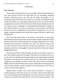#### CHAPTER 9

#### **Now: Derrick**

This week has been hard, busy but not enough so. Relief flooded Edwina's face when Derrick told her he would take care of everything, including Ronald's memorial service, the will, and the estate. He gained a lot of experience when Celeste died only a little over a year ago. He is glad he is able to help. His father was surprisingly prepared and set up a lot of the funeral arrangements in advance. Derrick refuses to think about what that means. He isn't ready to face it, although it's confusing that Ronald didn't change his will. Maybe he didn't have time or the money to see an attorney. But Derrick found that when he completed the small number of things left to do, he felt empty, aching for another task to keep him occupied. He hasn't really found anything else.

Days have been spent either at the house, on the phone, or exercising. Bereavement leave has given him too much time to think, and he has tried to keep his mind clear by exhausting himself. At night, Nigel makes love to him, sometimes hard and dirty, sometimes soft and sweet. Derrick clings to his lover like a barnacle. If he lets go, he will float away and drown. It's a mixed metaphor, but it fits as he struggles to keep his head above the murky despair dragging him down.

Now the day Derrick's been dreading, the time for his father's funeral, is here. They decide to take the Prius again. The other car is too flashy in its way, too fun. He has to pull the seat forward to adjust for his shorter legs. It reminds him that he's not the one who usually drives this car, and he feels comforted cradled by a seat molded over time to fit his lover. Next to him, his boyfriend fiddles with the radio and finds a blues station. Nigel doesn't like this genre of music but Derrick does, and he's grateful for the consideration. The music is exactly what he needs right now.

Muddy Water's soulful voice croons from the speakers. A memory of Celeste playing an old vinyl record on an ancient console stereo drifts into focus. He'd forgotten that old behemoth. The look on her face whenever she closed her eyes and let the music fill her is one of his fondest memories. She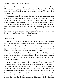listened to rhythm and blues, soul and funk, and a lot of other sounds his friends thought were stupid. He secretly loved it and would hide behind the door to the den and watch her sway to the music, the beautiful voices filling his heart, too.

The memory reminds him that not that long ago, he was attending another funeral, and his heart grows heavy again. No one likes memorial services, but the ones for the people that mean the most are the hardest. He rubs his chest as if he could dispel the ache there. He is thankful for the billionth time that day that Nigel is there beside him, tethering him to the moment. He remembers what someone in juvie once told him when he was starting to panic from PTSD; *"There's only one thing you need to do right now: breathe. Concentrate on just that. Breathe in, breathe out. Focus on one step at a time. Breathe in, breathe out.*" He can do that. He does.

\*\*\*\*

### **Then: Derrick**

"Ronald, I—" He what? He had no idea what to say. What was there that would help a man cope with the death of his wife of thirty-seven years? Derrick had lost the only mother he had ever really known, but he was grown, twenty-nine years old in a couple of weeks. Ronald had lost the love of his life, the woman that made everything else matter. "Dad…"

Ronald laughed without humor. "You never called me 'Dad' before." He swallowed the rest of his whiskey sour in one gulp and signaled the bartender for another. "You tell people I'm your father, but you never actually called me 'Dad' or anything like it."

"I know. I'm sorry." Derrick toyed with his ginger ale. He was queasy, and this high-end bottled brand had a lot of real ginger in it which was supposed to help. He didn't think anything would help this kind of nausea. It had been over a month since Celeste's sudden tragic death from a coronary, and he still found it hard to function sometimes. He couldn't imagine what it was like for Ronald. Except, he could. Although they had only known each other about a year, he thought that if Nigel perished, when they were so in love and happy together, he would die. He didn't think he could bear the pain. He shook his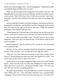head to clear those thoughts away—he had enough grief. "Ishould have called you Dad like Benji and Merry do. I'm sorry."

"Don't be. Word sounds weird coming out of your mouth. Too soft." The bartender placed a new glass in front of Ronald, and Derrick told her to put it on his own tab. "Don't fall in love, Son. It'll kill you every time. Wait, I don't mean that. I wouldn't have traded my life with your mama for anything in the world."

Derrick could tell hisfather was barely holding on. He had moved home to help Ronald with the kids, and his father was like a hologram of who he had been. He ached for his dad, but he had no idea how to help. He would do anything to make Ronald's pain go away.

"I keep hoping you'll find the man of your dreams, the one who stays there forever. And I pray he outlives you so you don't ever know this kind of pain."

Derrick put his hand on his father's arm. "You don't have to worry; I have found him. And I know that if he does die first, it will still be worth the time we have together."

Ronald spluttered. "That lily white boy? He's not the one. He's just a thing you're going through."

Derrick was hurt until he reminded himself that Ronald was lashing out because of his own pain. "Let's not talk about him right now, okay?"

"Why not? You won't listen to me anyways so why does it matter if I talk about it?" Ronald drained his drink once more and signaled for a refill. "You haven't got any idea what it's like to be in love."

Derrick knew it was wrong to engage his father, but he just couldn't let that slip by. "That's not true at all. I've been with enough guys to know that what Nigel and I have is truly love." He ignored Ronald's snort. "I'm sorry you don't like him, but he's not going anywhere."

His father shook his head. "You just think you're in love. You haven't got what Celeste and I do… did." His father closed his eyes a minute before continuing. "Even if you're head over heels, that man isn't. You know he's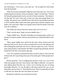just slumming it. You're just a new play toy." He accepted his fresh drink from the bartender.

"Why do you keep saying that? Nigel has never been that way. You're just reaffirming the stereotype of the rich playboy. Nigel's not like that." Derrick felt himself getting heated, but he was sick of these comments. "His family's not like that. He wasn't born rich, at least not what most people think of as wealthy. His parents were with Bill Gates when he first moved Microsoft here in 1979, and they didn't make more than a good salary until the company went public a few years later. Nigel was in grade school when his family went from well off to affluent."

"His family has always had more money than you'll ever see."

"That's not the point. Nigel was born middle class—"

"Upper middle class." Ronald'sthird glass was nearing empty, and he was already waving for another. Derrick narrowed his eyes. Ronald needed to slow down.

"Okay, upper middle class, and he has the same values of hard work and education that you do. He isn't who you make him out to be. He dedicates his life to helping the same kids I do! You've said you respect my work." Derrick took a deep breath to calm himself. Hisfather was grieving and drunk; Derrick should have left this conversation ages ago.

"I do. You're good at it partially because you know what it's like to be one of these kids. He's just doing it because of his white guilt. White people don't get it."

Derrick growled, "You're judging him because of the way a lot of rich folks treat people who don't have money. But Nigel is different. You need to stop talking about him that way. I know you're hurting, but you are being downright offensive. It's not all right to talk about anyone the way you do about him, and you know it." He leaned forward, "But it is especially not okay to talk that way about the man who shares my heart."

Ronald just rolled his eyes and shook his head.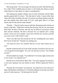Derrick growled, "Are you trying to lie and say you don't like him because he's white? That's bullshit and you know it. Our family has almost as much white blood as it does black or Latino or anything else."

The barkeep put another whiskey sour in front of Ronald, and his father quickly gulped half of it down. "Not that kind of white. I mean whiter than white, like white rich folks who don't even know any black people except the guy who empties their office trash. If it isn't white guilt, then it's to keep streets safe for him and his white friends."

"Ronald…" Derrick tried to reason with him. Reasoning with a drunk was always a bad idea. "Nigel does what he does because, like me, he cares about these kids. He does it because, also like me, he believes in proactive rather than reactive solutions. He does it because he's an optimist and a caring person. At his core, he is radiant. I am in love with his very essence, just like you were in love with Celeste's soul."

"Don't you talk such shit around me. He isn't anything like your mama. He'll never be like her." Ronald was snarling now.

"Of course he won't; he's himself. But he is to me what Celeste was to you."

Ronald swallowed the last of his drink and then swiveled to face his son. "I'm not gonna let that happen. You can't see that boy no more. You'll thank me later."

Derrick barked out a laugh. "You forbid me? I'm twenty-eight, twenty-nine in two weeks. I'm a big boy now."

Ronald wore a look Derrick didn't like. "You aren't going to see that boy, or you aren't going to see your family no more. Which it gonna be? Him or us?"

"Ronald, don't be foolish. You need me. You asked me to live with you to help with Benjamin and Marisol. It's the drink talking. Let me take you home, and we'll talk tomorrow." He beckoned for the bill.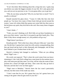"It isn't the drink. Been thinking about this a long time now. I gotta stop you before you make the biggest mistake of your life. He's only gonna hurt you, and you are too precious to me. I'm not gonna allow you to get hurt."

"Why do you keep saying that? Why do you hate him so much? You're usually so tolerant."

Ronald smacked his glass down. "'Cause it's folks like him who fuck people up. You know how many of these foster kids get moved around the system 'cause rich whites think they gonna save some little boy then soon as the kid shows any spirit, they kick him to the curb. How many times it happen to you?"

"I don't think—"

"Yeah, you aren't thinking at all. Rich folks set up those foundations to give away their money 'cause they're too good to get their hands dirty. They think if they throw enough money at it, the problem will go way."

"Nigel doesn't just throw—"

Ronald growled. "Rich white boys sleep with poor folks just 'cause they can. Decide they're gonna have some fun with a pretty young plaything, then they get bored and go back to their diamonds and champagne, and all they leave behind is just a broken heart in the dirt."

Derrick's irritation had changed to confusion. "What are you talking about? Nigel's not—"

His words were ignored. "That's where the word comes from you know: slumming it. Like I said: Rich college boys come home for the summer just to play with some poor girl they meet. Lie to her, tell her what she wants to hear, promise her a future all bright and shiny. Then come fall, they go back to Harvard, and she don't ever see them again."

"Nigel went to Berkeley." Derrick knew the fact wasn't particularly relevant, but then none of this made any sense.

"I don't want that for you. He's gonna hurt you; he's gonna leave you rotting in the gutter when he gets tired of your life."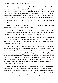Derrick was getting seriously pissed off. His father was insulting both him and his lover now. "Ronald, stop it. I'm not some poor, ignorant, street kid anymore. I've got a Master's degree myself, remember? You convinced me I could do it because you knew I wassmart enough. So why are you treating me like an idiot? I know what I'm doing. And FYI, I doubt Nigel has ever even touched a diamond. He'stoo distressed about the horrors of blood diamonds."

"I know his type!" His father's voice was rising, and people were starting to stare.

"How? How do you know his 'type'? This isn't some Hollywood B-flick where everyone is a cookie-cutter caricature."

"'Cause I've seen what he leaves behind!" Ronald shouted. The silence that ensued was nerve-racking after the loud outburst. Derrick was horribly embarrassed and ducked his head while his father had another sip.

Slowly, the noise level rose again asthe other customers went back to their drinks. Derrick held up a hand to show the bartender he had it under control. He waited for his father to say more, but he didn't. Finally Derrick asked, "This happened to you?"

"God, no. I've never been that naïve." Ronald scowled. "Your mama. When she was barely legal, some rich dickhead white boy from Harvard got some kind of internship or something in Dallas and met her at a festival. She thought she was in love. He said he loved her, too, and would marry her soon as he finished his education. When summer ended, he went back to school, and she never heard from him again. He never returned her calls or replied to her letters. She worried about him until she talked to his roommate, who laughed at her and called her nasty things. He told her the asshole never liked her and didn't want to see her anymore.

"Even then she didn't believe it. She kept trying until she got a certified letter from his attorney threatening a harassment suit. It took her a long time to fix what he broke. She was such a mess when I met her. Years later she found him on the Internet. He had been a lawyer for some foundation until he became a congressman, and at the time he was running for senator. Fucking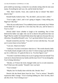prick ended up marrying a woman he was already seeing when he met your mama. Everything he said was a lie, and he broke her heart."

"Shit. That's horrific. Fuck, who could do that to Celeste? She didn't deserve that."

Ronald finally looked at him. "No, she didn't, and you don't, either."

"You're right, I don't, and it isn't going to happen. I keep telling you, Nigel isn't like that."

"How do you really know? You suddenly learn to read minds, boy? Whole world thinks he's too good for a low-class boy like you, and he knows it. You're a fool."

Derrick didn't know whether to laugh or hit something. Part of him believed his father was right; who was he to deserve the perfection that was Nigel? But he couldn't let himself think about that right now because this was ridiculous. He grabbed Ronald's arm. "Let's go home before I kick your ass."

Ronald wrested his arm free. "You aren't in love with this boy. You said you've never been in love before."

"I am now. Head over heels."

"I told you: You don't even know what love is." His words slurred a little. "I'm finally drunk enough to tell you what I've been trying to get the balls to say for a while now. It's gotta be him or us. You best figure it out."

"You don't want him to betray me so you're going to hurt me instead? You want me to choose between my family and the man I love? I'm not doing that. You're being ridiculous."

"Decide, or I'll have the locks changed while you're at work tomorrow. You'll find your shit outside." Ronald's face was hard.

"You're drunk."

"Maybe, but I'm finally done with this shit. Decide. Now."

Derrick felt the blood drain from his face. "You're serious." Ronald's expression didn't change. "You're fucking kidding me. Don't do this, don't ask this of me. You're being an ass."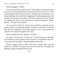Ronald shrugged. "Choose."

Fear warred with fury inside Derrick. "Fuck! Knock it off, Ronald. Who I love is none of your damn business, and you don't have control over it. Don't you fucking dare tell me I have to choose." Ronald's face remained stoic, and he kept drinking. How could this be happening? "God fucking dammit to hell and back. I can't make such a choice, and I won't. I love both of you!" Derrick was shaking. He tried to calm down and try a different approach. "Please, Ronald… uh, Dad. Be reasonable."

"It's too late for 'Dad' now. You do what you think you gotta do, but my mind is made up. I'm not gonna change it. I'm gonna catch a cab. You choose him, don't be bothering to come home tonight. I won't watch you destroy yourself." He turned and headed for the door.

Derrick started after him. "Ronald… Ronald!"

His father waved him off. "Decide, boy. You best be home by morning. You tell him you aren't gonna see him anymore or say goodbye to me now. I'm finished with his games." Ronald stumbled out the door.

Derrick staggered back to lean on his stool. Choose? How could he choose? He clutched his stomach and ran for the restroom. The ginger ale definitely couldn't handle this kind of sick.

\*\*\*\*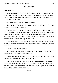#### CHAPTER 10

### **Now: Derrick**

On their way to I-5, Tully's Coffee beckons, and Derrick swings into the drive-thru. Reading the names of the frou-frou coffee drinks on the posted menu makes his stomach churn. He needs the caffeine, but anything other than black coffee is too much.

"Want anything?" He reaches for his wallet.

"I've got it." Nigel hands him a twenty he's already pulled from his billfold. "Just a black Americano."

The box squawks, and Derrick orders two of the watered-down espresso drinks made for American sensibilities. He declines the voice's suggestion of a pastry and pulls forward. "Did you know Patrick Dempsey bought Tully's?" It's useless trivia, and he doesn't really care, but it's something to talk about besides death. He can't face any more silence.

"The hot guy from *Grey's Anatomy?*" It's obvious from his body language that Nigel has no more interest in the subject than Derrick, but he, too, needs a distraction.

"Yeah. He beat out Starbucks."

"It's always good to prevent a monopoly. Does Dorjee still work there?" Nigel names a friend from their soccer team.

The car reaches the window. Derrick pays and put the drinks in the car's cup holders. "Where, Starbucks? Yeah, I think so."

There is nothing more to say on that topic. Derrick steers the car back into traffic, and the silence descends again, a painful reminder of where they're headed. A hand touches his knee and he takes it; Nigel says so much without words. They hold hands and drive on.

\*\*\*\*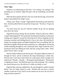## **Then: Nigel**

Someone was hammering on the door. "I'm coming, I'm coming!" The pounding was so insistent, Nigel felt panic well up. Something was horribly wrong.

When the door opened, Derrick's fist was on the downswing, so he lost his balance and tumbled into Nigel's arms.

"Whoa, easy. What's wrong?" Nigel held his boyfriend up and closed the door. He then pulled Derrick toward the living room. "Sit down. I'll get you some—"

"No, don't leave me, not yet!" Derrick wouldn't let go. He was shaking and cold to the touch.

Nigel felt his throat closing. He was terrified. "Derrick, talk to me. What's wrong? What happened?" He reached for the blanket he had been curled up in reading and wrapped it around his shivering lover before dropping into the enormous armchair and holding Derrick's face to his chest. His boyfriend's breath was coming in gasps, and Nigel realized his lover was sobbing. Shit. He held Derrick tightly and put hislegs around him, too. Although he was having trouble breathing through his own constricted chest, Nigel rocked his lover, kissing his head and rubbing his back until the crying eased a little. "Dare, please tell me what's wrong."

Derrick finally looked up and met his gaze. The agony Nigel saw there cut through his heart, and he swallowed the lump threatening to choke him. Derrick had to start three times before he could speak clearly enough to be understood. "Ronald… Ronald…" He hung his head shaking it. "That bastard is making me choose." He lifted his head, tears still streaming. "He's making me choose between you. He told me it's either my family or you."

Nigel felt like someone stabbed him. He only thought he couldn't breathe before. Now his lungs refused to work. "Ronald said you have to choose whether to date me or not? And if you do choose me, he won't let you live or hang out there anymore?"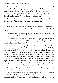Derrick shook his head, and his look stilled any hope Nigel had left. "I have to tell you I'm never going to see you again, or they're lost to me forever. Or until Ronald dies, if he hasn't poisoned the kids against me by then."

"Why is he doing this?" Nigel couldn't imagine having to choose between Derrick and his family. The very thought was horrifying.

"He says he's trying to protect me for my own good. He says you're just using me, and I'll be horribly hurt when you decide to move on."

Nigel gasped in shock. "I would never—"

"I know you wouldn't." Nigel wondered if that were true, if Derrick really knew that. "I wish he were dead." Derrick blurted out the words, but he didn't take them back.

It killed Nigel to see Derrick going through this. "No you don't. You're just angry and hurt. He'll come around."

"No he won't, and you know it." Unfortunately, Nigel agreed that Ronald was unlikely to change his mind. "What am I going to do, Nigh? I can't lose you. But I can't lose them, either."

Nigel couldn't bear the despair he saw on his lover's face. He would do anything to take it away. "Derrick, I love you, you know that, right?" His boyfriend nodded. "I will always love you. It's torture to tell you this, but you need me to say it." He took a deep breath. "You never had a family until the Bryants. You told me you didn't think anyone had ever loved you until they came into your life. All you ever wanted was a family. They've been that for you. You've had them for well over a decade, something like fourteen years, right?" Derrick nodded, uncertain. "You've known me less than one. You can't give up your family. No one should ever have to. Family is everything." The words were like shards of glass coming out of his mouth.

Derrick pulled back, his face reflecting an amalgam of concern, fear, and confusion. "Are you saying you don't want me anymore?"

Nigel choked and pulled Derrick close again. He couldn't bear that anguish. "No, oh God no, not at all." He had to swallow several times before he could continue. "I love you. I ache just thinking about losing you." He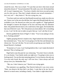closed his eyes. This was so hard. "It's just that you have what most sexual minorities dream of." Sexual minorities? He really was a twit. He brushed that off. It wasn't important now. "You have a family who loves you and accepts you for who you are. They don't simply tolerate your sexual orientation—" *twit, twit, twit* "—they honor it." He was crying now, too.

"You have said over and over that Ronald rescued you, made you who you are. I know you're the one who did that, but I agree that Ronald made the way available to you. He showed you what you were capable of." Nigel gathered the strength to remove the despair on his face and keep only his adoration there. He pushed Derrick back so he could look at him again. He brushed the hair out of Derrick's eyes. "He's the person you most admire. He's everything to you. I can't be the one to make you give that up. I can't ask that of you."

Derrick grabbed the front of Nigel's T-shirt. "You're not asking it of me; he is. Fucking asshole!"

Tightly grasping Derrick's hands in his, Nigel looked into those beautiful but tormented eyes. "True, but I'm not going to be like him and demand you choose me. You can't do that. I'm not worth you giving up your family." He kissed Derrick's forehead.

"If anyone is, it's you. I can't fucking believe this. I can't make this kind of decision! This is fucking evil."

Nigel had to ease the pain he was witnessing. "You don't have to decide. It's a no-brainer. Your family needs you right now. I'm going to miss you so fucking much. You are the most amazing person I've ever known, the only one I've ever truly loved, the only one I *will* ever love. I have always and will always love you. Remember that."

"Me, too. I don't deserve you." Derrick was crying again.

The statement was appalling. That Derrick believed it was even worse. "Dare, you deserve the best that's out there. I want that to be me, but you deserve so much more, including a family. Your father is right about that."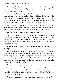Derrick wiped the tears from his face with his jacket. "My father isn't right about anything. I hate that you're right about my family needing me. Will you make love to me one last time?"

Nigel answered by standing, still holding his precious Derrick. His lover wrapped his arms and legs around him. Nigel would make this the best sex he could and leave Derrick with something to remember him by. He carried his lover to the bedroom, and they fell into the pile of blankets together. They kissed and their hands roamed, trying to touch everywhere at once.

Nigel pulled back long enough to say, "You… I won't forget…" The sentence dangled in the air, unfinished. They both knew that what they had would be gone come morning. Nigel fought the tears that threatened.

"Don't cry, Nigh. Not yet. Make love to me. I want you."

The words gave Nigel the fortitude he needed. This was their last night together and he was damn well going to spend every minute enjoying the beautiful man he loved. They hurriedly undressed. Nigel took a moment to drink in the sight of his lover. Derrick was always gorgeous but naked, he took Nigel's breath away.

"I need you inside me this time, Dare. I need you to fill the emptiness I'm feeling."

Derrick nodded and they both fell onto the bed. Their sex was frenzied. They rolled back and forth, each trying to get closer to the other, wanting to touch everything at once. The kissing was like fire on a fuse, everything rushing toward a great explosion. When Derrick reached for the lube, Nigel's heart skipped a beat, and as soon as the bottle was in his lover's hand, he quickly pulled Derrick back to him.

"Dare, hurry, I want you inside me. Now."

The prep was rushed, and when Derrick entered him, the pain was crushing. But Nigel didn't care. It matched the pain in his heart. Derrick paused to let Nigel adjust. He leaned forward and held Nigel like his very existence depended on it.

"You are so fucking hot. I want to stay right in this moment forever."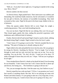"Hell, no—if you don't move right now, I'm going to explode in the wrong way. Move. Move!"

Derrick smiled a bit then moved.

As Derrick thrust, Nigel pushed back. Their intercourse was ruthless and demanding. He would hurt badly tomorrow, but he welcomed it. It would be his last gift to Derrick, the memory of incredible lovemaking. They both screamed as they came. Nigel let the pain in his heart erupt, hidden in the cry of pleasure.

When the spasms ended, Derrick fell to cover Nigel, his weight a comforting presence. They were both breathing heavily.

*You own my heart*. Nigel felt like he was sinking. *How can I let you go?* They kissed again, gently this time, ending the powerful experience with tenderness and a different kind of intimacy.

Finally, Derrick slid off and turned Nigel's head to cup his cheek, rubbing his thumb along Nigel's temple. Nigel twisted to kiss his lover's palm.

"I don't know if I'm going to survive this." Derrick sounded like he was choking. "The pain of losing you is already eating me alive."

Nigel rolled to his side and pulled his lover into his arms. He was going to be strong for Derrick. Anything for Derrick. "You're tough. You've been through so much and not only survived, but came out on top. You can do anything. You can do this." *No, don't do this.* "I need you to be okay. I'll make it through if I know that you will, too." *I hope.* "Tell me you're going to be all right."

Tears streaked down Derrick's cheeks as he shook his head. Even frowning he was beautiful. "I don't know how but I will. I know that life is about ups and downs, but losing you… The loneliness is going to devour me."

"No, you are stronger than that. I feel the same way, but I believe in you."

Derrick wiped his face with one hand. "I'll live. I can promise you I won't hurt myself or anything drastic like that. We're not playing out some sick Romeo and Julius fantasy. It's just going to take me a very long time, if ever, to heal from losing you. I need to know that you're going to be okay, too."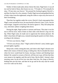Neither of them made jokes about cheese this time; Nigel knew it was all too real for both of them, their hearts too raw. "I'll make it. I'll eventually be okay. I'll just miss you forever." He pressed his forehead against Derrick's, and they lay there for a few minutes. Finally Nigel moved and grabbed the box of baby wipes from the nightstand, using the cloths to wipe away the traces of their lovemaking.

Then they lay together under the covers, Derrick's back snug against him, Nigel's arms around his lover, his nose buried in Derrick's hair. Lover. Not for much longer. Anguish cut his heart. He tried to ignore it. They fell asleep that way, entwined, sadness weighing them down.

During the night, Nigel awoke to caresses and kisses. This time it was his turn to fill his lover, both of them on their sides with Derrick's leg over his hip. When Nigel came, he made sure to appreciate the intense pleasure. He didn't clean them off right away, instead smearing the spunk over their chests, reveling in the intimacy.

"I'll love you forever, Nigh."

"I'll love you always, Dare." Nigel curled in Derrick's arms, bodies again pressed tightly together.

Sleep took a while coming thistime, and when it did, Nigel's dreams were filled with visions of Derrick dying or killing him. But he dreaded the dawn when his lover would head for home, leaving a broken and bleeding heart behind. He wanted to scream at Derrick, tell him not to go, tell him that they were meant to be together until the end of time. But he didn't. Instead, when morning came, he put all his love into their final kiss. He clung to Derrick, holding him one last time, and then he let go and let the only man he would ever love walk out his door.

\*\*\*\*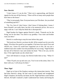#### CHAPTER 11

#### **Now: Derrick**

"I don't know if I can do this." Their exit is approaching, and Derrick signals for the turn off the freeway. "There will be so many more people than have been at the house."

"They're just people, Dare. Everyone knows you'll be there. Are you afraid of something specific?"

"No. Yes. Sort of. I don't know. I don't know if I belong there. I mean, I know Ronald's not really there, but this is his memorial service. He was so angry with me. I can't help but think this is disrespectful."

Nigel brushes his fingers against Derrick's cheek. "Funerals are for the living, not for the dead. You need to say goodbye. Your sister and brother want you there."

Derrick is swallowing to stop his tears before they gush.

"He loved you, Derrick, you know he did. All he wanted was for you to be happy. If he knew how good we are together, if he knew how much I love and cherish you, I know he would have supported you in this. He was just a stubborn man who couldn't face the possibility he was wrong." Nigel brushes the hair off of Derrick's face and strokes his head. "This is for you, not for him. I'll be right beside you the whole time."

Tears still threaten to escape, but Derrick holds them at bay. "What if I fall?"

"Then I'll pick you up and carry you. You're not in this alone, Dare. I'm there with you. I will always be there."

\*\*\*\*

#### **Then: Nigel**

Nigel sat in front of the fireplace staring at the immaculate interior. That had been Derrick's doing. He had come in and cleaned and straightened Nigel's fireplace, his kitchen, his home, his life. Nigel had been a mess before Derrick. He hadn't realized it, hadn't understood how lonely and boring his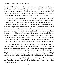life was until a nutty man with beautiful eyes and a goofy grin strode in and shook it all up. He still couldn't believe that what Ronald had said in a drunken stupor, the man was still holding everyone to a month later. Nigel had come to accept a couple of weeks ago that Derrick's father wasn't ever going to change his mind, and it was killing Nigel, slowly but very surely.

He felt empty now. He missed the smirk on Derrick's face when he pulled one over on Nigel. He missed the deep soulful eyes when his boyfriend told him he loved him. He missed his lover's warmth when they snuggled on pillows in front of the fireplace. He missed the weight of Derrick's hard body as he filled Nigel and made him scream. Most of all, he missed having him to call when he just needed someone to talk to, someone who knew him inside and out, someone who he loved unconditionally who loved him back. Someone he would give his life to save if it came to it. Someone who he was sure felt all the same things for him. He missed when Derrick needed him and he could be there to support the incredible man he loved. He loved being able to do things for Derrick, making sure his true love was happy, and his life full of joy. Nigel would find a way to stop the tides if that's what Derrick needed.

He stopped mid-thought. He was willing to do anything for Derrick, anything. He knew his lover would do anything for him, too. If he had left Derrick because his family forced him, would Derrick have just accepted it? No. Derrick would have fought Nigel's family and their injustice—fought for Nigel—until his dying breath. Derrick was the love of his life, and yet Nigel had just let him go. He was an idiot. Derrick was his, and he was Derrick's.

Nigel jumped up and grabbed his jacket, wallet, keys, and a leash. "Come on, Tibbs. Let's go get our man." He hooked the lead onto the dog's collar. "And no, you can't drive."

\*\*\*\*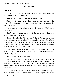### CHAPTER 12

### **Now: Nigel**

"What is that?" Nigel stares up at the side of the church ablaze with color as Derrick pulls into a parking spot.

"I would think you would know what that was by now."

Nigel sticks his head over the dashboard to see the other end of the rainbow flag hanging from the eaves of the building. "That thing has to be the size of our condo."

Derrick leans forward over the steering wheel to see better. "I think you're exaggerating."

"That's got to be a three or four story wall. The flag covers two-thirds of it. Is this a gay church or something?"

"Hardly." Derrick smiles. "It's my family's church. They put that up when they voted as a congregation to be a Welcoming Church a year and a half ago. That means that they specifically welcome gay and lesbian families to be part of the congregation. And it's a two and a half story wall on this side. The flag is something like sixteen by twenty-two."

"That's still enormous." Nigel sits back and looks at Derrick. "This is your family's church." Hislover nods. "So it really and truly wasn't about me being a man—a gay man?"

Derrick frowns. "You doubted that?"

Nigel is embarrassed. "It's hard not to. I guess I just don't want to accept that it all was a class thing. I don't want to believe the US is like that. That's for countries with caste systems like India, or societies in history like Ancient Rome. I mean, there are the snobby uber-rich who have old money, but that's not the rest of us."

His lover shakes his head. "Believe it. It's a much stronger line than you folks with money know." That hurts Nigel, and he isn't completely successful in suppressing his reaction.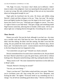"Oh, Nigh. I'm sorry. You know I don't think you're different. I didn't mean to make a class judgment. I just was repeating the idea people have, and it came out wrong. My only residual feelings of that sort are my insecurities about not being good enough for you."

Nigel pulls his boyfriend into his arms. He kisses and nibbles along Derrick's cheek and then whispers in his ear, "Stop. Just stop." He reaches down and lightly brushes his fingers over the zipper in his lover's pants. "*He* knows how much I love you." Said body part wriggles to concur. "For once, it's right to listen to your little head." That gets a laugh, and something inside Nigel loosens somewhat, allowing him to breathe a little easier. All he cares about right now is helping Derrick through this. Everything else can wait.

\*\*\*\*

#### **Then: Derrick**

Dinner was awful. Not just the food, although it was bad, too—his sister was a terrible cook and it had been her turn—but the atmosphere. Derrick didn't feel like talking. He didn't feel like smiling. He didn't even feel like eating. He just pushed the food around on his plate. Nineteen days, eleven hours, and—he looked at his watch—sixteen minutes since he'd said goodbye to the best thing that had ever happened to him.

"Got somewhere you got to go?" Ronald was clearly annoyed.

Derrick remembered how he used to have somewhere to be. He just shook his head. Marisol asked him to pass the green beans, and he did so without looking at her. Benjamin started kicking a table leg, making the plates vibrate.

"Benji, knock it off." His sister slammed her hand down on the table next to Benji's plate.

"Daaaad, Marisol is bossing me around!"

"Am not, you were being—"

"Stop it, you hear me?" Their father waited until they were quiet. "Marisol, you're seventeen years old. Stop acting like you're five. Benjamin, stop kicking the table." He sighed. "Everyone needs to say something nice for a change. You all tell me something good about today." Derrick curled his lip.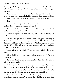Nothing good had happened since he'd walked out on Nigel. Even his birthday a few days ago had been agonizing. He was sure he would never have a happy day again.

"I got a gold star for my story about the robot that beat the monster and then went to the moon and then had grilled cheese and chocolate cake and then never went to bed." Benji giggled and showed the food in his mouth.

"Dad!"

"That sounds like a good story, Benjamin. I'd love you to read it to me tonight. Chew with your mouth closed. Marisol?"

Marisol slouched in her chair. "This is stupid." Derrick agreed but didn't bother to say anything. He just didn't care enough.

"There isn't anything stupid about looking at the good side of things. Sit up."

She rolled her eyes but straightened. "Umm… Oh, yeah, according to Laticia, Marcus told Luanda that Jorge said he likes me! I told Laticia to tell Luanda to tell Marcus that I like Jorge, too, so he'll ask me to prom." A month ago, Derrick would have laughed and teased her about such a convoluted way of asking someone out.

Ronald grimaced but smiled. "That's real nice, Marisol. Who is this Jorge?"

"Oh my God, Dad, you never like anyone I'm interested in!" *Or that I am*, thought Derrick.

"I didn't say that. I just want to learn something about him. I like to know who is looking at my little girl."

Marisol looked only somewhat mollified. "Um, well, he's really musical. He's on the hip-hop team and in choir, and he's got his own band."

Her father nodded, a forced smile on his face. "Uh huh. And what is he learning in school?" Derrick resisted the urge to snort in derision.

"Geez, Dad. We're not in college. He's learning what everyone else is: math, English, social studies. You know." She rolled her eyes again, then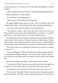focused on Derrick. "It's Derrick's turn. Why don't you bug him?" Marisol smirked.

"That's a good idea. Derrick? What's a good thing that happened today?"

Derrick mumbled, "My day sucked."

"I'm sure there was something posi—"

"There wasn't." Derrick glared at his meatloaf.

His father sighed and put down his fork. "Son, you need to stop your moping. Mary Harper at the church told me about this speed dating thing—"

"Are you for real?" Derrick looked at his father this time.

"They got one for gays. I got all the info, and I wrote it down for you. Mary said her cousin went, and he found himself a good man. It would be good for you to go. Find someone. Get out there again at least."

Derrick put down his fork carefully and turned to face his father. "Ronald, I don't want to 'find someone'. There isn't anyone out there for me. There is only one man I want, and you forced me to throw him away." Derrick felt like he was going to vomit. Why did he give up the love of hislife? How could he?

"Now, Son, I know you're hurting, but the best way to get over a crush is to move on."

"Are you kidding me?!" Derrick picked up his silverware again and threw it onto the plate, making a loud clatter. "He's not a 'crush' I need to 'get over'. He's the man of my dreams, and I can't believe I let you talk me into leaving him."

Ronald was starting to get riled. "I didn't make you do nothing."

"You told me if I didn't leave him, you would never talk to me again, nor let me near my sister and brother. You made me choose between you!"

"You know as well as I do: he isn't the one for you. He was only us—"

"He was what? Using me?" Derrick stood and threw his napkin on top of his fork and knife. "For what? To treat with respect and love? To hold me in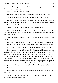the middle of the night when my PTSD overwhelms me, and I'm a puddle of fear? To make love to me—"

"Gross!" Marisol looked horrified.

"What does 'make love' mean?" Benjamin asked at the same time.

Ronald shook his head. "You don't got to be such a drama queen."

Distantly Derrick heard the doorbell ring, but he was too upset to pay any attention. "Drama queen? You think this is me being a drama queen?" Derrick realized he was yelling.

"Yeah, you're confusing puppy love with something real."

Derrick was incredulous. "Puppy love? *Puppy love*?" He heard his voice getting even louder. "Are you kidding me? I'm twenty-nine years old! I know what real love is."

The doorbell sounded again. "I'll get it!" Benji jumped up and headed for the door.

"Benjamin! You can't answer the door, especially at night." Marisol stood. "Don't mind me, I'm just the slave around here." She hurried after her brother.

Now his father stood. "You don't got any idea what real love is. I do."

"Don't you dare bring Celeste into this. I only moved home to help you with the kids. Don't you even try to use my mother to manipulate me." Ronald started to speak, but Derrick cut him off. "No, I don't want to hear it. I made a mistake when I chose you over him. He is my Celeste, my one true love. You have no right to tell me who to give my heart to. You're as bad as the homophobes out there. I don't care what you say, I'm going to try to get him back whether you approve or not. I just hope it's not too late. I told him this once, and I'm going to tell him again: I love him with everything that I am."

"Dare?"

Derrick froze. He knew that voice. He loved that voice. He slowly turned. "Nigel?"

"Yeah." Nigel was standing there, an unsure smile franticly trying to overcome the sorrow on his face.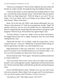"What are you doing here?" Derrick tried to fight the tears that welled. He felt like he couldn't breathe. He fought the hope that bubbled within him.

"I told you that family was more important than anything and has to come first. You hold fast to them and don't let go." Derrick didn't like the sound of that. What was Nigel doing here? "Well, the thing is, you and I? We are family. You're my family, and I'm not letting you go without a fight." His chest heaved. "Please come home."

Home. He let the tears fall. Didn't some Roman philosopher once say, "Home is where the heart is"? Yeah, he was going home, all right. "Nigh!" He sprinted toward his one true love and jumped into his outstretched arms. Derrick wrapped himself around Nigel and squeezed him as though he would disappear if Derrick let go. He buried his face against Nigel's neck.

"I'm here, Derrick, I've got you." Nigel's voice was thick with emotion. He hugged Derrick back just as tightly, kissing his neck, his warm breath ruffling Derrick's hair.

"Please take me back. I'm so stupid; I made the wrong choice. I never wanted to hurt you—I love you." Behind him, he heard his father yelling, but Derrick ignored him. He didn't care what Ronald had to say.

Nigel leaned back so their eyes could meet. "You are never stupid. You just love too much. It was a horrible decision you were forced to make. I, too, love you with everything I am. Please don't leave me again."

Derrick shook his head. "Never again." He leaned in and their mouths met in a long overdue kiss.

"Out of my house, both of you! I never want to see either of you again!" Ronald's voice cut through their moment. Nigel finally set Derrick back on his feet. Derrick loved that Nigel could hold him up like that and hated being put down.

Sorrow still filled Derrick's heart. "Ronald, I love you, but I don't know who you are anymore. Merry, Benji, I love you guys, and I'm not leaving you. You can call me anytime, and I'll be there. I will try to see you—"

"Like hell you will!" Their father roared. "GET OUT!"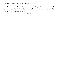"Fine. Goodbye Ronald." He turned back to Nigel. "Let's go get my stuff and get out of here." He grabbed Nigel's hand and pulled him toward the stairs. "Then we're going home."

\*\*\*\*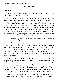#### CHAPTER 13

#### **Now: Nigel**

They get out of the car and head into the building. Inside the door, Nigel pauses and has to take a deep breath.

"Nigh? You don't need to worry. You saw that the congregation is okay with us. And at the house, no one knew about the argument and my leaving."

That is true, but churches never make him comfortable. Growing up, religion didn't exist. It just wasn't part of their lives. His exposure has almost exclusively been homophobic rants in the media. He has never needed religion, and it makes him uncomfortable. But he's agreed to come for the memorial service to support his lover. Now, though, what Derrick said in the car has come flooding back. Nigel swallows as he looks around and realizes he is so far out of his element he isn't even in the same country.

The people milling around the community room are primarily working class. He can tell from the style of dress, the mannerisms, the word usage and grammar. These are the people who work their asses off to make enough money to survive until the next paycheck, the ones whose occupations aren't valued as highly as those that pay more, despite how vital the jobs are to the economy and community. He feels what Ronald would call "white guilt," and he now understands what Derrick's father must have meant by that. It really isn't any better to know that Ronald didn't hate him for hisskin color or being gay. He feels sick.

Nigel works almost exclusively with very poor kids. He's used to being judged—they're teenagers after all—but now he's aware that he stands out here, from the cut and fabric of his clothing to his expensive haircut. While he doesn't spend a large amount of money on these things—he certainly doesn't buy Armani—he does pay more than these people can afford, and he is embarrassed by his ostentation. He wonders if there is time to run to the Fred Meyer around the corner and buy something that wouldn't stand out so much.

Before he can make up his mind, Derrick is pulling him through the crowd toward a couple of tables lining the back wall. An array of cookies, cakes, and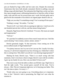pies are flanked by huge coffee and hot water urns. Despite the enormous Americanos they have both already consumed, Derrick is pulling a tap and filling a mug with dark liquid. The realization hits Nigel that, on the way here, they spent enough money caffeinating themselves to fund the coffee in these tanks, with cash left over for several more urns' worth. He feels guilty and is glad he left the remainder of his drink in its logoed paper sheath in the car.

"Nigh, are you okay? Is something wrong? You're staring off into space."

"Nothing's wrong." He smiles. "I'm fine."

"Knock it off. I can't deal with you sparing me right now. I need you to be one hundred percent here with me, and that means being honest."

Sheepish, Nigel kisses Derrick's forehead. "I'm sorry. My issues are stupid and inappropriate."

"Tell me"

"It's just that I'm suddenly aware of how much I must stick out. I feel like a jerk shouting 'I have money, neener, neener, neener.'"

Derrick genuinely laughs. "Is that insecurity I hear coming out of the never-ruffled mouth of Nigel Rutherford?"

"I'm plenty insecure, but I try not to let it run my life. Usually I do okay. Anyway, it's all trivial compared to my fear of losing you. I think that's where this is coming from. Why didn't you tell me I was dressing inappropriately?"

Shaking his head, Derrick says, "There is so much wrong with that statement, I don't even know where to begin. But let's start with the weirdest. I gave up my family for you. How can you think I'd leave you?"

They move away from the table so others can fill their cups. Nigel tries to find the right words. "You second guess yourself all the time. You're always—Shit. This isn't important right now; we're burying your father. This isn't the time or place. I'm sorry I—"

"Finish what you were going to say. Everything about us is important. Now is fine." Derrick's look is penetrating, but Nigel isn't sure what the emotion is.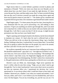Nigel moves them to a corner behind a partition covered in photos and mementos of Ronald. "Well, ever since you chose me over Ronald, you've talked about how you don't know if you made the right decision. It's been worse the past few days, and that makes sense. But I've been worried all along that one day you'll convince yourself you made the wrong choice again and leave me for good to return to your dad. I—" He chokes up for a moment and is grateful Derrick gives him a few moments to get himself back under control.

Nigel begins again. "I've been uneasy the past few days, knowing this is a very emotional time for you; you're processing a lot, and nothing is clear anymore. I'll give you anything you need to get through this, and if you need me to step back for a while so that you can reunite with your family and work through this, I will. But is scares me that if I do let you go, it might become permanent now that you have your family back."

Nigel is opening and closing his hands in his distress, but he forces himself to maintain eye contact. It's hard when his soul is reflected back at him. "When you told me in the car about the class/money thing, I got a horrible feeling. Walking in that door, I realized that I'm out of place here. I'm terrified that you're going to realize that these are the people you want to be around, and that I just don't fit into your life anymore. I can't—"

He swallows repeatedly but he can't stop tears from welling up in his eyes. He should be embarrassed—guys don't cry—but right now he doesn't care. "I can't lose you. I love you so much. You're my everything." The teardropsfall, and he doesn't wipe them away; his fingernails digging into his palms are what is keeping him from disintegrating. He didn't realize how emotional he is. His guilt intertwines with his fears; putting this on Derrick now is not right.

Derrick's eyes are filled, too. Interestingly, Nigel never questions his lover's virility when he sees him crying. "Nigh, you are what I need to get through this. You're what I need period. I am so sorry that it never occurred to me how my neuroses affect you. I questioned my decision, but I never questioned us. It was always about what I could have done to have both, and whether I deserved you, whether I was what you wanted and needed. I can't lose you, either, and I won't. I can't believe you ever doubted that, and I am so sorry I let that happen. You are my everything, too, just the way you are. I'm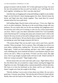going to reconnect with my family. We've been split apart too long. You were the one who pointed out that you and I are family, too. I will bring all of us back together, including you. Don't you dare step back."

And then they are hugging and crying and holding so tightly to one another Nigel can feel Derrick's heart beating against his chest. Derrick kisses his throat, and Nigel rubs their cheeks together. They stand there for several minutes before his lover pulls back.

Still holding Nigel, Derrick looks at him and says, "I love you, Nigh, but you're an idiot sometimes. Moving on to the second thing wrong with your sentence: Do you realize that you are the one making class judgments now? No one here cares what you're wearing, or who you are, or how much money you have. There's a guy over there somewhere named Ted. You'll probably notice him because he's wearing ratty jeans and a monster truck T-shirt to the funeral. He owns several car lots and is rolling in money. He has to wear a suit all the time, and he hates it. He says that he shows respect by being himself, by not putting up some fake image someone tells him to.

"The money thing? That was my dad's issue, and it came from a specific incident. These are people. You're a person. They will judge you on how you treat others, nothing more, nothing less." He moves forward to rub against Nigel again. "I think you look amazing, and that's why I didn't suggest you wear something else, never mind the fact that it's your business what you wear and no one else's. When we get home, I'll show you how much. But right now, I have to go mingle or people really will start to talk. Thank God they'll think our crying is just grief." Nigel laughs at that.

Derrick kisses him one more time then pulls away. Nigel follows him a few feet before they are accosted by a large woman wearing the biggest hat Nigel has ever seen. The bright yellow contrasts beautifully with her dark skin. She leans in to kiss his boyfriend on the cheek, and he can't believe she doesn't topple over from the weight of the thing.

"Derrick, darling, I was so sorry to hear about your father. He was such a good man. You poor, poor thing." She rubs the side of Derrick's head with her thumb, then rests her hand on his shoulder. "How are you holding up?" Her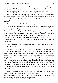accent is Southern, maybe Georgia. Who moves from sunny Georgia to overcast Seattle? Nigel loves the weather, but he's in the minority.

"I'm doing okay, Millie. It's hard but we're getting through it."

"He was so proud of you, my boy. He talked about you all the time; he constantly bragged about yoursuccess with those poor children. 'Millie,' he'd say, 'that boy of mine has the best success rate on the West Coast.' He'd go on and on."

Derrick looks uncomfortable. "He was exaggerating a tad."

"Oh go on, you. Too modest. Just like your father." She turns to Nigel and her face lights up. "Oh, you must be Nigel! I've heard so much about you. Benjamin's always talking about his Uncle Nigel." She leans in and kisses him on the cheek. She's wearing a lot of perfume, and he fights off the urge to sneeze. He is confused and exchanges a glance with Derrick, who appears to be as baffled as he is. Was she confusing Nigel with someone else? "Ronald told me all about that great program you started with the dogs." So, not someone else.

His smile is half grimace as he says the first trite words that come to mind. "All good, I hope?"

The woman's eyes get big. "Oh yes! Of course! He thought it was the greatest thing since sliced bread." They never buy sliced bread preferring Artisan loaves or Whole Grain Goodness from Great Harvest Bakery, but he gets the point. It's okay that they buy a few hoity-toity things—Derrick says Nigel's okay just as he is, right? And he loves hearty handcrafted bread. He knows he's going to have to keep reminding himself that he's being too insecure. He brings his attention back to the conversation. "The stories he told about what those dogs can do. That dancing dog thing? That had my nephew in stitches. What a brilliant idea, helping kids and animals at the same time. I am so impressed."

She turns back to Derrick. "He said that's how you two met? You got the kids to the program, and Nigel got them training the dogs? That's so romantic. What did he call you again? Oh yeah. He said you were like peanut butter and chocolate: 'good apart, great together: perfect.'"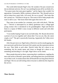The world shifts beneath Nigel's feet. He wonders if he just crossed over into an alternate universe. He can't say anything because all he can think of is, "Two great tastes that taste great together," and he figures that wouldn't be appropriate. Fortunately, Millie continues without him. "My, Ronald went on and on about how many kids y'all saved. He was so proud." She looks like she's proud, too. "Oh listen to me go on. This room is full of other people who want to talk to you." She kisses them both again then moves off.

They stare at one another for a moment, eyes wide with shock. "Did she say—" Derrick is interrupted by an elderly gentleman and a college-aged young woman who is introduced as his granddaughter. Nigel and Derrick listen to a repeat of Millie's story except in different words and with other participants.

"I was totally hoping I'd get to see you both today. Mr. Bryant showed me a picture of you two together and I about died. You two are, like, the cutest couple, ever!" The girl is practically bouncing. Apparently the Valley never left Seattle.

After the pair move on, Nigel looks at Derrick to see his mouth gaping, his eyes narrowed, and his brow furrowed. He is pretty sure the expression mirrors his own. They blink at each other. Derrick looks like he's about to say something, but his mouth opens and closes as though he's about to say something and deciding it's not right. Nigel chews on his cheek.

More people descend on them, expressing their condolences, regaling the men with stories of Ronald's great deeds, and telling them how proud Ronald was of their work. It sounds almost like all Ronald did was brag about Derrick and Nigel. The two are still reeling when everyone is called into the chapel for the service.

\*\*\*\*

**Then: Derrick**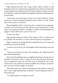Nigel unlocked the door and swung it open. Derrick started to walk through, but hislover's gentle touch stopped him. He waited nervously for the words telling him the timeframe before he had to find his own place, the rules for living there, maybe that Nigel had changed his mind and wanted Derrick to go back home.

"I know this was forced upon us since you've been kicked out of your home, but I've been meaning to bring this up for a while. It's time, I think. Dare, will you move in with me?"

Derrick laughed in relief. "God you're slow. I wanted you to ask ages ago. I couldn't very well invite you to live with me in my rooming house, or later when I was living at my father's. I thought it would be a bit presumptuous to suggest it when I didn't have a place of my own."

"Is that a yes, then?"

Nigel grunted as Derrick's elbow hit his ribcage. "Duh. Yes. Please. God yes, already, take me home, I'm yours. Does that answer your question?"

Nigel's response was unexpected. He scooped Derrick up in his arms and carried him across the threshold.

"Careful or you'll rip my veil. My daughter will be expecting to use it one day."

"Veils are sexist and out of style. The wedding is off." Nigel kicked the door closed behind them.

Derrick found something close to a giggle threatening to emerge and was mortified. He forced it down. "I think you have the procedure backwards. You're supposed to marry me, and then carry me through the door. Also, Celeste wore a veil, and she was alwaysincredible. But aslong as you agree to have your way with me tonight, we're good."

"Been there, done that." Derrick found himself in the bedroom, still in his lover's arms. Nigel deposited him on the bed. "I need to bring your stuff in." He turned to go.

"I can help with that. I'm short, not weak."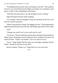"No kidding. But stay there where you belong: in my bed." The twinkle in his lover's eye assured Derrick that Nigel was teasing. Two could play at that game, or three or four, depending on the fantasy.

"Well then, big man, hurry it up. My biological clock is ticking."

Nigel fell against the door jamb, laughing.

"I'm waiting." Derrick managed to keep his emotions off his face as he tried for a bored expression.

"Mustn't keep the diva waiting. The luggage can wait." The bed groaned as Nigel launched himself across the floor and landed atop Derrick with a thud.

"Oof!"

"Change your mind? Am I'm too much man for you?"

"Let me see." Derrick rolled him onto his back and shoved his hands down Nigel's pants. He groped around, feeling his lover swelling to his touch. He shook his head. "I think I can handle it. Am I too much for you?"

"Never." Nigel flipped Derrick back over and began stripping off their clothes. "Ready for the time of your life?"

Derrick smirked. "Bring it on." Nigel did; he so very much did.

\*\*\*\*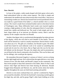#### CHAPTER 14

#### **Now: Derrick**

In front of the pulpit, a table stands draped with thick green velvet and a hand embroidered white on white cotton tapestry. The cloth is simple and understated, the needlework more about texture than visual effect. Atop sits an unassuming wooden urn. Derrick has learned from several parishioners that it was made by a good friend of his father's, a church member who is a wood artisan. The vessel is made from reclaimed lumber native to the dense forests of Washington state. Many differently hued woods were layered together creating a slight gradient of color, then the subsequent block of wood latheturned into a globe and hollowed out. The result is both simple and rich, a basic shape made up of an intricate yet effortless variety. Both it and the tapestry fit the complex man that was Ronald.

Another churchgoer who is a professional photographer hastaken pictures of the display, which she will send to each member of the family. The urn itself will be interred in a vault in a nearby mausoleum. Derrick doesn't really care about any of it. The gifts are a kindness, but Ronald is gone. His father would have hated for such elaborate work to be wasted on something that would only be seen for a few hours. But as Nigel said, this was for the ones left behind, not the deceased. This part, the simple altar and its presentation, was all done by the church community who loved him. This was for them, and for his siblings, who would get the tapestry.

He remembers Reverend Angelica's sermon at Celeste's service as being just the right length and tone. He is relieved that she again delivers a very short sermon on love, life after death, and Ronald's impact on the community. She then invites people to share their memories of his father. Most of what is said mirrors what Nigel and Derrick have been hearing all afternoon. Ronald bragged about Benjamin and Marisol, too, and the stories about the family together throughout the years are both heartwarming and painful.

Derrick is even more confused than ever, and he's comforted by Nigel's arm around his shoulders. He feels his boyfriend's reassuring warmth against his thigh, hip, and side, and he grasps Nigel's other hand, holding on to this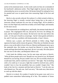anchor in his emotional storm. As the words wash over him, he is reminded of his boyfriend's admission earlier. That Nigel might be insecure about their relationship has never occurred to him. He berates himself for taking hislover for granted and vows to spend more time reassuring Nigel of his love and desire.

But he is also secretly relieved. He realizes it's a little twisted to think so, but knowing Nigel is actually worried about losing him to the point of insecurity almost eradicates his own fear of losing Nigel. All he needed to know was that Nigel truly needs him as badly as he needs Nigel, and instantly he felt more secure.

The testimonials are winding down, and finally, the minister leads them all in prayer. The congregation files out, and just he, his lover, his siblings, his aunt, and her husband Carlo remain. He had never met the man before this week—it's his aunt's fourth try at marriage—but he's been gentle and kind so far, and if Carlo has a problem with homosexuality, it hasn't shown.

Edwina says a prayer, and Derrick pretends to follow along. Nigel squeezes his hand, and he returns the gesture. When they are finished, his aunt places a rose on the table in front of the urn. Marisol and Benjamin move up to the makeshift altar. His brother acts bored but Marisol is crying. Derrick stands and hugs them both then steps back. He isn't yet ready. His sister places her rose next to the other, and Benjamin follows suit.

Carlo leads the children away, but his aunt stops and turns to Derrick. "What all those people said is true. Ronald was very proud of you. He blamed himself for you leaving. He just couldn't face you. He was terribly afraid you would reject him, and he would lose you forever." She sighs. "By not dealing with it, he could say it was just a fight that would be resolved soon, and he wouldn't have to face the possibility that you wouldn't forgive him." She looks at her feet for a moment and then back at Derrick. "I am the only one who blamed you. The only one. And I am sorry." She nods once, then moves to catch up with the others.

Derrick is in shock. He wonders if maybe he has gone crazy and is in a padded room somewhere hallucinating all of this. The tenderest of kisses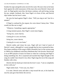brushes his nape and gentle arms encircle his waist. His eyes close as he leans back against the solid reassurance of this man who owns Derrick's heart and soul. As Nigel gently turns him, the kisses continue, soft and loving, tracing his jaw, temple, forehead, chin. Soon Nigel is in front of him, and Derrick slips further into his lover's arms.

He rests his head against Nigel's chest. "Will you sing to me? Just for a minute?"

If Nigel is confused by the request, his voice doesn't betray him. "What would you like me to sing?"

"Whatever. Something vaguely appropriate."

A long moment passes, then Nigel's sweet tenor begins,

"*Swing low, sweet chariot, Coming for to carry me home, Swing low, sweet chariot, Coming for to carry me home.*"

Derrick smiles and closes his eyes. Nigel still isn't fond of much of Derrick's music, although he's sweet enough that he tries to pretend he does. Etta James rendition of this song in 2000 is beautiful, but it is the version sung in 1960 by his childhood crush Harry Belafonte that's hisfavorite. Derrick put it on an MP3 playlist of music he listens to when he is relaxing and Nigel is doing something else. He is surprised and touched that Nigel thought of the song; he couldn't have heard it very often. Nigel sings the rest of the song and finishes with a kiss.

Derrick tilts his head up to look into his lover's eyes. "I am so completely in love with you."

Nigel smiles back. "I love you, too, Dare."

It is time. Derrick turns and takes a step toward the urn, in his hand the rose his aunt gave him before the service.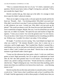"This is a moment between the two of you." It's both a statement and a question. Derrick turns back, looks at Nigel's loving face, and nods. "I'll be just outside the chapel, Dare."

Derrick watches him go, then steps up to the table. It is strange to look down upon his father's physical remains.

There are no right or wrong words, so he just opens his mouth and lets his heart out. "Ronald... Dad... You fucking asshole. Why didn't you reach out? Why didn't you tell me it was okay? I sent you letters telling you I was willing to talk whenever you were. I texted you. Why didn't you just pick up the phone?" The words are almost a wail. He closes his eyes and calms himself. "I never wanted this to happen. Maybe, like you, I was too afraid that you would reject me, so I didn't try harder." He opens his eyes and reaches to finger the tapestry. "I miss you so much. You were the greatest man I've ever known. You are my hero. I don't know if I ever thanked you for everything you did for me. Without you, I wouldn't be where I am today; I'd be nothing."

He laughs. "I can hear you now saying, 'Son, I just helped you figure out what you could be.'" He imitates Ronald's voice, but it comes out as a caricature, and he laughs again. "But I needed that. Maybe it seemed like a small thing to you, but no one had ever believed in me before. I swear I didn't mean it when I said I wished you were dead." Derrick has to take another moment to get himself under control again.

"I must say this afternoon has been quite a shock. I wish you could have gotten to know Nigel personally, but I'm so glad you understood our bond after all. He's the other greatest man I've ever known. You brought me to where I am, and he's taking it from here." Words fail him for a moment. He rubs his face. "Nigel is helping me soar. I love him more than anything, and it means more than you could have ever known how much your… your blessing means to me."

Derrick touches the urn this time and strokes its smooth surface. It really is a work of art. "I don't know what I would have said, or how I would have felt, if I hadn't had the opportunity to talk to these people, to finally know that you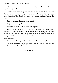didn't hate Nigel, that you saw how good we are together. I'm just sad I had to hear it from them."

With his other hand, he places the rose on top of the others. The red flowers, white embroidery, and green velvet remind him of Christmas, a happy time. He smiles. "Goodbye, Dad. I love you." He turns and heads back up the aisle.

Nigel is waiting at the doors, his eyes moist.

"Nigh, what's wrong?"

His lover swallows. "It hurts to see you in pain."

Derrick smiles for Nigel. "I'm better now. I think I've finally gotten closure." He pulls Nigel closer. He thinks about how much they've held each other this week, and how he's ready for an embrace about something other than pain. "Take me home and show me just how much you love me like you said you would."

Nigel pulls back and grins. "There is nothing I want more right now."

They turn, and arm in arm, they leave the chapel, Ronald's ashes, and the worst of the sorrow behind.

## **THE END**